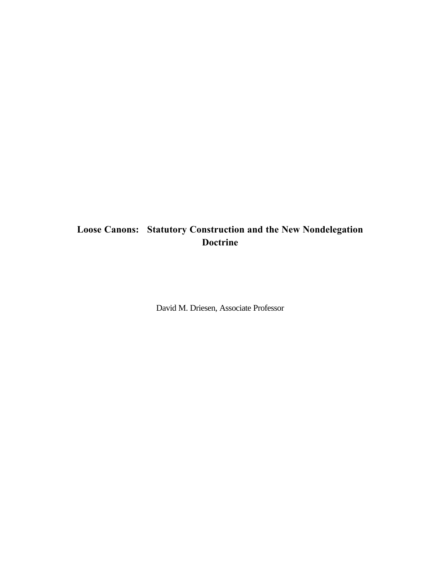# **Loose Canons: Statutory Construction and the New Nondelegation Doctrine**

David M. Driesen, Associate Professor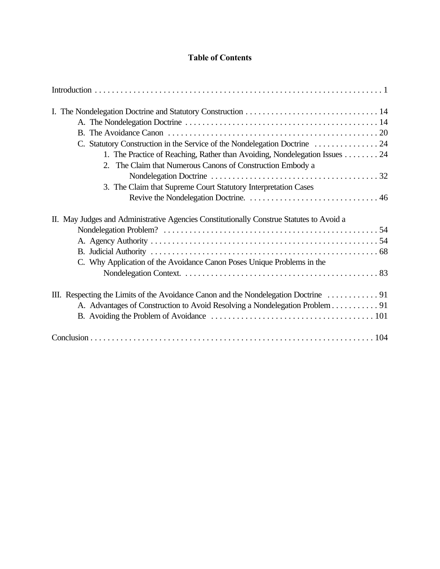## **Table of Contents**

| 1. The Practice of Reaching, Rather than Avoiding, Nondelegation Issues 24<br>2. The Claim that Numerous Canons of Construction Embody a |  |
|------------------------------------------------------------------------------------------------------------------------------------------|--|
|                                                                                                                                          |  |
| 3. The Claim that Supreme Court Statutory Interpretation Cases                                                                           |  |
|                                                                                                                                          |  |
| II. May Judges and Administrative Agencies Constitutionally Construe Statutes to Avoid a                                                 |  |
|                                                                                                                                          |  |
| C. Why Application of the Avoidance Canon Poses Unique Problems in the                                                                   |  |
|                                                                                                                                          |  |
|                                                                                                                                          |  |
| A. Advantages of Construction to Avoid Resolving a Nondelegation Problem 91                                                              |  |
|                                                                                                                                          |  |
|                                                                                                                                          |  |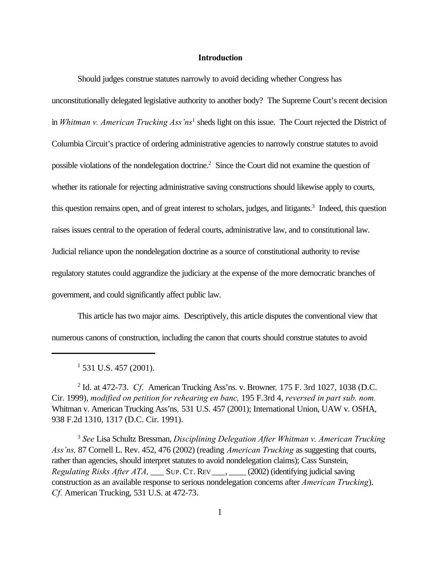#### **Introduction**

Should judges construe statutes narrowly to avoid deciding whether Congress has unconstitutionally delegated legislative authority to another body? The Supreme Court's recent decision in *Whitman v. American Trucking Ass'ns*<sup>1</sup> sheds light on this issue. The Court rejected the District of Columbia Circuit's practice of ordering administrative agencies to narrowly construe statutes to avoid possible violations of the nondelegation doctrine.<sup>2</sup> Since the Court did not examine the question of whether its rationale for rejecting administrative saving constructions should likewise apply to courts, this question remains open, and of great interest to scholars, judges, and litigants.<sup>3</sup> Indeed, this question raises issues central to the operation of federal courts, administrative law, and to constitutional law. Judicial reliance upon the nondelegation doctrine as a source of constitutional authority to revise regulatory statutes could aggrandize the judiciary at the expense of the more democratic branches of government, and could significantly affect public law.

This article has two major aims. Descriptively, this article disputes the conventional view that numerous canons of construction, including the canon that courts should construe statutes to avoid

 $1$  531 U.S. 457 (2001).

2 Id. at 472-73. *Cf.* American Trucking Ass'ns. v. Browner*,* 175 F. 3rd 1027, 1038 (D.C. Cir. 1999), *modified on petition for rehearing en banc,* 195 F.3rd 4, *reversed in part sub. nom.* Whitman v. American Trucking Ass'ns*,* 531 U.S. 457 (2001); International Union, UAW v. OSHA, 938 F.2d 1310, 1317 (D.C. Cir. 1991).

<sup>3</sup> *See* Lisa Schultz Bressman, *Disciplining Delegation After Whitman v. American Trucking Ass'ns,* 87 Cornell L. Rev. 452, 476 (2002) (reading *American Trucking* as suggesting that courts, rather than agencies, should interpret statutes to avoid nondelegation claims); Cass Sunstein, *Regulating Risks After ATA*, SUP. CT. REV (2002) (identifying judicial saving construction as an available response to serious nondelegation concerns after *American Trucking*). *Cf.* American Trucking, 531 U.S. at 472-73.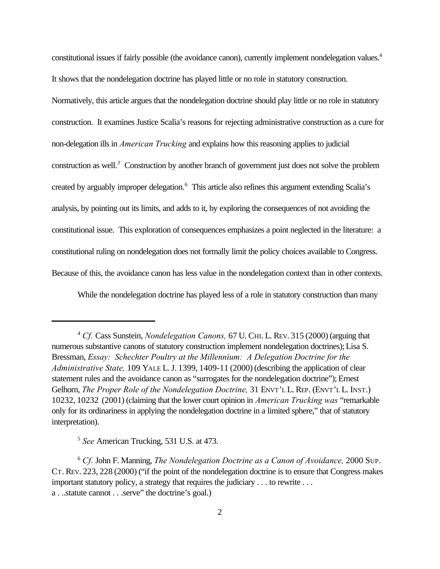constitutional issues if fairly possible (the avoidance canon), currently implement nondelegation values.<sup>4</sup> It shows that the nondelegation doctrine has played little or no role in statutory construction. Normatively, this article argues that the nondelegation doctrine should play little or no role in statutory construction. It examines Justice Scalia's reasons for rejecting administrative construction as a cure for non-delegation ills in *American Trucking* and explains how this reasoning applies to judicial construction as well.<sup>5</sup> Construction by another branch of government just does not solve the problem created by arguably improper delegation.<sup>6</sup> This article also refines this argument extending Scalia's analysis, by pointing out its limits, and adds to it, by exploring the consequences of not avoiding the constitutional issue. This exploration of consequences emphasizes a point neglected in the literature: a constitutional ruling on nondelegation does not formally limit the policy choices available to Congress. Because of this, the avoidance canon has less value in the nondelegation context than in other contexts.

While the nondelegation doctrine has played less of a role in statutory construction than many

<sup>4</sup> *Cf.* Cass Sunstein, *Nondelegation Canons,* 67 U. CHI. L. REV. 315 (2000) (arguing that numerous substantive canons of statutory construction implement nondelegation doctrines); Lisa S. Bressman, *Essay: Schechter Poultry at the Millennium: A Delegation Doctrine for the Administrative State,* 109 YALE L.J. 1399, 1409-11 (2000) (describing the application of clear statement rules and the avoidance canon as "surrogates for the nondelegation doctrine"); Ernest Gelhorn, *The Proper Role of the Nondelegation Doctrine,* 31 ENVT'L L. REP. (ENVT'L L. INST.) 10232, 10232 (2001) (claiming that the lower court opinion in *American Trucking was* "remarkable only for its ordinariness in applying the nondelegation doctrine in a limited sphere," that of statutory interpretation).

<sup>5</sup> *See* American Trucking, 531 U.S. at 473.

<sup>6</sup> *Cf.* John F. Manning, *The Nondelegation Doctrine as a Canon of Avoidance,* 2000 SUP. CT. REV. 223, 228 (2000) ("if the point of the nondelegation doctrine is to ensure that Congress makes important statutory policy, a strategy that requires the judiciary . . . to rewrite . . . a . ..statute cannot . . .serve" the doctrine's goal.)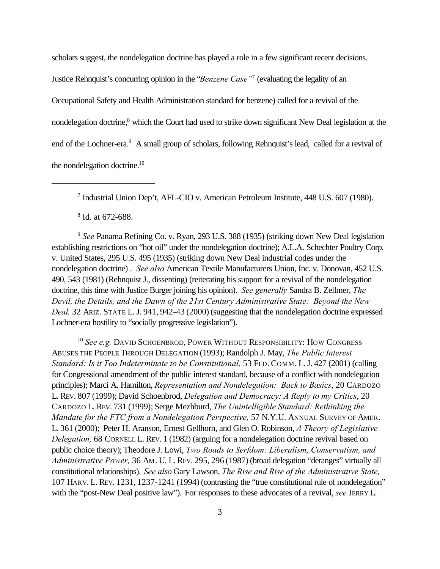scholars suggest, the nondelegation doctrine has played a role in a few significant recent decisions. Justice Rehnquist's concurring opinion in the "*Benzene Case"*<sup>7</sup> (evaluating the legality of an Occupational Safety and Health Administration standard for benzene) called for a revival of the nondelegation doctrine,<sup>8</sup> which the Court had used to strike down significant New Deal legislation at the end of the Lochner-era.<sup>9</sup> A small group of scholars, following Rehnquist's lead, called for a revival of the nondelegation doctrine.<sup>10</sup>

8 Id. at 672-688.

<sup>9</sup> *See* Panama Refining Co. v. Ryan, 293 U.S. 388 (1935) (striking down New Deal legislation establishing restrictions on "hot oil" under the nondelegation doctrine); A.L.A. Schechter Poultry Corp. v. United States, 295 U.S. 495 (1935) (striking down New Deal industrial codes under the nondelegation doctrine) . *See also* American Textile Manufacturers Union, Inc. v. Donovan, 452 U.S. 490, 543 (1981) (Rehnquist J., dissenting) (reiterating his support for a revival of the nondelegation doctrine, this time with Justice Burger joining his opinion). *See generally* Sandra B. Zellmer, *The Devil, the Details, and the Dawn of the 21st Century Administrative State: Beyond the New Deal,* 32 ARIZ. STATE L.J. 941, 942-43 (2000) (suggesting that the nondelegation doctrine expressed Lochner-era hostility to "socially progressive legislation").

<sup>10</sup> See e.g. DAVID SCHOENBROD, POWER WITHOUT RESPONSIBILITY: HOW CONGRESS ABUSES THE PEOPLE THROUGH DELEGATION (1993); Randolph J. May, *The Public Interest Standard: Is it Too Indeterminate to be Constitutional,* 53 FED. COMM. L.J. 427 (2001) (calling for Congressional amendment of the public interest standard, because of a conflict with nondelegation principles); Marci A. Hamilton, *Representation and Nondelegation: Back to Basics*, 20 CARDOZO L. REV. 807 (1999); David Schoenbrod, *Delegation and Democracy: A Reply to my Critics*, 20 CARDOZO L. REV. 731 (1999); Serge Mezhburd, *The Unintelligible Standard: Rethinking the Mandate for the FTC from a Nondelegation Perspective, 57 N.Y.U. ANNUAL SURVEY OF AMER.* L. 361 (2000); Peter H. Aranson, Ernest Gellhorn, and Glen O. Robinson, *A Theory of Legislative Delegation,* 68 CORNELL L. REV. 1 (1982) (arguing for a nondelegation doctrine revival based on public choice theory); Theodore J. Lowi, *Two Roads to Serfdom: Liberalism, Conservatism, and Administrative Power,* 36 AM. U. L. REV. 295, 296 (1987) (broad delegation "deranges" virtually all constitutional relationships). *See also* Gary Lawson, *The Rise and Rise of the Administrative State,* 107 HARV. L. REV. 1231, 1237-1241 (1994) (contrasting the "true constitutional rule of nondelegation" with the "post-New Deal positive law"). For responses to these advocates of a revival, *see* JERRY L.

<sup>7</sup> Industrial Union Dep't, AFL-CIO v. American Petroleum Institute, 448 U.S. 607 (1980).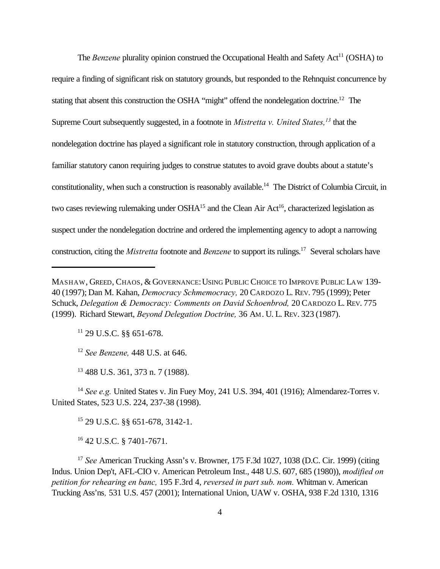The *Benzene* plurality opinion construed the Occupational Health and Safety Act<sup>11</sup> (OSHA) to require a finding of significant risk on statutory grounds, but responded to the Rehnquist concurrence by stating that absent this construction the OSHA "might" offend the nondelegation doctrine.<sup>12</sup> The Supreme Court subsequently suggested, in a footnote in *Mistretta v. United States,<sup>13</sup>* that the nondelegation doctrine has played a significant role in statutory construction, through application of a familiar statutory canon requiring judges to construe statutes to avoid grave doubts about a statute's constitutionality, when such a construction is reasonably available.<sup>14</sup> The District of Columbia Circuit, in two cases reviewing rulemaking under  $OSHA^{15}$  and the Clean Air Act<sup>16</sup>, characterized legislation as suspect under the nondelegation doctrine and ordered the implementing agency to adopt a narrowing construction, citing the *Mistretta* footnote and *Benzene* to support its rulings.17 Several scholars have

<sup>11</sup> 29 U.S.C. §§ 651-678.

<sup>12</sup> *See Benzene,* 448 U.S. at 646.

<sup>13</sup> 488 U.S. 361, 373 n. 7 (1988).

<sup>14</sup> *See e.g.* United States v. Jin Fuey Moy, 241 U.S. 394, 401 (1916); Almendarez-Torres v. United States, 523 U.S. 224, 237-38 (1998).

<sup>15</sup> 29 U.S.C. §§ 651-678, 3142-1.

<sup>16</sup> 42 U.S.C. § 7401-7671.

<sup>17</sup> *See* American Trucking Assn's v. Browner, 175 F.3d 1027, 1038 (D.C. Cir. 1999) (citing Indus. Union Dep't, AFL-CIO v. American Petroleum Inst., 448 U.S. 607, 685 (1980)), *modified on petition for rehearing en banc,* 195 F.3rd 4, *reversed in part sub. nom.* Whitman v. American Trucking Ass'ns*,* 531 U.S. 457 (2001); International Union, UAW v. OSHA, 938 F.2d 1310, 1316

MASHAW, GREED, CHAOS, & GOVERNANCE: USING PUBLIC CHOICE TO IMPROVE PUBLIC LAW 139-40 (1997); Dan M. Kahan, *Democracy Schmemocracy,* 20 CARDOZO L. REV. 795 (1999); Peter Schuck, *Delegation & Democracy: Comments on David Schoenbrod,* 20 CARDOZO L. REV. 775 (1999). Richard Stewart, *Beyond Delegation Doctrine,* 36 AM. U. L. REV. 323 (1987).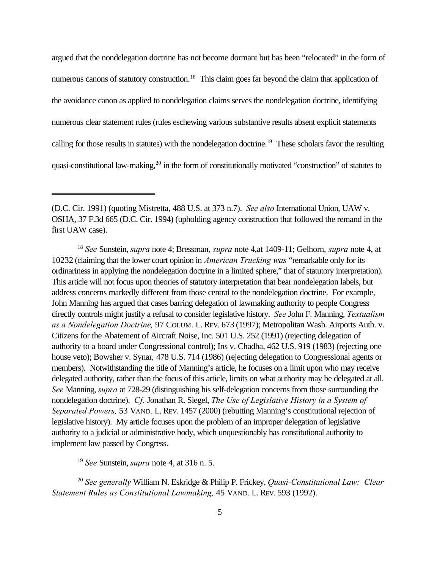argued that the nondelegation doctrine has not become dormant but has been "relocated" in the form of numerous canons of statutory construction.<sup>18</sup> This claim goes far beyond the claim that application of the avoidance canon as applied to nondelegation claims serves the nondelegation doctrine, identifying numerous clear statement rules (rules eschewing various substantive results absent explicit statements calling for those results in statutes) with the nondelegation doctrine.<sup>19</sup> These scholars favor the resulting quasi-constitutional law-making,<sup>20</sup> in the form of constitutionally motivated "construction" of statutes to

<sup>19</sup> *See* Sunstein, *supra* note 4, at 316 n. 5.

<sup>20</sup> *See generally* William N. Eskridge & Philip P. Frickey, *Quasi-Constitutional Law: Clear Statement Rules as Constitutional Lawmaking,* 45 VAND. L. REV. 593 (1992).

<sup>(</sup>D.C. Cir. 1991) (quoting Mistretta, 488 U.S. at 373 n.7). *See also* International Union, UAW v. OSHA, 37 F.3d 665 (D.C. Cir. 1994) (upholding agency construction that followed the remand in the first UAW case).

<sup>18</sup> *See* Sunstein, *supra* note 4; Bressman, *supra* note 4,at 1409-11; Gelhorn, *supra* note 4, at 10232 (claiming that the lower court opinion in *American Trucking was* "remarkable only for its ordinariness in applying the nondelegation doctrine in a limited sphere," that of statutory interpretation). This article will not focus upon theories of statutory interpretation that bear nondelegation labels, but address concerns markedly different from those central to the nondelegation doctrine. For example, John Manning has argued that cases barring delegation of lawmaking authority to people Congress directly controls might justify a refusal to consider legislative history. *See* John F. Manning, *Textualism as a Nondelegation Doctrine,* 97 COLUM. L. REV. 673 (1997); Metropolitan Wash. Airports Auth. v. Citizens for the Abatement of Aircraft Noise, Inc. 501 U.S. 252 (1991) (rejecting delegation of authority to a board under Congressional control); Ins v. Chadha, 462 U.S. 919 (1983) (rejecting one house veto); Bowsher v. Synar*,* 478 U.S. 714 (1986) (rejecting delegation to Congressional agents or members). Notwithstanding the title of Manning's article, he focuses on a limit upon who may receive delegated authority, rather than the focus of this article, limits on what authority may be delegated at all. *See* Manning, *supra* at 728-29 (distinguishing his self-delegation concerns from those surrounding the nondelegation doctrine). *Cf.* Jonathan R. Siegel, *The Use of Legislative History in a System of Separated Powers,* 53 VAND. L. REV. 1457 (2000) (rebutting Manning's constitutional rejection of legislative history). My article focuses upon the problem of an improper delegation of legislative authority to a judicial or administrative body, which unquestionably has constitutional authority to implement law passed by Congress.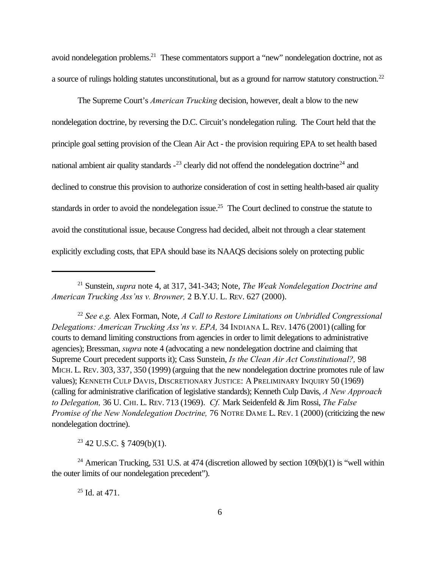avoid nondelegation problems.<sup>21</sup> These commentators support a "new" nondelegation doctrine, not as a source of rulings holding statutes unconstitutional, but as a ground for narrow statutory construction.<sup>22</sup>

The Supreme Court's *American Trucking* decision, however, dealt a blow to the new nondelegation doctrine, by reversing the D.C. Circuit's nondelegation ruling. The Court held that the principle goal setting provision of the Clean Air Act - the provision requiring EPA to set health based national ambient air quality standards  $-23$  clearly did not offend the nondelegation doctrine<sup>24</sup> and declined to construe this provision to authorize consideration of cost in setting health-based air quality standards in order to avoid the nondelegation issue.<sup>25</sup> The Court declined to construe the statute to avoid the constitutional issue, because Congress had decided, albeit not through a clear statement explicitly excluding costs, that EPA should base its NAAQS decisions solely on protecting public

<sup>22</sup> *See e.g.* Alex Forman, Note, *A Call to Restore Limitations on Unbridled Congressional Delegations: American Trucking Ass'ns v. EPA,* 34 INDIANA L. REV. 1476 (2001) (calling for courts to demand limiting constructions from agencies in order to limit delegations to administrative agencies); Bressman, *supra* note 4 (advocating a new nondelegation doctrine and claiming that Supreme Court precedent supports it); Cass Sunstein, *Is the Clean Air Act Constitutional?,* 98 MICH. L. REV. 303, 337, 350 (1999) (arguing that the new nondelegation doctrine promotes rule of law values); KENNETH CULP DAVIS, DISCRETIONARY JUSTICE: A PRELIMINARY INQUIRY 50 (1969) (calling for administrative clarification of legislative standards); Kenneth Culp Davis, *A New Approach to Delegation,* 36 U. CHI. L. REV. 713 (1969). *Cf.* Mark Seidenfeld & Jim Rossi, *The False Promise of the New Nondelegation Doctrine,* 76 NOTRE DAME L. REV. 1 (2000) (criticizing the new nondelegation doctrine).

 $23$  42 U.S.C. § 7409(b)(1).

<sup>24</sup> American Trucking, 531 U.S. at 474 (discretion allowed by section  $109(b)(1)$  is "well within the outer limits of our nondelegation precedent").

 $25$  Id. at 471.

<sup>21</sup> Sunstein, *supra* note 4, at 317, 341-343; Note, *The Weak Nondelegation Doctrine and American Trucking Ass'ns v. Browner,* 2 B.Y.U. L. REV. 627 (2000).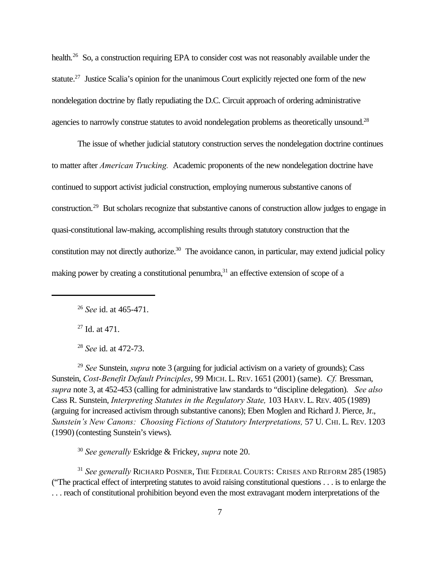health.<sup>26</sup> So, a construction requiring EPA to consider cost was not reasonably available under the statute.<sup>27</sup> Justice Scalia's opinion for the unanimous Court explicitly rejected one form of the new nondelegation doctrine by flatly repudiating the D.C. Circuit approach of ordering administrative agencies to narrowly construe statutes to avoid nondelegation problems as theoretically unsound.<sup>28</sup>

The issue of whether judicial statutory construction serves the nondelegation doctrine continues to matter after *American Trucking.* Academic proponents of the new nondelegation doctrine have continued to support activist judicial construction, employing numerous substantive canons of construction.<sup>29</sup> But scholars recognize that substantive canons of construction allow judges to engage in quasi-constitutional law-making, accomplishing results through statutory construction that the constitution may not directly authorize.<sup>30</sup> The avoidance canon, in particular, may extend judicial policy making power by creating a constitutional penumbra,<sup>31</sup> an effective extension of scope of a

 $27$  Id. at 471.

<sup>28</sup> *See* id. at 472-73.

<sup>29</sup> *See* Sunstein, *supra* note 3 (arguing for judicial activism on a variety of grounds); Cass Sunstein, *Cost-Benefit Default Principles*, 99 MICH. L. REV. 1651 (2001) (same). *Cf.* Bressman, *supra* note 3, at 452-453 (calling for administrative law standards to "discipline delegation). *See also* Cass R. Sunstein, *Interpreting Statutes in the Regulatory State,* 103 HARV. L. REV. 405 (1989) (arguing for increased activism through substantive canons); Eben Moglen and Richard J. Pierce, Jr., *Sunstein's New Canons: Choosing Fictions of Statutory Interpretations,* 57 U. CHI. L. REV. 1203 (1990) (contesting Sunstein's views).

<sup>30</sup> *See generally* Eskridge & Frickey, *supra* note 20.

<sup>31</sup> *See generally* RICHARD POSNER, THE FEDERAL COURTS: CRISES AND REFORM 285 (1985) ("The practical effect of interpreting statutes to avoid raising constitutional questions . . . is to enlarge the . . . reach of constitutional prohibition beyond even the most extravagant modern interpretations of the

<sup>26</sup> *See* id. at 465-471.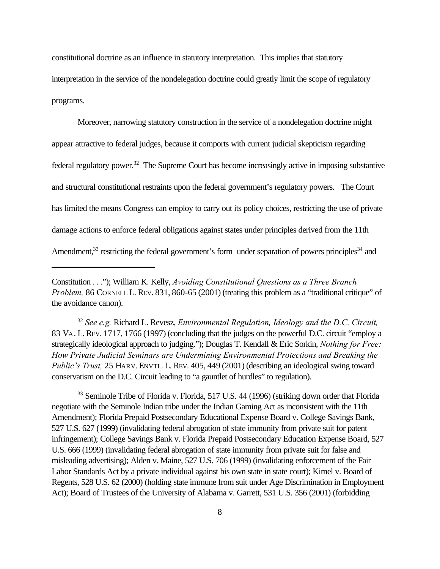constitutional doctrine as an influence in statutory interpretation. This implies that statutory interpretation in the service of the nondelegation doctrine could greatly limit the scope of regulatory programs.

Moreover, narrowing statutory construction in the service of a nondelegation doctrine might appear attractive to federal judges, because it comports with current judicial skepticism regarding federal regulatory power.<sup>32</sup> The Supreme Court has become increasingly active in imposing substantive and structural constitutional restraints upon the federal government's regulatory powers. The Court has limited the means Congress can employ to carry out its policy choices, restricting the use of private damage actions to enforce federal obligations against states under principles derived from the 11th Amendment, $33$  restricting the federal government's form under separation of powers principles  $34$  and

<sup>32</sup> *See e.g.* Richard L. Revesz, *Environmental Regulation, Ideology and the D.C. Circuit,* 83 VA. L. REV. 1717, 1766 (1997) (concluding that the judges on the powerful D.C. circuit "employ a strategically ideological approach to judging."); Douglas T. Kendall & Eric Sorkin, *Nothing for Free: How Private Judicial Seminars are Undermining Environmental Protections and Breaking the Public's Trust,* 25 HARV. ENVTL. L. REV. 405, 449 (2001) (describing an ideological swing toward conservatism on the D.C. Circuit leading to "a gauntlet of hurdles" to regulation).

<sup>33</sup> Seminole Tribe of Florida v. Florida, 517 U.S. 44 (1996) (striking down order that Florida negotiate with the Seminole Indian tribe under the Indian Gaming Act as inconsistent with the 11th Amendment); Florida Prepaid Postsecondary Educational Expense Board v. College Savings Bank, 527 U.S. 627 (1999) (invalidating federal abrogation of state immunity from private suit for patent infringement); College Savings Bank v. Florida Prepaid Postsecondary Education Expense Board, 527 U.S. 666 (1999) (invalidating federal abrogation of state immunity from private suit for false and misleading advertising); Alden v. Maine, 527 U.S. 706 (1999) (invalidating enforcement of the Fair Labor Standards Act by a private individual against his own state in state court); Kimel v. Board of Regents, 528 U.S. 62 (2000) (holding state immune from suit under Age Discrimination in Employment Act); Board of Trustees of the University of Alabama v. Garrett, 531 U.S. 356 (2001) (forbidding

Constitution . . ."); William K. Kelly, *Avoiding Constitutional Questions as a Three Branch Problem, 86 CORNELL L. REV. 831, 860-65 (2001)* (treating this problem as a "traditional critique" of the avoidance canon).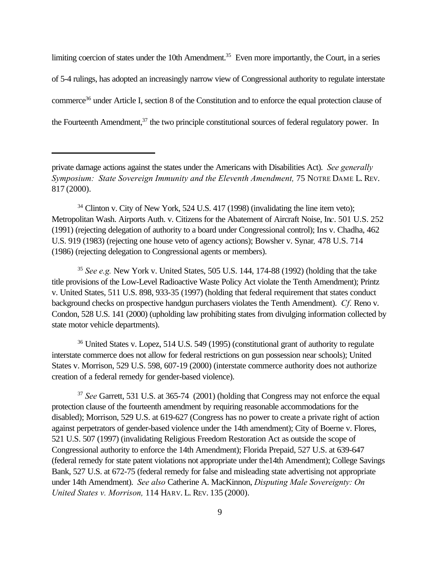limiting coercion of states under the 10th Amendment.<sup>35</sup> Even more importantly, the Court, in a series of 5-4 rulings, has adopted an increasingly narrow view of Congressional authority to regulate interstate commerce<sup>36</sup> under Article I, section 8 of the Constitution and to enforce the equal protection clause of the Fourteenth Amendment,<sup>37</sup> the two principle constitutional sources of federal regulatory power. In

 $34$  Clinton v. City of New York, 524 U.S. 417 (1998) (invalidating the line item veto); Metropolitan Wash. Airports Auth. v. Citizens for the Abatement of Aircraft Noise, In*c*. 501 U.S. 252 (1991) (rejecting delegation of authority to a board under Congressional control); Ins v. Chadha, 462 U.S. 919 (1983) (rejecting one house veto of agency actions); Bowsher v. Synar*,* 478 U.S. 714 (1986) (rejecting delegation to Congressional agents or members).

<sup>35</sup> *See e.g.* New York v. United States, 505 U.S. 144, 174-88 (1992) (holding that the take title provisions of the Low-Level Radioactive Waste Policy Act violate the Tenth Amendment); Printz v. United States, 511 U.S. 898, 933-35 (1997) (holding that federal requirement that states conduct background checks on prospective handgun purchasers violates the Tenth Amendment). *Cf.* Reno v. Condon, 528 U.S. 141 (2000) (upholding law prohibiting states from divulging information collected by state motor vehicle departments).

<sup>36</sup> United States v. Lopez, 514 U.S. 549 (1995) (constitutional grant of authority to regulate interstate commerce does not allow for federal restrictions on gun possession near schools); United States v. Morrison, 529 U.S. 598, 607-19 (2000) (interstate commerce authority does not authorize creation of a federal remedy for gender-based violence).

<sup>37</sup> *See* Garrett, 531 U.S. at 365-74 (2001) (holding that Congress may not enforce the equal protection clause of the fourteenth amendment by requiring reasonable accommodations for the disabled); Morrison, 529 U.S. at 619-627 (Congress has no power to create a private right of action against perpetrators of gender-based violence under the 14th amendment); City of Boerne v. Flores, 521 U.S. 507 (1997) (invalidating Religious Freedom Restoration Act as outside the scope of Congressional authority to enforce the 14th Amendment); Florida Prepaid, 527 U.S. at 639-647 (federal remedy for state patent violations not appropriate under the14th Amendment); College Savings Bank, 527 U.S. at 672-75 (federal remedy for false and misleading state advertising not appropriate under 14th Amendment). *See also* Catherine A. MacKinnon, *Disputing Male Sovereignty: On United States v. Morrison,* 114 HARV. L. REV. 135 (2000).

private damage actions against the states under the Americans with Disabilities Act). *See generally Symposium: State Sovereign Immunity and the Eleventh Amendment, 75 NOTRE DAME L. REV.* 817 (2000).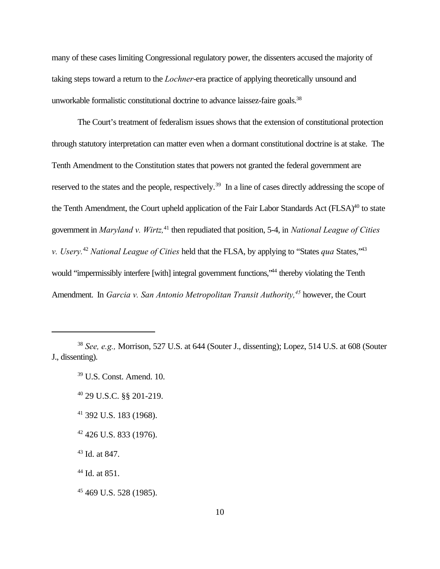many of these cases limiting Congressional regulatory power, the dissenters accused the majority of taking steps toward a return to the *Lochner*-era practice of applying theoretically unsound and unworkable formalistic constitutional doctrine to advance laissez-faire goals.<sup>38</sup>

The Court's treatment of federalism issues shows that the extension of constitutional protection through statutory interpretation can matter even when a dormant constitutional doctrine is at stake. The Tenth Amendment to the Constitution states that powers not granted the federal government are reserved to the states and the people, respectively.<sup>39</sup> In a line of cases directly addressing the scope of the Tenth Amendment, the Court upheld application of the Fair Labor Standards Act (FLSA)<sup>40</sup> to state government in *Maryland v. Wirtz,*<sup>41</sup> then repudiated that position, 5-4, in *National League of Cities v. Usery.*<sup>42</sup> *National League of Cities* held that the FLSA, by applying to "States *qua* States,"<sup>43</sup> would "impermissibly interfere [with] integral government functions,"<sup>44</sup> thereby violating the Tenth Amendment. In *Garcia v. San Antonio Metropolitan Transit Authority,<sup>45</sup>* however, the Court

- <sup>40</sup> 29 U.S.C. §§ 201-219.
- <sup>41</sup> 392 U.S. 183 (1968).
- $42$  426 U.S. 833 (1976).
- <sup>43</sup> Id. at 847.

<sup>45</sup> 469 U.S. 528 (1985).

<sup>38</sup> *See, e.g.,* Morrison, 527 U.S. at 644 (Souter J., dissenting); Lopez, 514 U.S. at 608 (Souter J., dissenting).

<sup>39</sup> U.S. Const. Amend. 10.

<sup>44</sup> Id. at 851.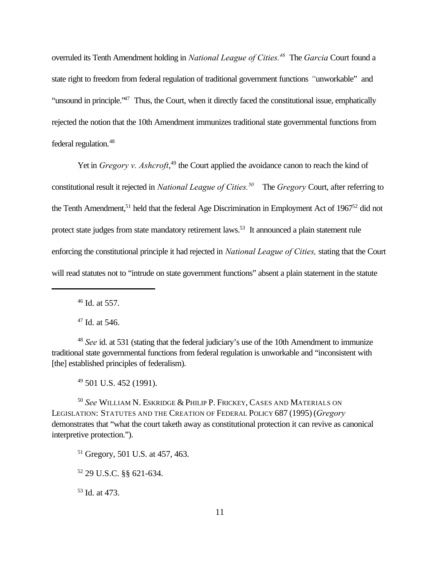overruled its Tenth Amendment holding in *National League of Cities.<sup>46</sup>* The *Garcia* Court found a state right to freedom from federal regulation of traditional government functions *"*unworkable" and "unsound in principle."<sup>47</sup> Thus, the Court, when it directly faced the constitutional issue, emphatically rejected the notion that the 10th Amendment immunizes traditional state governmental functions from federal regulation.<sup>48</sup>

Yet in *Gregory v. Ashcroft*,<sup>49</sup> the Court applied the avoidance canon to reach the kind of constitutional result it rejected in *National League of Cities.<sup>50</sup>* The *Gregory* Court, after referring to the Tenth Amendment,<sup>51</sup> held that the federal Age Discrimination in Employment Act of 1967<sup>52</sup> did not protect state judges from state mandatory retirement laws.<sup>53</sup> It announced a plain statement rule enforcing the constitutional principle it had rejected in *National League of Cities,* stating that the Court will read statutes not to "intrude on state government functions" absent a plain statement in the statute

<sup>46</sup> Id. at 557.

 $47$  Id. at 546.

<sup>48</sup> *See* id. at 531 (stating that the federal judiciary's use of the 10th Amendment to immunize traditional state governmental functions from federal regulation is unworkable and "inconsistent with [the] established principles of federalism).

<sup>49</sup> 501 U.S. 452 (1991).

<sup>50</sup> *See* WILLIAM N. ESKRIDGE & PHILIP P. FRICKEY, CASES AND MATERIALS ON LEGISLATION: STATUTES AND THE CREATION OF FEDERAL POLICY 687 (1995) (*Gregory* demonstrates that "what the court taketh away as constitutional protection it can revive as canonical interpretive protection.").

<sup>51</sup> Gregory, 501 U.S. at 457, 463.

<sup>52</sup> 29 U.S.C. §§ 621-634.

<sup>53</sup> Id. at 473.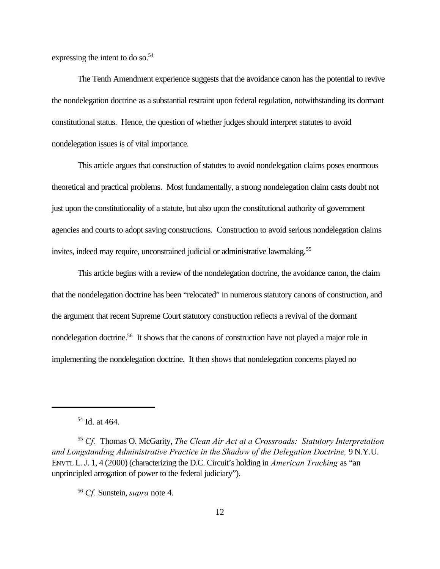expressing the intent to do so.<sup>54</sup>

The Tenth Amendment experience suggests that the avoidance canon has the potential to revive the nondelegation doctrine as a substantial restraint upon federal regulation, notwithstanding its dormant constitutional status. Hence, the question of whether judges should interpret statutes to avoid nondelegation issues is of vital importance.

This article argues that construction of statutes to avoid nondelegation claims poses enormous theoretical and practical problems. Most fundamentally, a strong nondelegation claim casts doubt not just upon the constitutionality of a statute, but also upon the constitutional authority of government agencies and courts to adopt saving constructions. Construction to avoid serious nondelegation claims invites, indeed may require, unconstrained judicial or administrative lawmaking.<sup>55</sup>

This article begins with a review of the nondelegation doctrine, the avoidance canon, the claim that the nondelegation doctrine has been "relocated" in numerous statutory canons of construction, and the argument that recent Supreme Court statutory construction reflects a revival of the dormant nondelegation doctrine.<sup>56</sup> It shows that the canons of construction have not played a major role in implementing the nondelegation doctrine. It then shows that nondelegation concerns played no

<sup>54</sup> Id. at 464.

<sup>55</sup> *Cf.* Thomas O. McGarity, *The Clean Air Act at a Crossroads: Statutory Interpretation and Longstanding Administrative Practice in the Shadow of the Delegation Doctrine,* 9 N.Y.U. ENVTL L.J. 1, 4 (2000) (characterizing the D.C. Circuit's holding in *American Trucking* as "an unprincipled arrogation of power to the federal judiciary").

<sup>56</sup> *Cf.* Sunstein, *supra* note 4.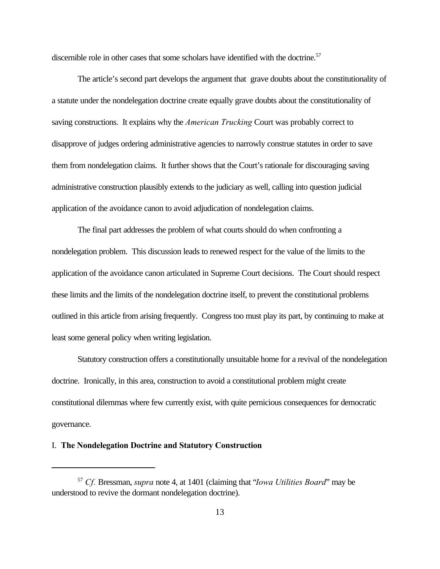discernible role in other cases that some scholars have identified with the doctrine.<sup>57</sup>

The article's second part develops the argument that grave doubts about the constitutionality of a statute under the nondelegation doctrine create equally grave doubts about the constitutionality of saving constructions. It explains why the *American Trucking* Court was probably correct to disapprove of judges ordering administrative agencies to narrowly construe statutes in order to save them from nondelegation claims. It further shows that the Court's rationale for discouraging saving administrative construction plausibly extends to the judiciary as well, calling into question judicial application of the avoidance canon to avoid adjudication of nondelegation claims.

The final part addresses the problem of what courts should do when confronting a nondelegation problem. This discussion leads to renewed respect for the value of the limits to the application of the avoidance canon articulated in Supreme Court decisions. The Court should respect these limits and the limits of the nondelegation doctrine itself, to prevent the constitutional problems outlined in this article from arising frequently. Congress too must play its part, by continuing to make at least some general policy when writing legislation.

Statutory construction offers a constitutionally unsuitable home for a revival of the nondelegation doctrine. Ironically, in this area, construction to avoid a constitutional problem might create constitutional dilemmas where few currently exist, with quite pernicious consequences for democratic governance.

#### I. **The Nondelegation Doctrine and Statutory Construction**

<sup>57</sup> *Cf.* Bressman, *supra* note 4, at 1401 (claiming that "*Iowa Utilities Board*" may be understood to revive the dormant nondelegation doctrine).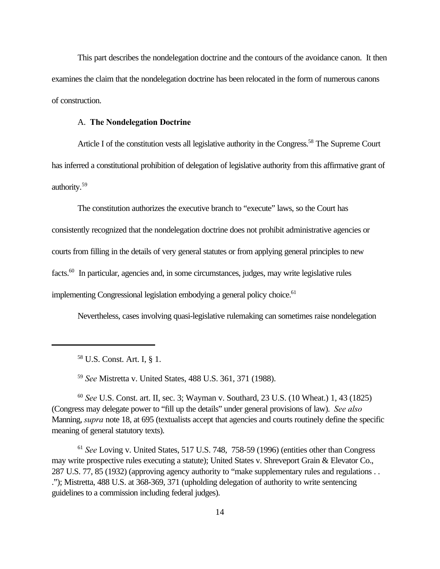This part describes the nondelegation doctrine and the contours of the avoidance canon. It then examines the claim that the nondelegation doctrine has been relocated in the form of numerous canons of construction.

#### A. **The Nondelegation Doctrine**

Article I of the constitution vests all legislative authority in the Congress.<sup>58</sup> The Supreme Court has inferred a constitutional prohibition of delegation of legislative authority from this affirmative grant of authority.<sup>59</sup>

The constitution authorizes the executive branch to "execute" laws, so the Court has consistently recognized that the nondelegation doctrine does not prohibit administrative agencies or courts from filling in the details of very general statutes or from applying general principles to new facts.<sup>60</sup> In particular, agencies and, in some circumstances, judges, may write legislative rules implementing Congressional legislation embodying a general policy choice.<sup>61</sup>

Nevertheless, cases involving quasi-legislative rulemaking can sometimes raise nondelegation

<sup>59</sup> *See* Mistretta v. United States, 488 U.S. 361, 371 (1988).

<sup>60</sup> *See* U.S. Const. art. II, sec. 3; Wayman v. Southard, 23 U.S. (10 Wheat.) 1, 43 (1825) (Congress may delegate power to "fill up the details" under general provisions of law). *See also* Manning, *supra* note 18, at 695 (textualists accept that agencies and courts routinely define the specific meaning of general statutory texts).

<sup>61</sup> *See* Loving v. United States, 517 U.S. 748, 758-59 (1996) (entities other than Congress may write prospective rules executing a statute); United States v. Shreveport Grain & Elevator Co., 287 U.S. 77, 85 (1932) (approving agency authority to "make supplementary rules and regulations . . ."); Mistretta, 488 U.S. at 368-369, 371 (upholding delegation of authority to write sentencing guidelines to a commission including federal judges).

<sup>58</sup> U.S. Const. Art. I, § 1.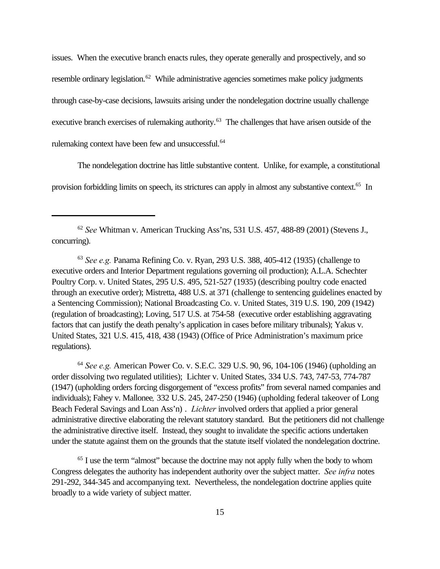issues. When the executive branch enacts rules, they operate generally and prospectively, and so resemble ordinary legislation.<sup>62</sup> While administrative agencies sometimes make policy judgments through case-by-case decisions, lawsuits arising under the nondelegation doctrine usually challenge executive branch exercises of rulemaking authority.<sup>63</sup> The challenges that have arisen outside of the rulemaking context have been few and unsuccessful.<sup>64</sup>

The nondelegation doctrine has little substantive content. Unlike, for example, a constitutional provision forbidding limits on speech, its strictures can apply in almost any substantive context.<sup>65</sup> In

<sup>62</sup> *See* Whitman v. American Trucking Ass'ns, 531 U.S. 457, 488-89 (2001) (Stevens J., concurring).

<sup>63</sup> *See e.g.* Panama Refining Co. v. Ryan, 293 U.S. 388, 405-412 (1935) (challenge to executive orders and Interior Department regulations governing oil production); A.L.A. Schechter Poultry Corp. v. United States, 295 U.S. 495, 521-527 (1935) (describing poultry code enacted through an executive order); Mistretta, 488 U.S. at 371 (challenge to sentencing guidelines enacted by a Sentencing Commission); National Broadcasting Co. v. United States, 319 U.S. 190, 209 (1942) (regulation of broadcasting); Loving, 517 U.S. at 754-58 (executive order establishing aggravating factors that can justify the death penalty's application in cases before military tribunals); Yakus v. United States, 321 U.S. 415, 418, 438 (1943) (Office of Price Administration's maximum price regulations).

<sup>64</sup> *See e.g.* American Power Co. v. S.E.C. 329 U.S. 90, 96, 104-106 (1946) (upholding an order dissolving two regulated utilities); Lichter v. United States, 334 U.S. 743, 747-53, 774-787 (1947) (upholding orders forcing disgorgement of "excess profits" from several named companies and individuals); Fahey v. Mallonee*,* 332 U.S. 245, 247-250 (1946) (upholding federal takeover of Long Beach Federal Savings and Loan Ass'n) . *Lichter* involved orders that applied a prior general administrative directive elaborating the relevant statutory standard. But the petitioners did not challenge the administrative directive itself. Instead, they sought to invalidate the specific actions undertaken under the statute against them on the grounds that the statute itself violated the nondelegation doctrine.

<sup>65</sup> I use the term "almost" because the doctrine may not apply fully when the body to whom Congress delegates the authority has independent authority over the subject matter. *See infra* notes 291-292, 344-345 and accompanying text. Nevertheless, the nondelegation doctrine applies quite broadly to a wide variety of subject matter.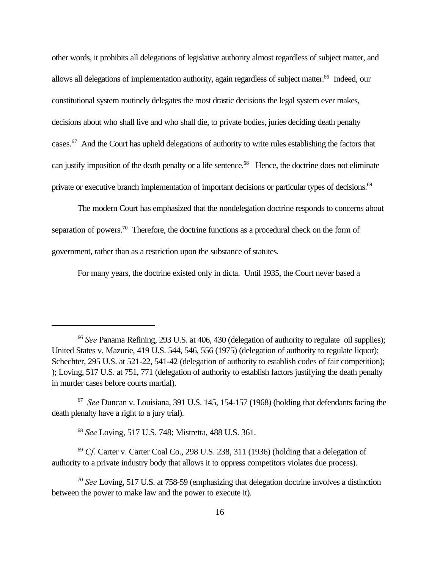other words, it prohibits all delegations of legislative authority almost regardless of subject matter, and allows all delegations of implementation authority, again regardless of subject matter.<sup>66</sup> Indeed, our constitutional system routinely delegates the most drastic decisions the legal system ever makes, decisions about who shall live and who shall die, to private bodies, juries deciding death penalty cases.<sup>67</sup> And the Court has upheld delegations of authority to write rules establishing the factors that can justify imposition of the death penalty or a life sentence.<sup>68</sup> Hence, the doctrine does not eliminate private or executive branch implementation of important decisions or particular types of decisions.<sup>69</sup>

The modern Court has emphasized that the nondelegation doctrine responds to concerns about separation of powers.<sup>70</sup> Therefore, the doctrine functions as a procedural check on the form of government, rather than as a restriction upon the substance of statutes.

For many years, the doctrine existed only in dicta. Until 1935, the Court never based a

<sup>68</sup> *See* Loving, 517 U.S. 748; Mistretta, 488 U.S. 361.

<sup>69</sup> *Cf*. Carter v. Carter Coal Co., 298 U.S. 238, 311 (1936) (holding that a delegation of authority to a private industry body that allows it to oppress competitors violates due process).

<sup>&</sup>lt;sup>66</sup> See Panama Refining, 293 U.S. at 406, 430 (delegation of authority to regulate oil supplies); United States v. Mazurie, 419 U.S. 544, 546, 556 (1975) (delegation of authority to regulate liquor); Schechter, 295 U.S. at 521-22, 541-42 (delegation of authority to establish codes of fair competition); ); Loving, 517 U.S. at 751, 771 (delegation of authority to establish factors justifying the death penalty in murder cases before courts martial).

<sup>67</sup> *See* Duncan v. Louisiana, 391 U.S. 145, 154-157 (1968) (holding that defendants facing the death plenalty have a right to a jury trial).

<sup>70</sup> *See* Loving, 517 U.S. at 758-59 (emphasizing that delegation doctrine involves a distinction between the power to make law and the power to execute it).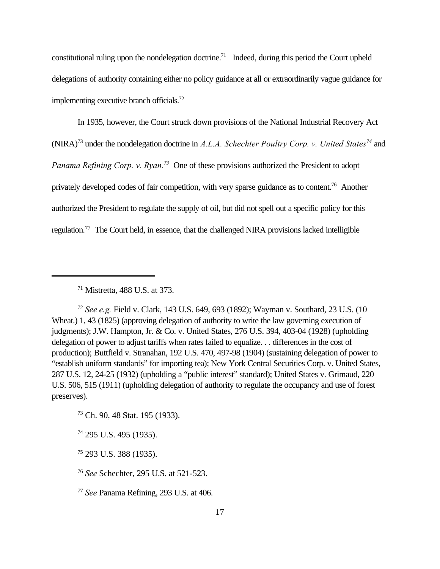constitutional ruling upon the nondelegation doctrine.<sup>71</sup> Indeed, during this period the Court upheld delegations of authority containing either no policy guidance at all or extraordinarily vague guidance for implementing executive branch officials.<sup>72</sup>

In 1935, however, the Court struck down provisions of the National Industrial Recovery Act (NIRA)<sup>73</sup> under the nondelegation doctrine in *A.L.A. Schechter Poultry Corp. v. United States<sup>74</sup>* and *Panama Refining Corp. v. Ryan.<sup>75</sup>* One of these provisions authorized the President to adopt privately developed codes of fair competition, with very sparse guidance as to content.<sup>76</sup> Another authorized the President to regulate the supply of oil, but did not spell out a specific policy for this regulation.77 The Court held, in essence, that the challenged NIRA provisions lacked intelligible

<sup>72</sup> *See e.g.* Field v. Clark, 143 U.S. 649, 693 (1892); Wayman v. Southard, 23 U.S. (10 Wheat.) 1, 43 (1825) (approving delegation of authority to write the law governing execution of judgments); J.W. Hampton, Jr. & Co. v. United States, 276 U.S. 394, 403-04 (1928) (upholding delegation of power to adjust tariffs when rates failed to equalize. . . differences in the cost of production); Buttfield v. Stranahan, 192 U.S. 470, 497-98 (1904) (sustaining delegation of power to "establish uniform standards" for importing tea); New York Central Securities Corp. v. United States, 287 U.S. 12, 24-25 (1932) (upholding a "public interest" standard); United States v. Grimaud, 220 U.S. 506, 515 (1911) (upholding delegation of authority to regulate the occupancy and use of forest preserves).

<sup>73</sup> Ch. 90, 48 Stat. 195 (1933).

<sup>74</sup> 295 U.S. 495 (1935).

<sup>75</sup> 293 U.S. 388 (1935).

<sup>76</sup> *See* Schechter, 295 U.S. at 521-523.

<sup>77</sup> *See* Panama Refining, 293 U.S. at 406.

<sup>71</sup> Mistretta, 488 U.S. at 373.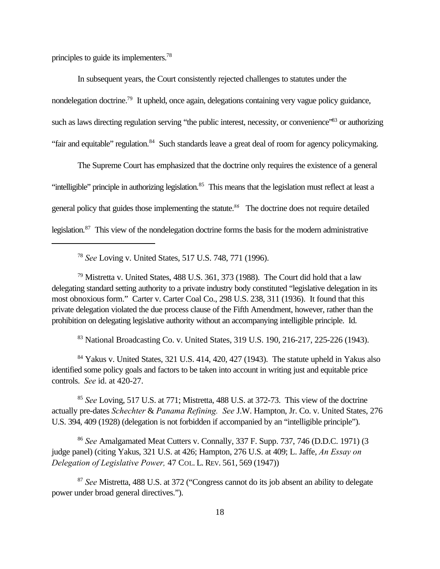principles to guide its implementers.<sup>78</sup>

In subsequent years, the Court consistently rejected challenges to statutes under the nondelegation doctrine.<sup>79</sup> It upheld, once again, delegations containing very vague policy guidance, such as laws directing regulation serving "the public interest, necessity, or convenience"<sup>83</sup> or authorizing "fair and equitable" regulation.<sup>84</sup> Such standards leave a great deal of room for agency policymaking.

The Supreme Court has emphasized that the doctrine only requires the existence of a general "intelligible" principle in authorizing legislation.<sup>85</sup> This means that the legislation must reflect at least a general policy that guides those implementing the statute.*<sup>86</sup>* The doctrine does not require detailed legislation.<sup>87</sup> This view of the nondelegation doctrine forms the basis for the modern administrative

<sup>78</sup> *See* Loving v. United States, 517 U.S. 748, 771 (1996).

<sup>79</sup> Mistretta v. United States, 488 U.S. 361, 373 (1988). The Court did hold that a law delegating standard setting authority to a private industry body constituted "legislative delegation in its most obnoxious form." Carter v. Carter Coal Co., 298 U.S. 238, 311 (1936). It found that this private delegation violated the due process clause of the Fifth Amendment, however, rather than the prohibition on delegating legislative authority without an accompanying intelligible principle. Id.

<sup>83</sup> National Broadcasting Co. v. United States, 319 U.S. 190, 216-217, 225-226 (1943).

<sup>84</sup> Yakus v. United States, 321 U.S. 414, 420, 427 (1943). The statute upheld in Yakus also identified some policy goals and factors to be taken into account in writing just and equitable price controls. *See* id. at 420-27.

<sup>85</sup> *See* Loving, 517 U.S. at 771; Mistretta, 488 U.S. at 372-73. This view of the doctrine actually pre-dates *Schechter* & *Panama Refining. See* J.W. Hampton, Jr. Co. v. United States, 276 U.S. 394, 409 (1928) (delegation is not forbidden if accompanied by an "intelligible principle").

<sup>86</sup> *See* Amalgamated Meat Cutters v. Connally, 337 F. Supp. 737, 746 (D.D.C. 1971) (3 judge panel) (citing Yakus, 321 U.S. at 426; Hampton, 276 U.S. at 409; L. Jaffe, *An Essay on Delegation of Legislative Power,* 47 COL. L. REV. 561, 569 (1947))

<sup>87</sup> *See* Mistretta, 488 U.S. at 372 ("Congress cannot do its job absent an ability to delegate power under broad general directives.").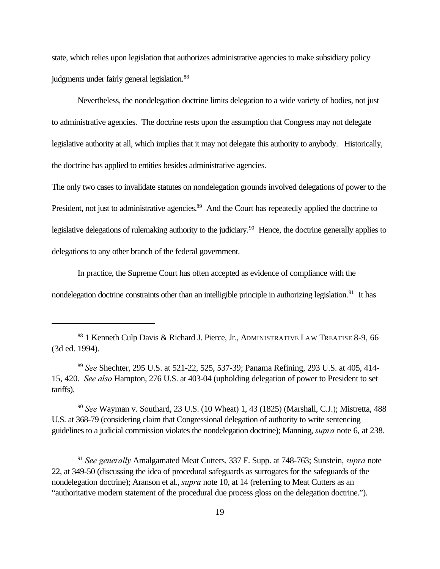state, which relies upon legislation that authorizes administrative agencies to make subsidiary policy judgments under fairly general legislation.<sup>88</sup>

Nevertheless, the nondelegation doctrine limits delegation to a wide variety of bodies, not just to administrative agencies. The doctrine rests upon the assumption that Congress may not delegate legislative authority at all, which implies that it may not delegate this authority to anybody. Historically, the doctrine has applied to entities besides administrative agencies.

The only two cases to invalidate statutes on nondelegation grounds involved delegations of power to the President, not just to administrative agencies.<sup>89</sup> And the Court has repeatedly applied the doctrine to legislative delegations of rulemaking authority to the judiciary.<sup>90</sup> Hence, the doctrine generally applies to delegations to any other branch of the federal government.

In practice, the Supreme Court has often accepted as evidence of compliance with the nondelegation doctrine constraints other than an intelligible principle in authorizing legislation.<sup>91</sup> It has

<sup>89</sup> *See* Shechter, 295 U.S. at 521-22, 525, 537-39; Panama Refining, 293 U.S. at 405, 414- 15, 420. *See also* Hampton, 276 U.S. at 403-04 (upholding delegation of power to President to set tariffs).

<sup>90</sup> *See* Wayman v. Southard, 23 U.S. (10 Wheat) 1, 43 (1825) (Marshall, C.J.); Mistretta, 488 U.S. at 368-79 (considering claim that Congressional delegation of authority to write sentencing guidelines to a judicial commission violates the nondelegation doctrine); Manning, *supra* note 6, at 238.

<sup>91</sup> *See generally* Amalgamated Meat Cutters, 337 F. Supp. at 748-763; Sunstein, *supra* note 22, at 349-50 (discussing the idea of procedural safeguards as surrogates for the safeguards of the nondelegation doctrine); Aranson et al., *supra* note 10, at 14 (referring to Meat Cutters as an "authoritative modern statement of the procedural due process gloss on the delegation doctrine.").

<sup>88 1</sup> Kenneth Culp Davis & Richard J. Pierce, Jr., ADMINISTRATIVE LAW TREATISE 8-9, 66 (3d ed. 1994).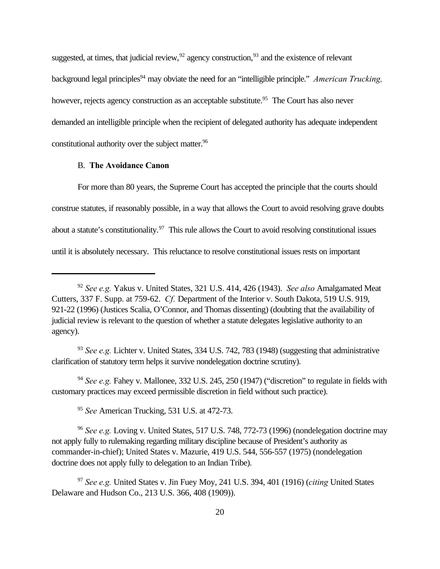suggested, at times, that judicial review,  $^{92}$  agency construction,  $^{93}$  and the existence of relevant background legal principles<sup>94</sup> may obviate the need for an "intelligible principle." *American Trucking*, however, rejects agency construction as an acceptable substitute.<sup>95</sup> The Court has also never demanded an intelligible principle when the recipient of delegated authority has adequate independent constitutional authority over the subject matter.<sup>96</sup>

#### B. **The Avoidance Canon**

For more than 80 years, the Supreme Court has accepted the principle that the courts should construe statutes, if reasonably possible, in a way that allows the Court to avoid resolving grave doubts about a statute's constitutionality.<sup>97</sup> This rule allows the Court to avoid resolving constitutional issues until it is absolutely necessary. This reluctance to resolve constitutional issues rests on important

<sup>93</sup> *See e.g.* Lichter v. United States, 334 U.S. 742, 783 (1948) (suggesting that administrative clarification of statutory term helps it survive nondelegation doctrine scrutiny).

<sup>94</sup> See e.g. Fahey v. Mallonee, 332 U.S. 245, 250 (1947) ("discretion" to regulate in fields with customary practices may exceed permissible discretion in field without such practice).

<sup>95</sup> *See* American Trucking, 531 U.S. at 472-73.

<sup>96</sup> *See e.g.* Loving v. United States, 517 U.S. 748, 772-73 (1996) (nondelegation doctrine may not apply fully to rulemaking regarding military discipline because of President's authority as commander-in-chief); United States v. Mazurie, 419 U.S. 544, 556-557 (1975) (nondelegation doctrine does not apply fully to delegation to an Indian Tribe).

<sup>97</sup> *See e.g.* United States v. Jin Fuey Moy, 241 U.S. 394, 401 (1916) (*citing* United States Delaware and Hudson Co., 213 U.S. 366, 408 (1909)).

<sup>92</sup> *See e.g.* Yakus v. United States, 321 U.S. 414, 426 (1943). *See also* Amalgamated Meat Cutters, 337 F. Supp. at 759-62. *Cf.* Department of the Interior v. South Dakota, 519 U.S. 919, 921-22 (1996) (Justices Scalia, O'Connor, and Thomas dissenting) (doubting that the availability of judicial review is relevant to the question of whether a statute delegates legislative authority to an agency).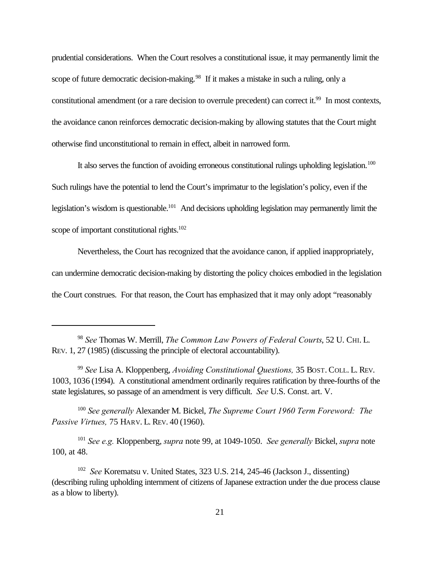prudential considerations. When the Court resolves a constitutional issue, it may permanently limit the scope of future democratic decision-making.<sup>98</sup> If it makes a mistake in such a ruling, only a constitutional amendment (or a rare decision to overrule precedent) can correct it.<sup>99</sup> In most contexts, the avoidance canon reinforces democratic decision-making by allowing statutes that the Court might otherwise find unconstitutional to remain in effect, albeit in narrowed form.

It also serves the function of avoiding erroneous constitutional rulings upholding legislation.<sup>100</sup> Such rulings have the potential to lend the Court's imprimatur to the legislation's policy, even if the legislation's wisdom is questionable.<sup>101</sup> And decisions upholding legislation may permanently limit the scope of important constitutional rights.<sup>102</sup>

Nevertheless, the Court has recognized that the avoidance canon, if applied inappropriately, can undermine democratic decision-making by distorting the policy choices embodied in the legislation the Court construes. For that reason, the Court has emphasized that it may only adopt "reasonably

<sup>100</sup> *See generally* Alexander M. Bickel, *The Supreme Court 1960 Term Foreword: The Passive Virtues,* 75 HARV. L. REV. 40 (1960).

<sup>101</sup> *See e.g.* Kloppenberg, *supra* note 99, at 1049-1050. *See generally* Bickel, *supra* note 100, at 48.

<sup>98</sup> *See* Thomas W. Merrill, *The Common Law Powers of Federal Courts*, 52 U. CHI. L. REV. 1, 27 (1985) (discussing the principle of electoral accountability).

<sup>99</sup> *See* Lisa A. Kloppenberg, *Avoiding Constitutional Questions,* 35 BOST. COLL. L. REV. 1003, 1036 (1994). A constitutional amendment ordinarily requires ratification by three-fourths of the state legislatures, so passage of an amendment is very difficult. *See* U.S. Const. art. V.

<sup>102</sup> *See* Korematsu v. United States, 323 U.S. 214, 245-46 (Jackson J., dissenting) (describing ruling upholding internment of citizens of Japanese extraction under the due process clause as a blow to liberty).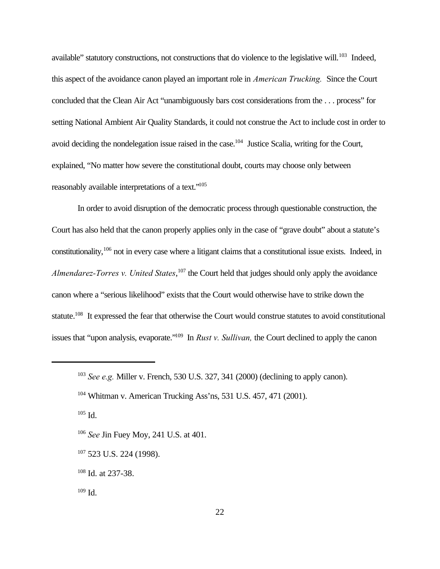available" statutory constructions, not constructions that do violence to the legislative will.<sup>103</sup> Indeed, this aspect of the avoidance canon played an important role in *American Trucking.* Since the Court concluded that the Clean Air Act "unambiguously bars cost considerations from the . . . process" for setting National Ambient Air Quality Standards, it could not construe the Act to include cost in order to avoid deciding the nondelegation issue raised in the case.<sup>104</sup> Justice Scalia, writing for the Court, explained, "No matter how severe the constitutional doubt, courts may choose only between reasonably available interpretations of a text."<sup>105</sup>

In order to avoid disruption of the democratic process through questionable construction, the Court has also held that the canon properly applies only in the case of "grave doubt" about a statute's constitutionality,<sup>106</sup> not in every case where a litigant claims that a constitutional issue exists. Indeed, in *Almendarez-Torres v. United States*, <sup>107</sup> the Court held that judges should only apply the avoidance canon where a "serious likelihood" exists that the Court would otherwise have to strike down the statute.<sup>108</sup> It expressed the fear that otherwise the Court would construe statutes to avoid constitutional issues that "upon analysis, evaporate."109 In *Rust v. Sullivan,* the Court declined to apply the canon

 $105$  Id.

<sup>107</sup> 523 U.S. 224 (1998).

<sup>103</sup> *See e.g.* Miller v. French, 530 U.S. 327, 341 (2000) (declining to apply canon).

<sup>104</sup> Whitman v. American Trucking Ass'ns, 531 U.S. 457, 471 (2001).

<sup>106</sup> *See* Jin Fuey Moy, 241 U.S. at 401.

<sup>108</sup> Id. at 237-38.

 $109$  Id.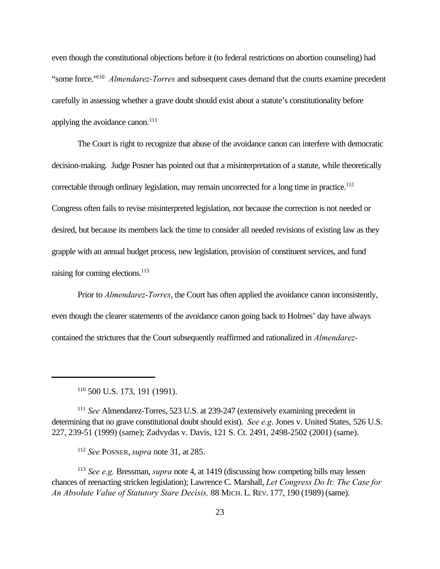even though the constitutional objections before it (to federal restrictions on abortion counseling) had "some force."<sup>110</sup> *Almendarez-Torres* and subsequent cases demand that the courts examine precedent carefully in assessing whether a grave doubt should exist about a statute's constitutionality before applying the avoidance canon. $^{111}$ 

The Court is right to recognize that abuse of the avoidance canon can interfere with democratic decision-making. Judge Posner has pointed out that a misinterpretation of a statute, while theoretically correctable through ordinary legislation, may remain uncorrected for a long time in practice.<sup>112</sup> Congress often fails to revise misinterpreted legislation, not because the correction is not needed or desired, but because its members lack the time to consider all needed revisions of existing law as they grapple with an annual budget process, new legislation, provision of constituent services, and fund raising for coming elections.<sup>113</sup>

Prior to *Almendarez-Torres*, the Court has often applied the avoidance canon inconsistently, even though the clearer statements of the avoidance canon going back to Holmes' day have always contained the strictures that the Court subsequently reaffirmed and rationalized in *Almendarez-*

<sup>112</sup> *See* POSNER,*supra* note 31, at 285.

<sup>113</sup> *See e.g.* Bressman, *supra* note 4, at 1419 (discussing how competing bills may lessen chances of reenacting stricken legislation); Lawrence C. Marshall, *Let Congress Do It: The Case for An Absolute Value of Statutory Stare Decisis,* 88 MICH. L. REV. 177, 190 (1989) (same).

<sup>110</sup> 500 U.S. 173, 191 (1991).

<sup>111</sup> *See* Almendarez-Torres, 523 U.S. at 239-247 (extensively examining precedent in determining that no grave constitutional doubt should exist). *See e.g*. Jones v. United States, 526 U.S. 227, 239-51 (1999) (same); Zadvydas v. Davis, 121 S. Ct. 2491, 2498-2502 (2001) (same).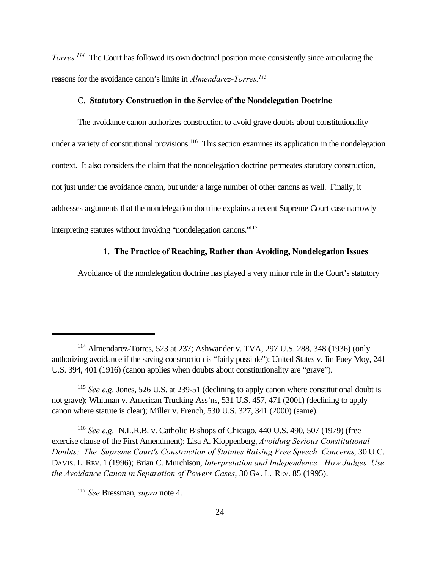*Torres.<sup>114</sup>* The Court has followed its own doctrinal position more consistently since articulating the reasons for the avoidance canon's limits in *Almendarez-Torres.<sup>115</sup>*

#### C. **Statutory Construction in the Service of the Nondelegation Doctrine**

The avoidance canon authorizes construction to avoid grave doubts about constitutionality under a variety of constitutional provisions.<sup>116</sup> This section examines its application in the nondelegation context. It also considers the claim that the nondelegation doctrine permeates statutory construction, not just under the avoidance canon, but under a large number of other canons as well. Finally, it addresses arguments that the nondelegation doctrine explains a recent Supreme Court case narrowly interpreting statutes without invoking "nondelegation canons."<sup>117</sup>

#### 1. **The Practice of Reaching, Rather than Avoiding, Nondelegation Issues**

Avoidance of the nondelegation doctrine has played a very minor role in the Court's statutory

<sup>114</sup> Almendarez-Torres, 523 at 237; Ashwander v. TVA, 297 U.S. 288, 348 (1936) (only authorizing avoidance if the saving construction is "fairly possible"); United States v. Jin Fuey Moy, 241 U.S. 394, 401 (1916) (canon applies when doubts about constitutionality are "grave").

<sup>115</sup> *See e.g.* Jones, 526 U.S. at 239-51 (declining to apply canon where constitutional doubt is not grave); Whitman v. American Trucking Ass'ns, 531 U.S. 457, 471 (2001) (declining to apply canon where statute is clear); Miller v. French, 530 U.S. 327, 341 (2000) (same).

<sup>116</sup> *See e.g.* N.L.R.B. v. Catholic Bishops of Chicago, 440 U.S. 490, 507 (1979) (free exercise clause of the First Amendment); Lisa A. Kloppenberg, *Avoiding Serious Constitutional Doubts: The Supreme Court's Construction of Statutes Raising Free Speech Concerns,* 30 U.C. DAVIS. L. REV. 1 (1996); Brian C. Murchison, *Interpretation and Independence: How Judges Use the Avoidance Canon in Separation of Powers Cases*, 30 GA. L. REV. 85 (1995).

<sup>117</sup> *See* Bressman, *supra* note 4.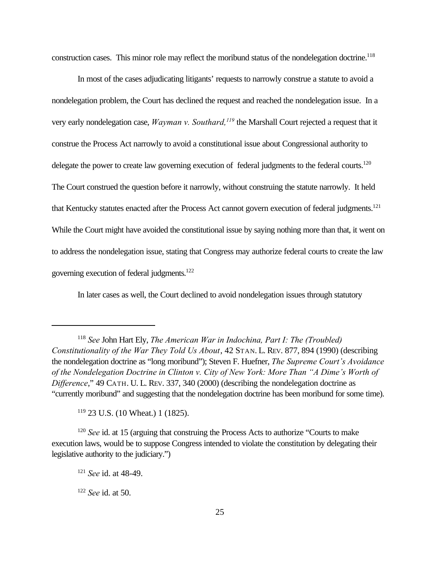construction cases. This minor role may reflect the moribund status of the nondelegation doctrine.<sup>118</sup>

In most of the cases adjudicating litigants' requests to narrowly construe a statute to avoid a nondelegation problem, the Court has declined the request and reached the nondelegation issue. In a very early nondelegation case, *Wayman v. Southard,<sup>119</sup>* the Marshall Court rejected a request that it construe the Process Act narrowly to avoid a constitutional issue about Congressional authority to delegate the power to create law governing execution of federal judgments to the federal courts.<sup>120</sup> The Court construed the question before it narrowly, without construing the statute narrowly. It held that Kentucky statutes enacted after the Process Act cannot govern execution of federal judgments.<sup>121</sup> While the Court might have avoided the constitutional issue by saying nothing more than that, it went on to address the nondelegation issue, stating that Congress may authorize federal courts to create the law governing execution of federal judgments.<sup>122</sup>

In later cases as well, the Court declined to avoid nondelegation issues through statutory

<sup>119</sup> 23 U.S. (10 Wheat.) 1 (1825).

<sup>118</sup> *See* John Hart Ely, *The American War in Indochina, Part I: The (Troubled) Constitutionality of the War They Told Us About*, 42 STAN. L. REV. 877, 894 (1990) (describing the nondelegation doctrine as "long moribund"); Steven F. Huefner, *The Supreme Court's Avoidance of the Nondelegation Doctrine in Clinton v. City of New York: More Than "A Dime's Worth of Difference*," 49 CATH. U. L. REV. 337, 340 (2000) (describing the nondelegation doctrine as "currently moribund" and suggesting that the nondelegation doctrine has been moribund for some time).

<sup>&</sup>lt;sup>120</sup> *See* id. at 15 (arguing that construing the Process Acts to authorize "Courts to make execution laws, would be to suppose Congress intended to violate the constitution by delegating their legislative authority to the judiciary.")

<sup>121</sup> *See* id. at 48-49.

<sup>122</sup> *See* id. at 50.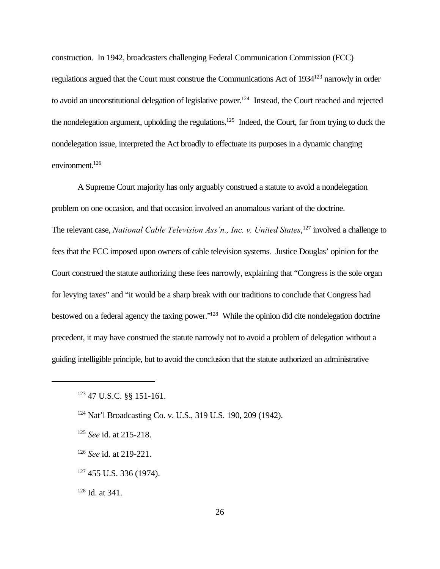construction. In 1942, broadcasters challenging Federal Communication Commission (FCC) regulations argued that the Court must construe the Communications Act of 1934<sup>123</sup> narrowly in order to avoid an unconstitutional delegation of legislative power.<sup>124</sup> Instead, the Court reached and rejected the nondelegation argument, upholding the regulations.<sup>125</sup> Indeed, the Court, far from trying to duck the nondelegation issue, interpreted the Act broadly to effectuate its purposes in a dynamic changing environment. $126$ 

A Supreme Court majority has only arguably construed a statute to avoid a nondelegation problem on one occasion, and that occasion involved an anomalous variant of the doctrine. The relevant case, *National Cable Television Ass'n., Inc. v. United States*, <sup>127</sup> involved a challenge to fees that the FCC imposed upon owners of cable television systems. Justice Douglas' opinion for the Court construed the statute authorizing these fees narrowly, explaining that "Congress is the sole organ for levying taxes" and "it would be a sharp break with our traditions to conclude that Congress had bestowed on a federal agency the taxing power."<sup>128</sup> While the opinion did cite nondelegation doctrine precedent, it may have construed the statute narrowly not to avoid a problem of delegation without a guiding intelligible principle, but to avoid the conclusion that the statute authorized an administrative

- <sup>125</sup> *See* id. at 215-218.
- <sup>126</sup> *See* id. at 219-221.
- $127$  455 U.S. 336 (1974).

<sup>128</sup> Id. at 341.

<sup>123</sup> 47 U.S.C. §§ 151-161.

<sup>124</sup> Nat'l Broadcasting Co. v. U.S., 319 U.S. 190, 209 (1942).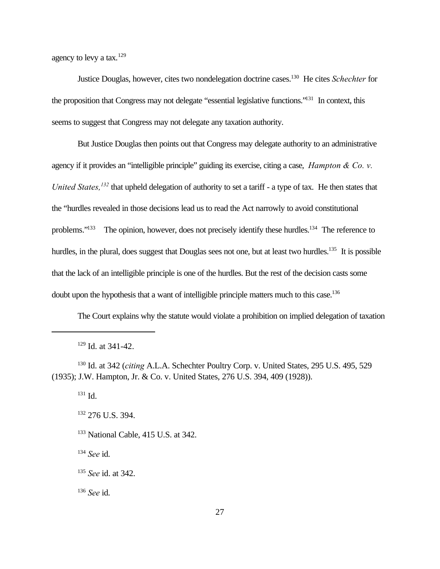agency to levy a tax.<sup>129</sup>

Justice Douglas, however, cites two nondelegation doctrine cases.<sup>130</sup> He cites *Schechter* for the proposition that Congress may not delegate "essential legislative functions."<sup>131</sup> In context, this seems to suggest that Congress may not delegate any taxation authority.

But Justice Douglas then points out that Congress may delegate authority to an administrative agency if it provides an "intelligible principle" guiding its exercise, citing a case, *Hampton & Co. v. United States,<sup>132</sup>* that upheld delegation of authority to set a tariff - a type of tax. He then states that the "hurdles revealed in those decisions lead us to read the Act narrowly to avoid constitutional problems."<sup>133</sup> The opinion, however, does not precisely identify these hurdles.<sup>134</sup> The reference to hurdles, in the plural, does suggest that Douglas sees not one, but at least two hurdles.<sup>135</sup> It is possible that the lack of an intelligible principle is one of the hurdles. But the rest of the decision casts some doubt upon the hypothesis that a want of intelligible principle matters much to this case.<sup>136</sup>

The Court explains why the statute would violate a prohibition on implied delegation of taxation

<sup>130</sup> Id. at 342 (*citing* A.L.A. Schechter Poultry Corp. v. United States, 295 U.S. 495, 529 (1935); J.W. Hampton, Jr. & Co. v. United States, 276 U.S. 394, 409 (1928)).

<sup>131</sup> Id.

<sup>132</sup> 276 U.S. 394.

<sup>133</sup> National Cable, 415 U.S. at 342.

<sup>134</sup> *See* id.

<sup>136</sup> *See* id.

<sup>129</sup> Id. at 341-42.

<sup>135</sup> *See* id. at 342.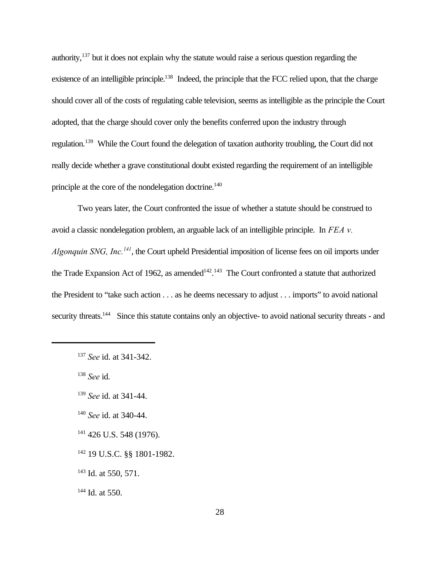authority,<sup>137</sup> but it does not explain why the statute would raise a serious question regarding the existence of an intelligible principle.<sup>138</sup> Indeed, the principle that the FCC relied upon, that the charge should cover all of the costs of regulating cable television, seems as intelligible as the principle the Court adopted, that the charge should cover only the benefits conferred upon the industry through regulation.<sup>139</sup> While the Court found the delegation of taxation authority troubling, the Court did not really decide whether a grave constitutional doubt existed regarding the requirement of an intelligible principle at the core of the nondelegation doctrine.<sup>140</sup>

Two years later, the Court confronted the issue of whether a statute should be construed to avoid a classic nondelegation problem, an arguable lack of an intelligible principle. In *FEA v. Algonquin SNG, Inc.<sup>141</sup>*, the Court upheld Presidential imposition of license fees on oil imports under the Trade Expansion Act of 1962, as amended<sup>142, 143</sup> The Court confronted a statute that authorized the President to "take such action . . . as he deems necessary to adjust . . . imports" to avoid national security threats.<sup>144</sup> Since this statute contains only an objective- to avoid national security threats - and

<sup>138</sup> *See* id.

- <sup>140</sup> *See* id. at 340-44.
- $141$  426 U.S. 548 (1976).
- <sup>142</sup> 19 U.S.C. §§ 1801-1982.
- <sup>143</sup> Id. at 550, 571.

<sup>144</sup> Id. at 550.

<sup>137</sup> *See* id. at 341-342.

<sup>139</sup> *See* id. at 341-44.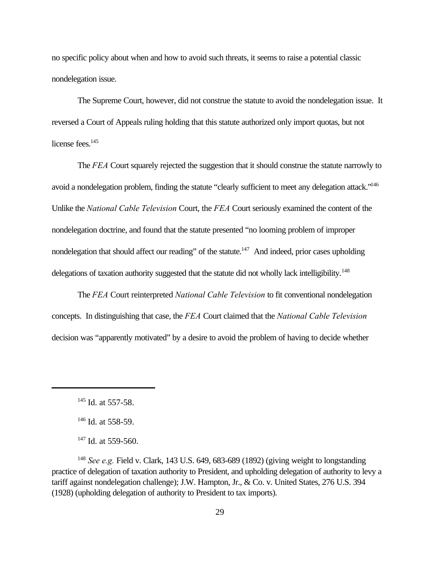no specific policy about when and how to avoid such threats, it seems to raise a potential classic nondelegation issue.

The Supreme Court, however, did not construe the statute to avoid the nondelegation issue. It reversed a Court of Appeals ruling holding that this statute authorized only import quotas, but not license fees.<sup>145</sup>

The *FEA* Court squarely rejected the suggestion that it should construe the statute narrowly to avoid a nondelegation problem, finding the statute "clearly sufficient to meet any delegation attack."<sup>146</sup> Unlike the *National Cable Television* Court, the *FEA* Court seriously examined the content of the nondelegation doctrine, and found that the statute presented "no looming problem of improper nondelegation that should affect our reading" of the statute.<sup>147</sup> And indeed, prior cases upholding delegations of taxation authority suggested that the statute did not wholly lack intelligibility.<sup>148</sup>

The *FEA* Court reinterpreted *National Cable Television* to fit conventional nondelegation concepts. In distinguishing that case, the *FEA* Court claimed that the *National Cable Television* decision was "apparently motivated" by a desire to avoid the problem of having to decide whether

<sup>148</sup> *See e.g.* Field v. Clark, 143 U.S. 649, 683-689 (1892) (giving weight to longstanding practice of delegation of taxation authority to President, and upholding delegation of authority to levy a tariff against nondelegation challenge); J.W. Hampton, Jr., & Co. v. United States, 276 U.S. 394 (1928) (upholding delegation of authority to President to tax imports).

<sup>&</sup>lt;sup>145</sup> Id. at 557-58.

<sup>&</sup>lt;sup>146</sup> Id. at 558-59.

 $147$  Id. at 559-560.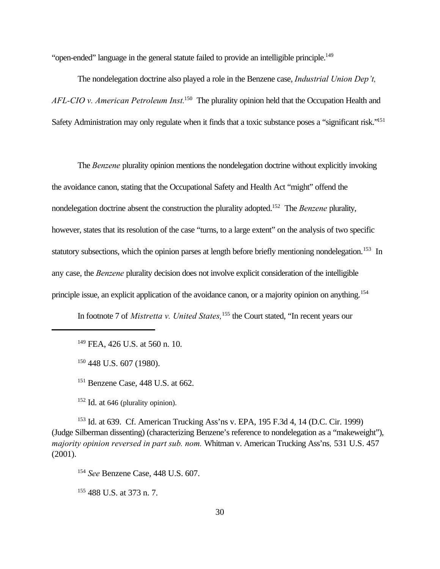"open-ended" language in the general statute failed to provide an intelligible principle.<sup>149</sup>

The nondelegation doctrine also played a role in the Benzene case, *Industrial Union Dep't, AFL-CIO v. American Petroleum Inst.*<sup>150</sup> The plurality opinion held that the Occupation Health and Safety Administration may only regulate when it finds that a toxic substance poses a "significant risk."<sup>151</sup>

The *Benzene* plurality opinion mentions the nondelegation doctrine without explicitly invoking the avoidance canon, stating that the Occupational Safety and Health Act "might" offend the nondelegation doctrine absent the construction the plurality adopted.<sup>152</sup> The *Benzene* plurality, however, states that its resolution of the case "turns, to a large extent" on the analysis of two specific statutory subsections, which the opinion parses at length before briefly mentioning nondelegation.<sup>153</sup> In any case, the *Benzene* plurality decision does not involve explicit consideration of the intelligible principle issue, an explicit application of the avoidance canon, or a majority opinion on anything.<sup>154</sup>

In footnote 7 of *Mistretta v. United States,*155 the Court stated, "In recent years our

<sup>149</sup> FEA, 426 U.S. at 560 n. 10.

<sup>150</sup> 448 U.S. 607 (1980).

<sup>151</sup> Benzene Case, 448 U.S. at 662.

 $152$  Id. at 646 (plurality opinion).

<sup>153</sup> Id. at 639. Cf. American Trucking Ass'ns v. EPA, 195 F.3d 4, 14 (D.C. Cir. 1999) (Judge Silberman dissenting) (characterizing Benzene's reference to nondelegation as a "makeweight"), *majority opinion reversed in part sub. nom.* Whitman v. American Trucking Ass'ns*,* 531 U.S. 457 (2001).

<sup>154</sup> *See* Benzene Case, 448 U.S. 607.

<sup>155</sup> 488 U.S. at 373 n. 7.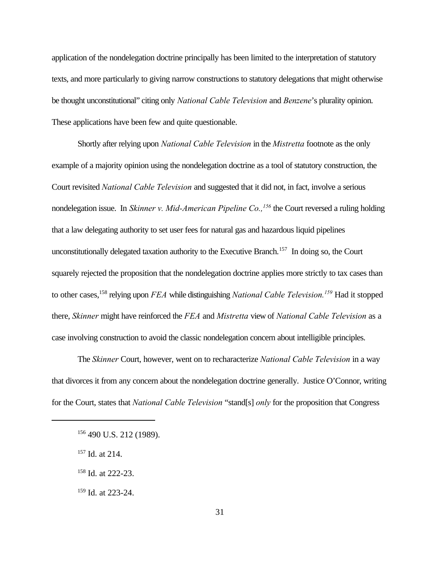application of the nondelegation doctrine principally has been limited to the interpretation of statutory texts, and more particularly to giving narrow constructions to statutory delegations that might otherwise be thought unconstitutional" citing only *National Cable Television* and *Benzene*'s plurality opinion. These applications have been few and quite questionable.

Shortly after relying upon *National Cable Television* in the *Mistretta* footnote as the only example of a majority opinion using the nondelegation doctrine as a tool of statutory construction, the Court revisited *National Cable Television* and suggested that it did not, in fact, involve a serious nondelegation issue. In *Skinner v. Mid-American Pipeline Co.,<sup>156</sup>* the Court reversed a ruling holding that a law delegating authority to set user fees for natural gas and hazardous liquid pipelines unconstitutionally delegated taxation authority to the Executive Branch.<sup>157</sup> In doing so, the Court squarely rejected the proposition that the nondelegation doctrine applies more strictly to tax cases than to other cases,<sup>158</sup> relying upon *FEA* while distinguishing *National Cable Television.<sup>159</sup>* Had it stopped there, *Skinner* might have reinforced the *FEA* and *Mistretta* view of *National Cable Television* as a case involving construction to avoid the classic nondelegation concern about intelligible principles.

The *Skinner* Court, however, went on to recharacterize *National Cable Television* in a way that divorces it from any concern about the nondelegation doctrine generally. Justice O'Connor, writing for the Court, states that *National Cable Television* "stand[s] *only* for the proposition that Congress

- <sup>157</sup> Id. at 214.
- <sup>158</sup> Id. at 222-23.
- <sup>159</sup> Id. at 223-24.

<sup>156 490</sup> U.S. 212 (1989).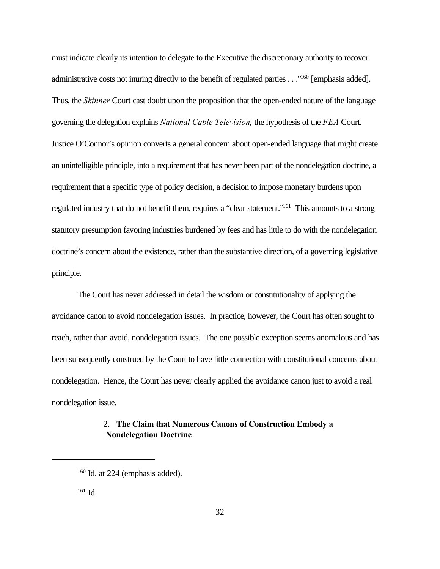must indicate clearly its intention to delegate to the Executive the discretionary authority to recover administrative costs not inuring directly to the benefit of regulated parties . . ."<sup>160</sup> [emphasis added]. Thus, the *Skinner* Court cast doubt upon the proposition that the open-ended nature of the language governing the delegation explains *National Cable Television,* the hypothesis of the *FEA* Court*.*  Justice O'Connor's opinion converts a general concern about open-ended language that might create an unintelligible principle, into a requirement that has never been part of the nondelegation doctrine, a requirement that a specific type of policy decision, a decision to impose monetary burdens upon regulated industry that do not benefit them, requires a "clear statement."<sup>161</sup> This amounts to a strong statutory presumption favoring industries burdened by fees and has little to do with the nondelegation doctrine's concern about the existence, rather than the substantive direction, of a governing legislative principle.

The Court has never addressed in detail the wisdom or constitutionality of applying the avoidance canon to avoid nondelegation issues. In practice, however, the Court has often sought to reach, rather than avoid, nondelegation issues. The one possible exception seems anomalous and has been subsequently construed by the Court to have little connection with constitutional concerns about nondelegation. Hence, the Court has never clearly applied the avoidance canon just to avoid a real nondelegation issue.

### 2. **The Claim that Numerous Canons of Construction Embody a Nondelegation Doctrine**

 $161$  Id.

 $160$  Id. at 224 (emphasis added).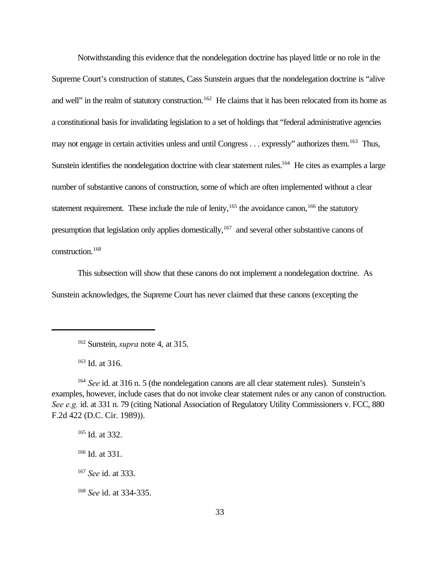Notwithstanding this evidence that the nondelegation doctrine has played little or no role in the Supreme Court's construction of statutes, Cass Sunstein argues that the nondelegation doctrine is "alive and well" in the realm of statutory construction.<sup>162</sup> He claims that it has been relocated from its home as a constitutional basis for invalidating legislation to a set of holdings that "federal administrative agencies may not engage in certain activities unless and until Congress . . . expressly" authorizes them.<sup>163</sup> Thus, Sunstein identifies the nondelegation doctrine with clear statement rules.<sup>164</sup> He cites as examples a large number of substantive canons of construction, some of which are often implemented without a clear statement requirement. These include the rule of lenity,<sup>165</sup> the avoidance canon,<sup>166</sup> the statutory presumption that legislation only applies domestically,  $167$  and several other substantive canons of construction.<sup>168</sup>

This subsection will show that these canons do not implement a nondelegation doctrine. As Sunstein acknowledges, the Supreme Court has never claimed that these canons (excepting the

<sup>163</sup> Id. at 316.

 $165$  Id. at 332.

<sup>166</sup> Id. at 331.

<sup>167</sup> *See* id. at 333.

<sup>168</sup> *See* id. at 334-335.

<sup>162</sup> Sunstein, *supra* note 4, at 315.

<sup>164</sup> *See* id. at 316 n. 5 (the nondelegation canons are all clear statement rules). Sunstein's examples, however, include cases that do not invoke clear statement rules or any canon of construction. *See e.g.* id. at 331 n. 79 (citing National Association of Regulatory Utility Commissioners v. FCC, 880 F.2d 422 (D.C. Cir. 1989)).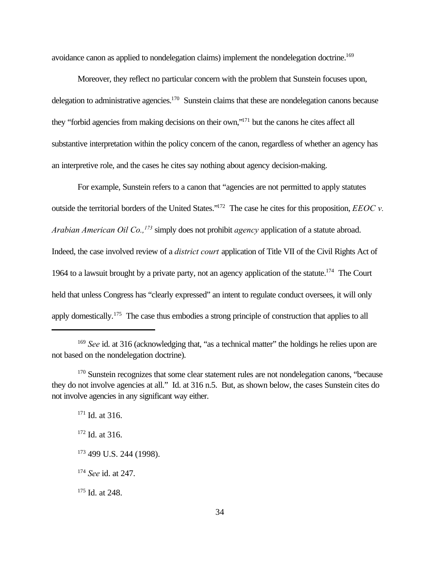avoidance canon as applied to nondelegation claims) implement the nondelegation doctrine.<sup>169</sup>

Moreover, they reflect no particular concern with the problem that Sunstein focuses upon, delegation to administrative agencies.<sup>170</sup> Sunstein claims that these are nondelegation canons because they "forbid agencies from making decisions on their own,"<sup>171</sup> but the canons he cites affect all substantive interpretation within the policy concern of the canon, regardless of whether an agency has an interpretive role, and the cases he cites say nothing about agency decision-making.

For example, Sunstein refers to a canon that "agencies are not permitted to apply statutes outside the territorial borders of the United States."<sup>172</sup> The case he cites for this proposition, *EEOC v. Arabian American Oil Co.,<sup>173</sup>* simply does not prohibit *agency* application of a statute abroad. Indeed, the case involved review of a *district court* application of Title VII of the Civil Rights Act of 1964 to a lawsuit brought by a private party, not an agency application of the statute.<sup>174</sup> The Court held that unless Congress has "clearly expressed" an intent to regulate conduct oversees, it will only apply domestically.<sup>175</sup> The case thus embodies a strong principle of construction that applies to all

 $171$  Id. at 316.

 $172$  Id. at 316.

- 173 499 U.S. 244 (1998).
- <sup>174</sup> *See* id. at 247.

<sup>175</sup> Id. at 248.

<sup>169</sup> *See* id. at 316 (acknowledging that, "as a technical matter" the holdings he relies upon are not based on the nondelegation doctrine).

<sup>&</sup>lt;sup>170</sup> Sunstein recognizes that some clear statement rules are not nondelegation canons, "because they do not involve agencies at all." Id. at 316 n.5. But, as shown below, the cases Sunstein cites do not involve agencies in any significant way either.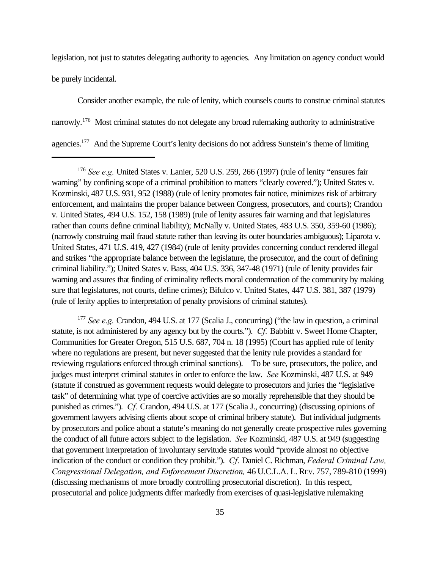legislation, not just to statutes delegating authority to agencies. Any limitation on agency conduct would be purely incidental.

Consider another example, the rule of lenity, which counsels courts to construe criminal statutes narrowly.<sup>176</sup> Most criminal statutes do not delegate any broad rulemaking authority to administrative agencies.<sup>177</sup> And the Supreme Court's lenity decisions do not address Sunstein's theme of limiting

<sup>177</sup> *See e.g.* Crandon, 494 U.S. at 177 (Scalia J., concurring) ("the law in question, a criminal statute, is not administered by any agency but by the courts."). *Cf.* Babbitt v. Sweet Home Chapter, Communities for Greater Oregon, 515 U.S. 687, 704 n. 18 (1995) (Court has applied rule of lenity where no regulations are present, but never suggested that the lenity rule provides a standard for reviewing regulations enforced through criminal sanctions). To be sure, prosecutors, the police, and judges must interpret criminal statutes in order to enforce the law. *See* Kozminski, 487 U.S. at 949 (statute if construed as government requests would delegate to prosecutors and juries the "legislative task" of determining what type of coercive activities are so morally reprehensible that they should be punished as crimes."). *Cf.* Crandon, 494 U.S. at 177 (Scalia J., concurring) (discussing opinions of government lawyers advising clients about scope of criminal bribery statute). But individual judgments by prosecutors and police about a statute's meaning do not generally create prospective rules governing the conduct of all future actors subject to the legislation. *See* Kozminski, 487 U.S. at 949 (suggesting that government interpretation of involuntary servitude statutes would "provide almost no objective indication of the conduct or condition they prohibit."). *Cf.* Daniel C. Richman, *Federal Criminal Law, Congressional Delegation, and Enforcement Discretion,* 46 U.C.L.A. L. REV. 757, 789-810 (1999) (discussing mechanisms of more broadly controlling prosecutorial discretion). In this respect, prosecutorial and police judgments differ markedly from exercises of quasi-legislative rulemaking

<sup>176</sup> *See e.g.* United States v. Lanier, 520 U.S. 259, 266 (1997) (rule of lenity "ensures fair warning" by confining scope of a criminal prohibition to matters "clearly covered."); United States v. Kozminski, 487 U.S. 931, 952 (1988) (rule of lenity promotes fair notice, minimizes risk of arbitrary enforcement, and maintains the proper balance between Congress, prosecutors, and courts); Crandon v. United States, 494 U.S. 152, 158 (1989) (rule of lenity assures fair warning and that legislatures rather than courts define criminal liability); McNally v. United States, 483 U.S. 350, 359-60 (1986); (narrowly construing mail fraud statute rather than leaving its outer boundaries ambiguous); Liparota v. United States, 471 U.S. 419, 427 (1984) (rule of lenity provides concerning conduct rendered illegal and strikes "the appropriate balance between the legislature, the prosecutor, and the court of defining criminal liability."); United States v. Bass, 404 U.S. 336, 347-48 (1971) (rule of lenity provides fair warning and assures that finding of criminality reflects moral condemnation of the community by making sure that legislatures, not courts, define crimes); Bifulco v. United States, 447 U.S. 381, 387 (1979) (rule of lenity applies to interpretation of penalty provisions of criminal statutes).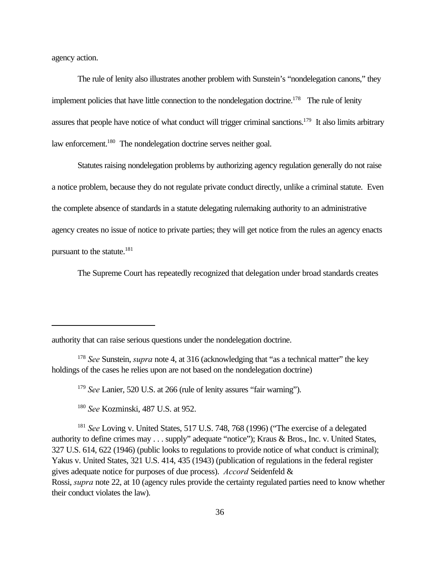agency action.

The rule of lenity also illustrates another problem with Sunstein's "nondelegation canons," they implement policies that have little connection to the nondelegation doctrine.<sup>178</sup> The rule of lenity assures that people have notice of what conduct will trigger criminal sanctions.<sup>179</sup> It also limits arbitrary law enforcement.<sup>180</sup> The nondelegation doctrine serves neither goal.

Statutes raising nondelegation problems by authorizing agency regulation generally do not raise a notice problem, because they do not regulate private conduct directly, unlike a criminal statute. Even the complete absence of standards in a statute delegating rulemaking authority to an administrative agency creates no issue of notice to private parties; they will get notice from the rules an agency enacts pursuant to the statute.<sup>181</sup>

The Supreme Court has repeatedly recognized that delegation under broad standards creates

authority that can raise serious questions under the nondelegation doctrine.

<sup>179</sup> *See* Lanier, 520 U.S. at 266 (rule of lenity assures "fair warning").

<sup>180</sup> *See* Kozminski, 487 U.S. at 952.

<sup>181</sup> *See* Loving v. United States, 517 U.S. 748, 768 (1996) ("The exercise of a delegated authority to define crimes may . . . supply" adequate "notice"); Kraus & Bros., Inc. v. United States, 327 U.S. 614, 622 (1946) (public looks to regulations to provide notice of what conduct is criminal); Yakus v. United States, 321 U.S. 414, 435 (1943) (publication of regulations in the federal register gives adequate notice for purposes of due process). *Accord* Seidenfeld & Rossi, *supra* note 22, at 10 (agency rules provide the certainty regulated parties need to know whether their conduct violates the law).

<sup>178</sup> *See* Sunstein, *supra* note 4, at 316 (acknowledging that "as a technical matter" the key holdings of the cases he relies upon are not based on the nondelegation doctrine)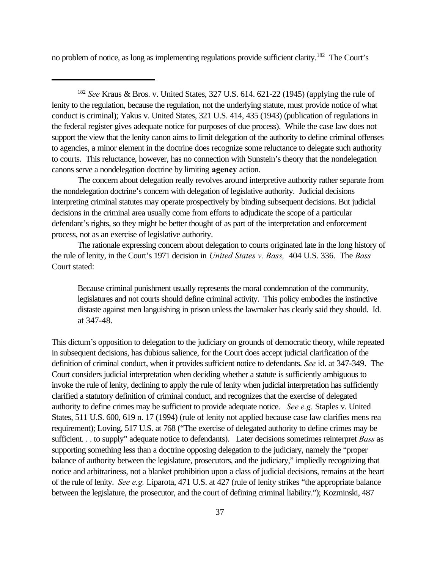no problem of notice, as long as implementing regulations provide sufficient clarity.<sup>182</sup> The Court's

<sup>182</sup> *See* Kraus & Bros. v. United States, 327 U.S. 614. 621-22 (1945) (applying the rule of lenity to the regulation, because the regulation, not the underlying statute, must provide notice of what conduct is criminal); Yakus v. United States, 321 U.S. 414, 435 (1943) (publication of regulations in the federal register gives adequate notice for purposes of due process). While the case law does not support the view that the lenity canon aims to limit delegation of the authority to define criminal offenses to agencies, a minor element in the doctrine does recognize some reluctance to delegate such authority to courts. This reluctance, however, has no connection with Sunstein's theory that the nondelegation canons serve a nondelegation doctrine by limiting **agency** action.

The concern about delegation really revolves around interpretive authority rather separate from the nondelegation doctrine's concern with delegation of legislative authority. Judicial decisions interpreting criminal statutes may operate prospectively by binding subsequent decisions. But judicial decisions in the criminal area usually come from efforts to adjudicate the scope of a particular defendant's rights, so they might be better thought of as part of the interpretation and enforcement process, not as an exercise of legislative authority.

The rationale expressing concern about delegation to courts originated late in the long history of the rule of lenity, in the Court's 1971 decision in *United States v. Bass,* 404 U.S. 336. The *Bass* Court stated:

Because criminal punishment usually represents the moral condemnation of the community, legislatures and not courts should define criminal activity. This policy embodies the instinctive distaste against men languishing in prison unless the lawmaker has clearly said they should. Id. at 347-48.

This dictum's opposition to delegation to the judiciary on grounds of democratic theory, while repeated in subsequent decisions, has dubious salience, for the Court does accept judicial clarification of the definition of criminal conduct, when it provides sufficient notice to defendants. *See* id. at 347-349. The Court considers judicial interpretation when deciding whether a statute is sufficiently ambiguous to invoke the rule of lenity, declining to apply the rule of lenity when judicial interpretation has sufficiently clarified a statutory definition of criminal conduct, and recognizes that the exercise of delegated authority to define crimes may be sufficient to provide adequate notice. *See e.g.* Staples v. United States, 511 U.S. 600, 619 n. 17 (1994) (rule of lenity not applied because case law clarifies mens rea requirement); Loving, 517 U.S. at 768 ("The exercise of delegated authority to define crimes may be sufficient. . . to supply" adequate notice to defendants). Later decisions sometimes reinterpret *Bass* as supporting something less than a doctrine opposing delegation to the judiciary, namely the "proper balance of authority between the legislature, prosecutors, and the judiciary," impliedly recognizing that notice and arbitrariness, not a blanket prohibition upon a class of judicial decisions, remains at the heart of the rule of lenity. *See e.g.* Liparota, 471 U.S. at 427 (rule of lenity strikes "the appropriate balance between the legislature, the prosecutor, and the court of defining criminal liability."); Kozminski, 487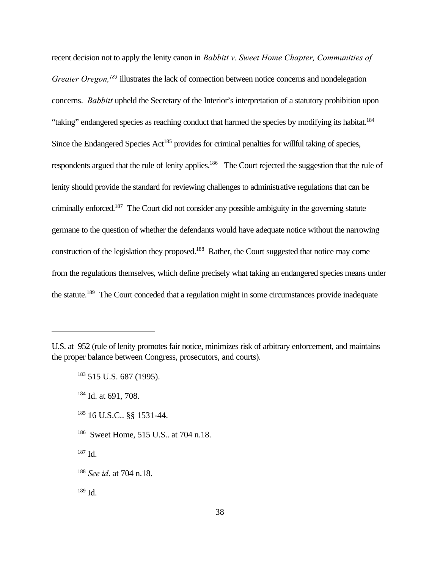recent decision not to apply the lenity canon in *Babbitt v. Sweet Home Chapter, Communities of Greater Oregon,<sup>183</sup>* illustrates the lack of connection between notice concerns and nondelegation concerns. *Babbitt* upheld the Secretary of the Interior's interpretation of a statutory prohibition upon "taking" endangered species as reaching conduct that harmed the species by modifying its habitat.<sup>184</sup> Since the Endangered Species  $Act^{185}$  provides for criminal penalties for willful taking of species, respondents argued that the rule of lenity applies.<sup>186</sup> The Court rejected the suggestion that the rule of lenity should provide the standard for reviewing challenges to administrative regulations that can be criminally enforced.<sup>187</sup> The Court did not consider any possible ambiguity in the governing statute germane to the question of whether the defendants would have adequate notice without the narrowing construction of the legislation they proposed.<sup>188</sup> Rather, the Court suggested that notice may come from the regulations themselves, which define precisely what taking an endangered species means under the statute.189 The Court conceded that a regulation might in some circumstances provide inadequate

- <sup>185</sup> 16 U.S.C.. §§ 1531-44.
- <sup>186</sup> Sweet Home, 515 U.S.. at 704 n.18.
- $187$  Id.

 $189$  Id.

U.S. at 952 (rule of lenity promotes fair notice, minimizes risk of arbitrary enforcement, and maintains the proper balance between Congress, prosecutors, and courts).

<sup>183</sup> 515 U.S. 687 (1995).

<sup>184</sup> Id. at 691, 708.

<sup>188</sup> *See id*. at 704 n.18.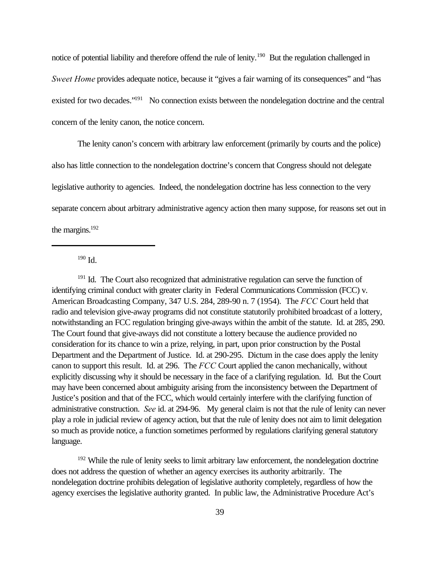notice of potential liability and therefore offend the rule of lenity.<sup>190</sup> But the regulation challenged in *Sweet Home* provides adequate notice, because it "gives a fair warning of its consequences" and "has existed for two decades."<sup>191</sup> No connection exists between the nondelegation doctrine and the central concern of the lenity canon, the notice concern.

The lenity canon's concern with arbitrary law enforcement (primarily by courts and the police) also has little connection to the nondelegation doctrine's concern that Congress should not delegate legislative authority to agencies. Indeed, the nondelegation doctrine has less connection to the very separate concern about arbitrary administrative agency action then many suppose, for reasons set out in the margins. $192$ 

<sup>190</sup> Id.

<sup>191</sup> Id. The Court also recognized that administrative regulation can serve the function of identifying criminal conduct with greater clarity in Federal Communications Commission (FCC) v. American Broadcasting Company, 347 U.S. 284, 289-90 n. 7 (1954). The *FCC* Court held that radio and television give-away programs did not constitute statutorily prohibited broadcast of a lottery, notwithstanding an FCC regulation bringing give-aways within the ambit of the statute. Id. at 285, 290. The Court found that give-aways did not constitute a lottery because the audience provided no consideration for its chance to win a prize, relying, in part, upon prior construction by the Postal Department and the Department of Justice. Id. at 290-295. Dictum in the case does apply the lenity canon to support this result. Id. at 296. The *FCC* Court applied the canon mechanically, without explicitly discussing why it should be necessary in the face of a clarifying regulation. Id. But the Court may have been concerned about ambiguity arising from the inconsistency between the Department of Justice's position and that of the FCC, which would certainly interfere with the clarifying function of administrative construction. *See* id. at 294-96. My general claim is not that the rule of lenity can never play a role in judicial review of agency action, but that the rule of lenity does not aim to limit delegation so much as provide notice, a function sometimes performed by regulations clarifying general statutory language.

<sup>192</sup> While the rule of lenity seeks to limit arbitrary law enforcement, the nondelegation doctrine does not address the question of whether an agency exercises its authority arbitrarily. The nondelegation doctrine prohibits delegation of legislative authority completely, regardless of how the agency exercises the legislative authority granted. In public law, the Administrative Procedure Act's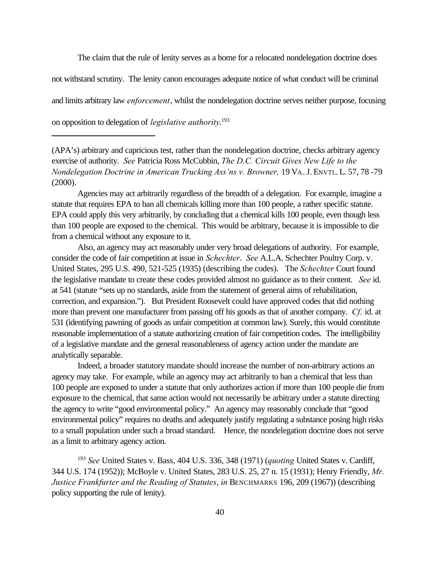The claim that the rule of lenity serves as a home for a relocated nondelegation doctrine does

not withstand scrutiny. The lenity canon encourages adequate notice of what conduct will be criminal

and limits arbitrary law *enforcement*, whilst the nondelegation doctrine serves neither purpose, focusing

on opposition to delegation of *legislative authority*. 193

(APA's) arbitrary and capricious test, rather than the nondelegation doctrine, checks arbitrary agency exercise of authority. *See* Patricia Ross McCubbin, *The D.C. Circuit Gives New Life to the Nondelegation Doctrine in American Trucking Ass'ns v. Browner, 19 VA.J. ENVTL. L. 57, 78 -79* (2000).

Agencies may act arbitrarily regardless of the breadth of a delegation. For example, imagine a statute that requires EPA to ban all chemicals killing more than 100 people, a rather specific statute. EPA could apply this very arbitrarily, by concluding that a chemical kills 100 people, even though less than 100 people are exposed to the chemical. This would be arbitrary, because it is impossible to die from a chemical without any exposure to it.

Also, an agency may act reasonably under very broad delegations of authority. For example, consider the code of fair competition at issue in *Schechter*. *See* A.L.A. Schechter Poultry Corp. v. United States, 295 U.S. 490, 521-525 (1935) (describing the codes). The *Schechter* Court found the legislative mandate to create these codes provided almost no guidance as to their content. *See* id. at 541 (statute "sets up no standards, aside from the statement of general aims of rehabilitation, correction, and expansion."). But President Roosevelt could have approved codes that did nothing more than prevent one manufacturer from passing off his goods as that of another company. *Cf.* id. at 531 (identifying pawning of goods as unfair competition at common law). Surely, this would constitute reasonable implementation of a statute authorizing creation of fair competition codes. The intelligibility of a legislative mandate and the general reasonableness of agency action under the mandate are analytically separable.

Indeed, a broader statutory mandate should increase the number of non-arbitrary actions an agency may take. For example, while an agency may act arbitrarily to ban a chemical that less than 100 people are exposed to under a statute that only authorizes action if more than 100 people die from exposure to the chemical, that same action would not necessarily be arbitrary under a statute directing the agency to write "good environmental policy." An agency may reasonably conclude that "good environmental policy" requires no deaths and adequately justify regulating a substance posing high risks to a small population under such a broad standard. Hence, the nondelegation doctrine does not serve as a limit to arbitrary agency action.

<sup>193</sup> *See* United States v. Bass, 404 U.S. 336, 348 (1971) (*quoting* United States v. Cardiff, 344 U.S. 174 (1952)); McBoyle v. United States, 283 U.S. 25, 27 n. 15 (1931); Henry Friendly, *Mr. Justice Frankfurter and the Reading of Statutes*, *in* BENCHMARKS 196, 209 (1967)) (describing policy supporting the rule of lenity).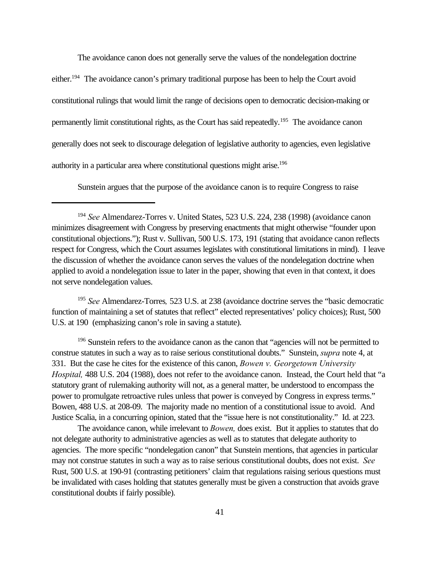The avoidance canon does not generally serve the values of the nondelegation doctrine either.<sup>194</sup> The avoidance canon's primary traditional purpose has been to help the Court avoid constitutional rulings that would limit the range of decisions open to democratic decision-making or permanently limit constitutional rights, as the Court has said repeatedly.<sup>195</sup> The avoidance canon generally does not seek to discourage delegation of legislative authority to agencies, even legislative authority in a particular area where constitutional questions might arise.<sup>196</sup>

Sunstein argues that the purpose of the avoidance canon is to require Congress to raise

<sup>195</sup> *See* Almendarez-Torres*,* 523 U.S. at 238 (avoidance doctrine serves the "basic democratic function of maintaining a set of statutes that reflect" elected representatives' policy choices); Rust, 500 U.S. at 190 (emphasizing canon's role in saving a statute).

<sup>196</sup> Sunstein refers to the avoidance canon as the canon that "agencies will not be permitted to construe statutes in such a way as to raise serious constitutional doubts." Sunstein, *supra* note 4, at 331. But the case he cites for the existence of this canon, *Bowen v. Georgetown University Hospital,* 488 U.S. 204 (1988), does not refer to the avoidance canon. Instead, the Court held that "a statutory grant of rulemaking authority will not, as a general matter, be understood to encompass the power to promulgate retroactive rules unless that power is conveyed by Congress in express terms." Bowen, 488 U.S. at 208-09. The majority made no mention of a constitutional issue to avoid. And Justice Scalia, in a concurring opinion, stated that the "issue here is not constitutionality." Id. at 223.

The avoidance canon, while irrelevant to *Bowen,* does exist. But it applies to statutes that do not delegate authority to administrative agencies as well as to statutes that delegate authority to agencies. The more specific "nondelegation canon" that Sunstein mentions, that agencies in particular may not construe statutes in such a way as to raise serious constitutional doubts, does not exist. *See* Rust, 500 U.S. at 190-91 (contrasting petitioners' claim that regulations raising serious questions must be invalidated with cases holding that statutes generally must be given a construction that avoids grave constitutional doubts if fairly possible).

<sup>194</sup> *See* Almendarez-Torres v. United States, 523 U.S. 224, 238 (1998) (avoidance canon minimizes disagreement with Congress by preserving enactments that might otherwise "founder upon constitutional objections."); Rust v. Sullivan, 500 U.S. 173, 191 (stating that avoidance canon reflects respect for Congress, which the Court assumes legislates with constitutional limitations in mind). I leave the discussion of whether the avoidance canon serves the values of the nondelegation doctrine when applied to avoid a nondelegation issue to later in the paper, showing that even in that context, it does not serve nondelegation values.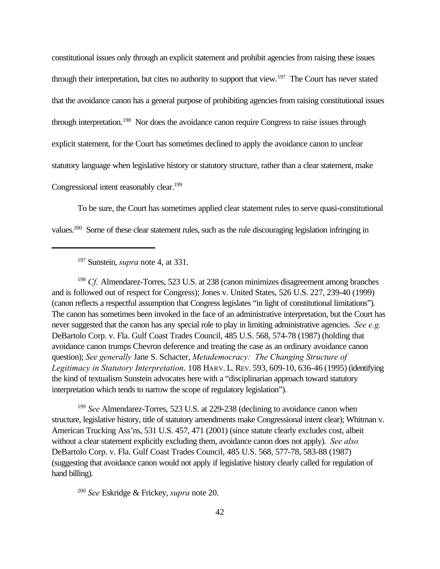constitutional issues only through an explicit statement and prohibit agencies from raising these issues through their interpretation, but cites no authority to support that view.<sup>197</sup> The Court has never stated that the avoidance canon has a general purpose of prohibiting agencies from raising constitutional issues through interpretation.<sup>198</sup> Nor does the avoidance canon require Congress to raise issues through explicit statement, for the Court has sometimes declined to apply the avoidance canon to unclear statutory language when legislative history or statutory structure, rather than a clear statement, make Congressional intent reasonably clear.<sup>199</sup>

To be sure, the Court has sometimes applied clear statement rules to serve quasi-constitutional values.200 Some of these clear statement rules, such as the rule discouraging legislation infringing in

<sup>197</sup> Sunstein, *supra* note 4, at 331.

<sup>198</sup> *Cf.* Almendarez-Torres, 523 U.S. at 238 (canon minimizes disagreement among branches and is followed out of respect for Congress); Jones v. United States, 526 U.S. 227, 239-40 (1999) (canon reflects a respectful assumption that Congress legislates "in light of constitutional limitations"). The canon has sometimes been invoked in the face of an administrative interpretation, but the Court has never suggested that the canon has any special role to play in limiting administrative agencies. *See e.g.* DeBartolo Corp. v. Fla. Gulf Coast Trades Council, 485 U.S. 568, 574-78 (1987) (holding that avoidance canon trumps Chevron deference and treating the case as an ordinary avoidance canon question); *See generally* Jane S. Schacter, *Metademocracy: The Changing Structure of Legitimacy in Statutory Interpretation,* 108 HARV. L. REV. 593, 609-10, 636-46 (1995) (identifying the kind of textualism Sunstein advocates here with a "disciplinarian approach toward statutory interpretation which tends to narrow the scope of regulatory legislation").

<sup>199</sup> *See* Almendarez-Torres, 523 U.S. at 229-238 (declining to avoidance canon when structure, legislative history, title of statutory amendments make Congressional intent clear); Whitman v. American Trucking Ass'ns, 531 U.S. 457, 471 (2001) (since statute clearly excludes cost, albeit without a clear statement explicitly excluding them, avoidance canon does not apply). *See also* DeBartolo Corp. v. Fla. Gulf Coast Trades Council, 485 U.S. 568, 577-78, 583-88 (1987) (suggesting that avoidance canon would not apply if legislative history clearly called for regulation of hand billing).

<sup>200</sup> *See* Eskridge & Frickey, *supra* note 20.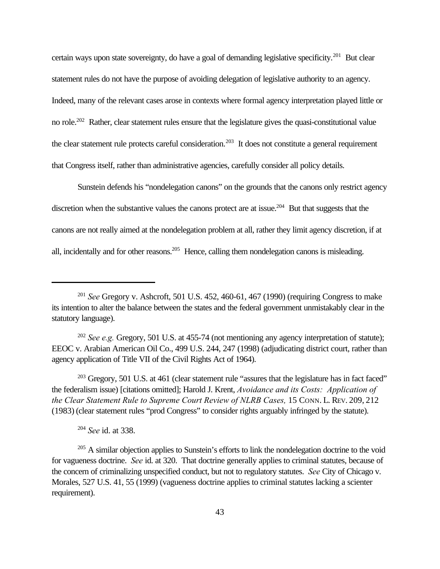certain ways upon state sovereignty, do have a goal of demanding legislative specificity.<sup>201</sup> But clear statement rules do not have the purpose of avoiding delegation of legislative authority to an agency. Indeed, many of the relevant cases arose in contexts where formal agency interpretation played little or no role.<sup>202</sup> Rather, clear statement rules ensure that the legislature gives the quasi-constitutional value the clear statement rule protects careful consideration.<sup>203</sup> It does not constitute a general requirement that Congress itself, rather than administrative agencies, carefully consider all policy details.

Sunstein defends his "nondelegation canons" on the grounds that the canons only restrict agency discretion when the substantive values the canons protect are at issue.<sup>204</sup> But that suggests that the canons are not really aimed at the nondelegation problem at all, rather they limit agency discretion, if at all, incidentally and for other reasons.<sup>205</sup> Hence, calling them nondelegation canons is misleading.

<sup>202</sup> *See e.g.* Gregory, 501 U.S. at 455-74 (not mentioning any agency interpretation of statute); EEOC v. Arabian American Oil Co., 499 U.S. 244, 247 (1998) (adjudicating district court, rather than agency application of Title VII of the Civil Rights Act of 1964).

 $203$  Gregory, 501 U.S. at 461 (clear statement rule "assures that the legislature has in fact faced" the federalism issue) [citations omitted]; Harold J. Krent, *Avoidance and its Costs: Application of the Clear Statement Rule to Supreme Court Review of NLRB Cases,* 15 CONN. L. REV. 209, 212 (1983) (clear statement rules "prod Congress" to consider rights arguably infringed by the statute).

<sup>204</sup> *See* id. at 338.

<sup>201</sup> *See* Gregory v. Ashcroft, 501 U.S. 452, 460-61, 467 (1990) (requiring Congress to make its intention to alter the balance between the states and the federal government unmistakably clear in the statutory language).

 $205$  A similar objection applies to Sunstein's efforts to link the nondelegation doctrine to the void for vagueness doctrine. *See* id. at 320. That doctrine generally applies to criminal statutes, because of the concern of criminalizing unspecified conduct, but not to regulatory statutes. *See* City of Chicago v. Morales, 527 U.S. 41, 55 (1999) (vagueness doctrine applies to criminal statutes lacking a scienter requirement).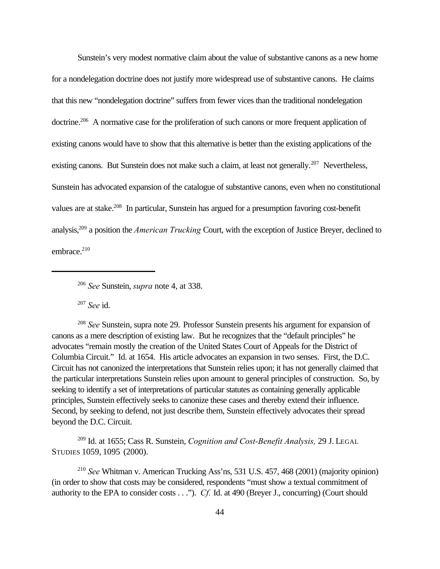Sunstein's very modest normative claim about the value of substantive canons as a new home for a nondelegation doctrine does not justify more widespread use of substantive canons. He claims that this new "nondelegation doctrine" suffers from fewer vices than the traditional nondelegation doctrine.<sup>206</sup> A normative case for the proliferation of such canons or more frequent application of existing canons would have to show that this alternative is better than the existing applications of the existing canons. But Sunstein does not make such a claim, at least not generally.<sup>207</sup> Nevertheless, Sunstein has advocated expansion of the catalogue of substantive canons, even when no constitutional values are at stake.<sup>208</sup> In particular, Sunstein has argued for a presumption favoring cost-benefit analysis,<sup>209</sup> a position the *American Trucking* Court, with the exception of Justice Breyer, declined to embrace. $210$ 

<sup>207</sup> *See* id.

<sup>208</sup> *See* Sunstein, supra note 29. Professor Sunstein presents his argument for expansion of canons as a mere description of existing law. But he recognizes that the "default principles" he advocates "remain mostly the creation of the United States Court of Appeals for the District of Columbia Circuit." Id. at 1654. His article advocates an expansion in two senses. First, the D.C. Circuit has not canonized the interpretations that Sunstein relies upon; it has not generally claimed that the particular interpretations Sunstein relies upon amount to general principles of construction. So, by seeking to identify a set of interpretations of particular statutes as containing generally applicable principles, Sunstein effectively seeks to canonize these cases and thereby extend their influence. Second, by seeking to defend, not just describe them, Sunstein effectively advocates their spread beyond the D.C. Circuit.

<sup>209</sup> Id. at 1655; Cass R. Sunstein, *Cognition and Cost-Benefit Analysis,* 29 J. LEGAL STUDIES 1059, 1095 (2000).

<sup>210</sup> *See* Whitman v. American Trucking Ass'ns, 531 U.S. 457, 468 (2001) (majority opinion) (in order to show that costs may be considered, respondents "must show a textual commitment of authority to the EPA to consider costs . . ."). *Cf.* Id. at 490 (Breyer J., concurring) (Court should

<sup>206</sup> *See* Sunstein, *supra* note 4, at 338.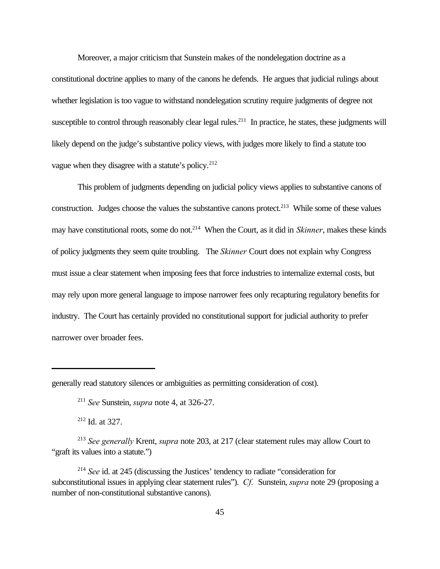Moreover, a major criticism that Sunstein makes of the nondelegation doctrine as a constitutional doctrine applies to many of the canons he defends. He argues that judicial rulings about whether legislation is too vague to withstand nondelegation scrutiny require judgments of degree not susceptible to control through reasonably clear legal rules.<sup>211</sup> In practice, he states, these judgments will likely depend on the judge's substantive policy views, with judges more likely to find a statute too vague when they disagree with a statute's policy.<sup>212</sup>

This problem of judgments depending on judicial policy views applies to substantive canons of construction. Judges choose the values the substantive canons protect.<sup>213</sup> While some of these values may have constitutional roots, some do not.<sup>214</sup> When the Court, as it did in *Skinner*, makes these kinds of policy judgments they seem quite troubling. The *Skinner* Court does not explain why Congress must issue a clear statement when imposing fees that force industries to internalize external costs, but may rely upon more general language to impose narrower fees only recapturing regulatory benefits for industry. The Court has certainly provided no constitutional support for judicial authority to prefer narrower over broader fees.

<sup>212</sup> Id. at 327.

generally read statutory silences or ambiguities as permitting consideration of cost).

<sup>211</sup> *See* Sunstein, *supra* note 4, at 326-27.

<sup>213</sup> *See generally* Krent, *supra* note 203, at 217 (clear statement rules may allow Court to "graft its values into a statute.")

<sup>214</sup> *See* id. at 245 (discussing the Justices' tendency to radiate "consideration for subconstitutional issues in applying clear statement rules"). *Cf.* Sunstein, *supra* note 29 (proposing a number of non-constitutional substantive canons).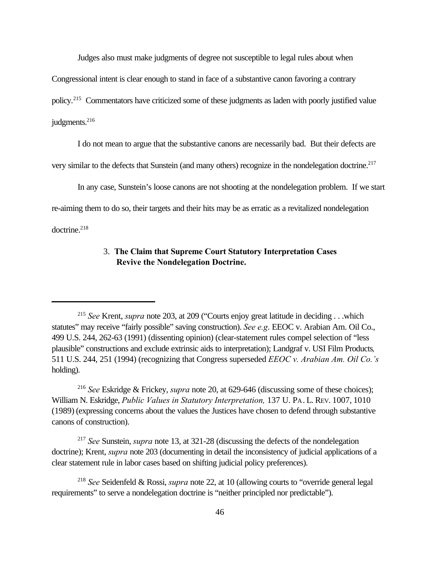Judges also must make judgments of degree not susceptible to legal rules about when

Congressional intent is clear enough to stand in face of a substantive canon favoring a contrary

policy.<sup>215</sup> Commentators have criticized some of these judgments as laden with poorly justified value

judgments.<sup>216</sup>

I do not mean to argue that the substantive canons are necessarily bad. But their defects are

very similar to the defects that Sunstein (and many others) recognize in the nondelegation doctrine.<sup>217</sup>

In any case, Sunstein's loose canons are not shooting at the nondelegation problem. If we start

re-aiming them to do so, their targets and their hits may be as erratic as a revitalized nondelegation

 $d$ octrine.<sup>218</sup>

## 3. **The Claim that Supreme Court Statutory Interpretation Cases Revive the Nondelegation Doctrine.**

<sup>216</sup> *See* Eskridge & Frickey, *supra* note 20, at 629-646 (discussing some of these choices); William N. Eskridge, *Public Values in Statutory Interpretation,* 137 U. PA. L. REV. 1007, 1010 (1989) (expressing concerns about the values the Justices have chosen to defend through substantive canons of construction).

<sup>217</sup> *See* Sunstein, *supra* note 13, at 321-28 (discussing the defects of the nondelegation doctrine); Krent, *supra* note 203 (documenting in detail the inconsistency of judicial applications of a clear statement rule in labor cases based on shifting judicial policy preferences).

<sup>215</sup> *See* Krent, *supra* note 203, at 209 ("Courts enjoy great latitude in deciding . . .which statutes" may receive "fairly possible" saving construction). *See e.g*. EEOC v. Arabian Am. Oil Co., 499 U.S. 244, 262-63 (1991) (dissenting opinion) (clear-statement rules compel selection of "less plausible" constructions and exclude extrinsic aids to interpretation); Landgraf v. USI Film Products*,* 511 U.S. 244, 251 (1994) (recognizing that Congress superseded *EEOC v. Arabian Am. Oil Co.'s* holding).

<sup>218</sup> *See* Seidenfeld & Rossi, *supra* note 22, at 10 (allowing courts to "override general legal requirements" to serve a nondelegation doctrine is "neither principled nor predictable").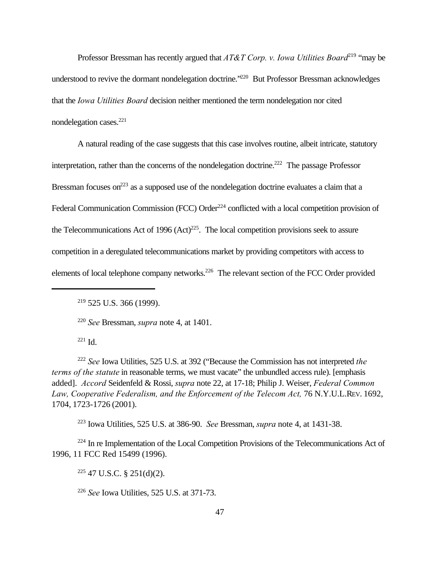Professor Bressman has recently argued that *AT&T Corp. v. Iowa Utilities Board*<sup>219</sup> "may be understood to revive the dormant nondelegation doctrine.<sup>"220</sup> But Professor Bressman acknowledges that the *Iowa Utilities Board* decision neither mentioned the term nondelegation nor cited nondelegation cases.<sup>221</sup>

A natural reading of the case suggests that this case involves routine, albeit intricate, statutory interpretation, rather than the concerns of the nondelegation doctrine.<sup>222</sup> The passage Professor Bressman focuses on<sup>223</sup> as a supposed use of the nondelegation doctrine evaluates a claim that a Federal Communication Commission (FCC) Order<sup>224</sup> conflicted with a local competition provision of the Telecommunications Act of 1996  $(Act)^{225}$ . The local competition provisions seek to assure competition in a deregulated telecommunications market by providing competitors with access to elements of local telephone company networks.<sup>226</sup> The relevant section of the FCC Order provided

<sup>220</sup> *See* Bressman, *supra* note 4, at 1401.

 $221$  Id.

<sup>222</sup> *See* Iowa Utilities, 525 U.S. at 392 ("Because the Commission has not interpreted *the terms of the statute* in reasonable terms, we must vacate" the unbundled access rule). [emphasis added]. *Accord* Seidenfeld & Rossi, *supra* note 22, at 17-18; Philip J. Weiser, *Federal Common* Law, Cooperative Federalism, and the Enforcement of the Telecom Act, 76 N.Y.U.L.REV. 1692, 1704, 1723-1726 (2001).

<sup>223</sup> Iowa Utilities, 525 U.S. at 386-90. *See* Bressman, *supra* note 4, at 1431-38.

 $224$  In re Implementation of the Local Competition Provisions of the Telecommunications Act of 1996, 11 FCC Red 15499 (1996).

 $225$  47 U.S.C. § 251(d)(2).

<sup>226</sup> *See* Iowa Utilities, 525 U.S. at 371-73.

 $219$  525 U.S. 366 (1999).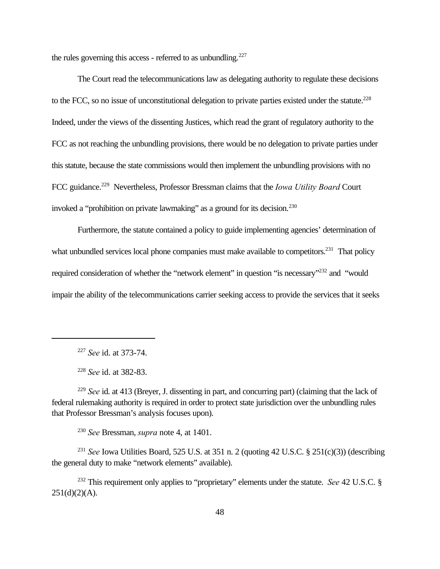the rules governing this access - referred to as unbundling. $227$ 

The Court read the telecommunications law as delegating authority to regulate these decisions to the FCC, so no issue of unconstitutional delegation to private parties existed under the statute.<sup>228</sup> Indeed, under the views of the dissenting Justices, which read the grant of regulatory authority to the FCC as not reaching the unbundling provisions, there would be no delegation to private parties under this statute, because the state commissions would then implement the unbundling provisions with no FCC guidance.<sup>229</sup> Nevertheless, Professor Bressman claims that the *Iowa Utility Board* Court invoked a "prohibition on private lawmaking" as a ground for its decision.<sup>230</sup>

Furthermore, the statute contained a policy to guide implementing agencies' determination of what unbundled services local phone companies must make available to competitors.<sup>231</sup> That policy required consideration of whether the "network element" in question "is necessary"<sup>232</sup> and "would impair the ability of the telecommunications carrier seeking access to provide the services that it seeks

<sup>228</sup> *See* id. at 382-83.

<sup>229</sup> *See* id. at 413 (Breyer, J. dissenting in part, and concurring part) (claiming that the lack of federal rulemaking authority is required in order to protect state jurisdiction over the unbundling rules that Professor Bressman's analysis focuses upon).

<sup>230</sup> *See* Bressman, *supra* note 4, at 1401.

<sup>231</sup> *See* Iowa Utilities Board, 525 U.S. at 351 n. 2 (quoting 42 U.S.C. § 251(c)(3)) (describing the general duty to make "network elements" available).

<sup>232</sup> This requirement only applies to "proprietary" elements under the statute. *See* 42 U.S.C. §  $251(d)(2)(A)$ .

<sup>227</sup> *See* id. at 373-74.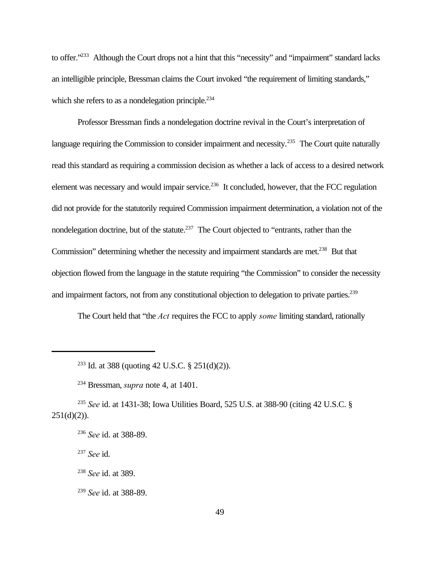to offer."<sup>233</sup> Although the Court drops not a hint that this "necessity" and "impairment" standard lacks an intelligible principle, Bressman claims the Court invoked "the requirement of limiting standards," which she refers to as a nondelegation principle.<sup>234</sup>

Professor Bressman finds a nondelegation doctrine revival in the Court's interpretation of language requiring the Commission to consider impairment and necessity.<sup>235</sup> The Court quite naturally read this standard as requiring a commission decision as whether a lack of access to a desired network element was necessary and would impair service.<sup>236</sup> It concluded, however, that the FCC regulation did not provide for the statutorily required Commission impairment determination, a violation not of the nondelegation doctrine, but of the statute.<sup>237</sup> The Court objected to "entrants, rather than the Commission" determining whether the necessity and impairment standards are met.<sup>238</sup> But that objection flowed from the language in the statute requiring "the Commission" to consider the necessity and impairment factors, not from any constitutional objection to delegation to private parties.<sup>239</sup>

The Court held that "the *Act* requires the FCC to apply *some* limiting standard, rationally

<sup>235</sup> *See* id. at 1431-38; Iowa Utilities Board, 525 U.S. at 388-90 (citing 42 U.S.C. §  $251(d)(2)$ ).

<sup>237</sup> *See* id.

<sup>238</sup> *See* id. at 389.

<sup>239</sup> *See* id. at 388-89.

<sup>&</sup>lt;sup>233</sup> Id. at 388 (quoting 42 U.S.C. § 251(d)(2)).

<sup>234</sup> Bressman, *supra* note 4, at 1401.

<sup>236</sup> *See* id. at 388-89.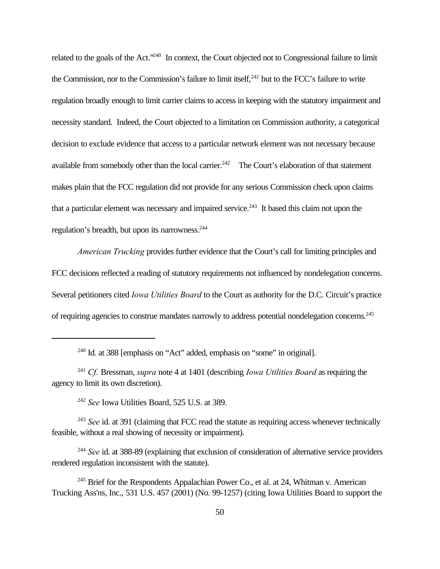related to the goals of the Act."<sup>240</sup> In context, the Court objected not to Congressional failure to limit the Commission, nor to the Commission's failure to limit itself,  $241$  but to the FCC's failure to write regulation broadly enough to limit carrier claims to access in keeping with the statutory impairment and necessity standard. Indeed, the Court objected to a limitation on Commission authority, a categorical decision to exclude evidence that access to a particular network element was not necessary because available from somebody other than the local carrier.<sup>242</sup> The Court's elaboration of that statement makes plain that the FCC regulation did not provide for any serious Commission check upon claims that a particular element was necessary and impaired service.<sup>243</sup> It based this claim not upon the regulation's breadth, but upon its narrowness.<sup>244</sup>

*American Trucking* provides further evidence that the Court's call for limiting principles and FCC decisions reflected a reading of statutory requirements not influenced by nondelegation concerns. Several petitioners cited *Iowa Utilities Board* to the Court as authority for the D.C. Circuit's practice of requiring agencies to construe mandates narrowly to address potential nondelegation concerns.<sup>245</sup>

<sup>240</sup> Id. at 388 [emphasis on "Act" added, emphasis on "some" in original].

<sup>242</sup> *See* Iowa Utilities Board, 525 U.S. at 389.

<sup>243</sup> *See* id. at 391 (claiming that FCC read the statute as requiring access whenever technically feasible, without a real showing of necessity or impairment).

<sup>244</sup> *See* id. at 388-89 (explaining that exclusion of consideration of alternative service providers rendered regulation inconsistent with the statute).

<sup>241</sup> *Cf.* Bressman, *supra* note 4 at 1401 (describing *Iowa Utilities Board* as requiring the agency to limit its own discretion).

 $245$  Brief for the Respondents Appalachian Power Co., et al. at 24, Whitman v. American Trucking Ass'ns, Inc., 531 U.S. 457 (2001) (No. 99-1257) (citing Iowa Utilities Board to support the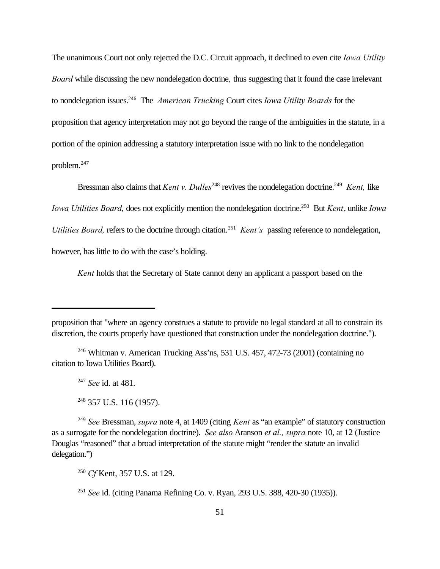The unanimous Court not only rejected the D.C. Circuit approach, it declined to even cite *Iowa Utility Board* while discussing the new nondelegation doctrine*,* thus suggesting that it found the case irrelevant to nondelegation issues.<sup>246</sup> The *American Trucking* Court cites *Iowa Utility Boards* for the proposition that agency interpretation may not go beyond the range of the ambiguities in the statute, in a portion of the opinion addressing a statutory interpretation issue with no link to the nondelegation problem.<sup>247</sup>

Bressman also claims that *Kent v. Dulles*<sup>248</sup> revives the nondelegation doctrine.<sup>249</sup> *Kent*, like *Iowa Utilities Board, does not explicitly mention the nondelegation doctrine.*<sup>250</sup> But *Kent, unlike Iowa* Utilities Board, refers to the doctrine through citation.<sup>251</sup> Kent's passing reference to nondelegation, however, has little to do with the case's holding.

*Kent* holds that the Secretary of State cannot deny an applicant a passport based on the

proposition that "where an agency construes a statute to provide no legal standard at all to constrain its discretion, the courts properly have questioned that construction under the nondelegation doctrine.").

<sup>246</sup> Whitman v. American Trucking Ass'ns, 531 U.S. 457, 472-73 (2001) (containing no citation to Iowa Utilities Board).

<sup>247</sup> *See* id. at 481.

 $248$  357 U.S. 116 (1957).

<sup>249</sup> *See* Bressman, *supra* note 4, at 1409 (citing *Kent* as "an example" of statutory construction as a surrogate for the nondelegation doctrine). *See also* Aranson *et al., supra* note 10, at 12 (Justice Douglas "reasoned" that a broad interpretation of the statute might "render the statute an invalid delegation.")

<sup>250</sup> *Cf* Kent, 357 U.S. at 129.

<sup>251</sup> *See* id. (citing Panama Refining Co. v. Ryan, 293 U.S. 388, 420-30 (1935)).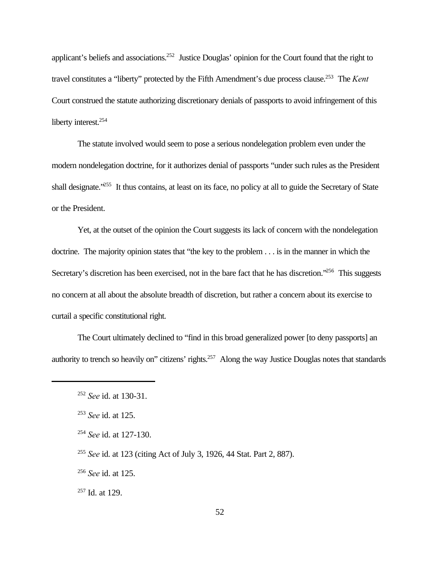applicant's beliefs and associations.<sup>252</sup> Justice Douglas' opinion for the Court found that the right to travel constitutes a "liberty" protected by the Fifth Amendment's due process clause.<sup>253</sup> The *Kent* Court construed the statute authorizing discretionary denials of passports to avoid infringement of this liberty interest.<sup>254</sup>

The statute involved would seem to pose a serious nondelegation problem even under the modern nondelegation doctrine, for it authorizes denial of passports "under such rules as the President shall designate."<sup>255</sup> It thus contains, at least on its face, no policy at all to guide the Secretary of State or the President.

Yet, at the outset of the opinion the Court suggests its lack of concern with the nondelegation doctrine. The majority opinion states that "the key to the problem . . . is in the manner in which the Secretary's discretion has been exercised, not in the bare fact that he has discretion."<sup>256</sup> This suggests no concern at all about the absolute breadth of discretion, but rather a concern about its exercise to curtail a specific constitutional right.

The Court ultimately declined to "find in this broad generalized power [to deny passports] an authority to trench so heavily on" citizens' rights.<sup>257</sup> Along the way Justice Douglas notes that standards

<sup>252</sup> *See* id. at 130-31.

<sup>253</sup> *See* id. at 125.

<sup>254</sup> *See* id. at 127-130.

<sup>255</sup> *See* id. at 123 (citing Act of July 3, 1926, 44 Stat. Part 2, 887).

<sup>256</sup> *See* id. at 125.

 $257$  Id. at 129.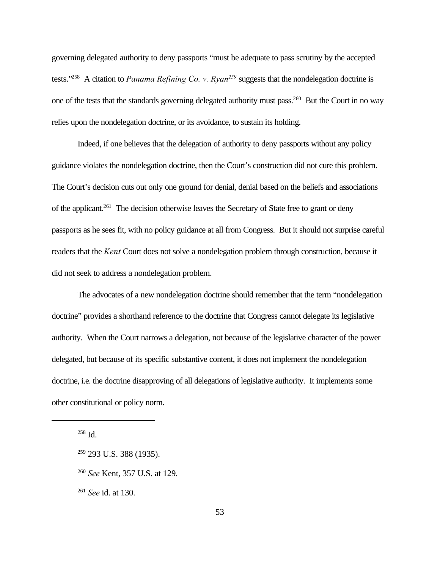governing delegated authority to deny passports "must be adequate to pass scrutiny by the accepted tests."<sup>258</sup> A citation to *Panama Refining Co. v. Ryan<sup>259</sup>* suggests that the nondelegation doctrine is one of the tests that the standards governing delegated authority must pass.<sup>260</sup> But the Court in no way relies upon the nondelegation doctrine, or its avoidance, to sustain its holding.

Indeed, if one believes that the delegation of authority to deny passports without any policy guidance violates the nondelegation doctrine, then the Court's construction did not cure this problem. The Court's decision cuts out only one ground for denial, denial based on the beliefs and associations of the applicant.<sup>261</sup> The decision otherwise leaves the Secretary of State free to grant or deny passports as he sees fit, with no policy guidance at all from Congress. But it should not surprise careful readers that the *Kent* Court does not solve a nondelegation problem through construction, because it did not seek to address a nondelegation problem.

The advocates of a new nondelegation doctrine should remember that the term "nondelegation doctrine" provides a shorthand reference to the doctrine that Congress cannot delegate its legislative authority. When the Court narrows a delegation, not because of the legislative character of the power delegated, but because of its specific substantive content, it does not implement the nondelegation doctrine, i.e. the doctrine disapproving of all delegations of legislative authority. It implements some other constitutional or policy norm.

 $258$  Id.

<sup>261</sup> *See* id. at 130.

<sup>&</sup>lt;sup>259</sup> 293 U.S. 388 (1935).

<sup>260</sup> *See* Kent, 357 U.S. at 129.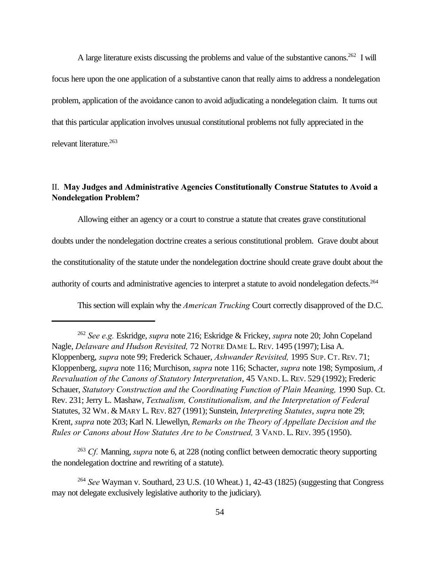A large literature exists discussing the problems and value of the substantive canons.<sup>262</sup> I will focus here upon the one application of a substantive canon that really aims to address a nondelegation problem, application of the avoidance canon to avoid adjudicating a nondelegation claim. It turns out that this particular application involves unusual constitutional problems not fully appreciated in the relevant literature.<sup>263</sup>

## II. **May Judges and Administrative Agencies Constitutionally Construe Statutes to Avoid a Nondelegation Problem?**

Allowing either an agency or a court to construe a statute that creates grave constitutional doubts under the nondelegation doctrine creates a serious constitutional problem. Grave doubt about the constitutionality of the statute under the nondelegation doctrine should create grave doubt about the authority of courts and administrative agencies to interpret a statute to avoid nondelegation defects.<sup>264</sup>

This section will explain why the *American Trucking* Court correctly disapproved of the D.C.

<sup>263</sup> *Cf.* Manning, *supra* note 6, at 228 (noting conflict between democratic theory supporting the nondelegation doctrine and rewriting of a statute).

<sup>262</sup> *See e.g.* Eskridge, *supra* note 216; Eskridge & Frickey, *supra* note 20; John Copeland Nagle, *Delaware and Hudson Revisited,* 72 NOTRE DAME L. REV. 1495 (1997); Lisa A. Kloppenberg, *supra* note 99; Frederick Schauer, *Ashwander Revisited,* 1995 SUP. CT. REV. 71; Kloppenberg, *supra* note 116; Murchison, *supra* note 116; Schacter, *supra* note 198; Symposium, *A Reevaluation of the Canons of Statutory Interpretation*, 45 VAND. L. REV. 529 (1992); Frederic Schauer, *Statutory Construction and the Coordinating Function of Plain Meaning, 1990 Sup. Ct.* Rev. 231; Jerry L. Mashaw, *Textualism, Constitutionalism, and the Interpretation of Federal* Statutes, 32 WM. & MARY L. REV. 827 (1991); Sunstein, *Interpreting Statutes*, *supra* note 29; Krent, *supra* note 203; Karl N. Llewellyn, *Remarks on the Theory of Appellate Decision and the Rules or Canons about How Statutes Are to be Construed,* 3 VAND. L. REV. 395 (1950).

<sup>264</sup> *See* Wayman v. Southard, 23 U.S. (10 Wheat.) 1, 42-43 (1825) (suggesting that Congress may not delegate exclusively legislative authority to the judiciary).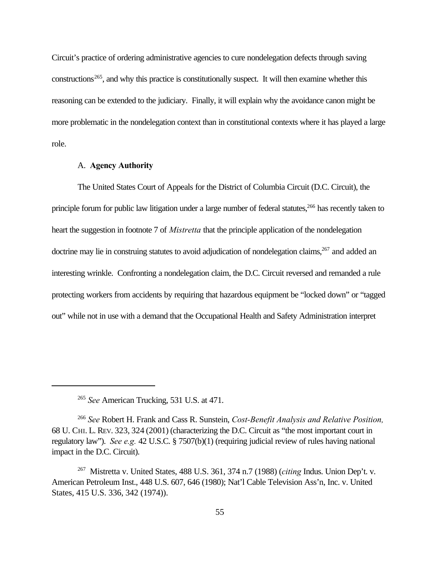Circuit's practice of ordering administrative agencies to cure nondelegation defects through saving  $\alpha$  constructions<sup>265</sup>, and why this practice is constitutionally suspect. It will then examine whether this reasoning can be extended to the judiciary. Finally, it will explain why the avoidance canon might be more problematic in the nondelegation context than in constitutional contexts where it has played a large role.

## A. **Agency Authority**

The United States Court of Appeals for the District of Columbia Circuit (D.C. Circuit), the principle forum for public law litigation under a large number of federal statutes,<sup>266</sup> has recently taken to heart the suggestion in footnote 7 of *Mistretta* that the principle application of the nondelegation doctrine may lie in construing statutes to avoid adjudication of nondelegation claims,<sup>267</sup> and added an interesting wrinkle. Confronting a nondelegation claim, the D.C. Circuit reversed and remanded a rule protecting workers from accidents by requiring that hazardous equipment be "locked down" or "tagged out" while not in use with a demand that the Occupational Health and Safety Administration interpret

<sup>265</sup> *See* American Trucking, 531 U.S. at 471.

<sup>266</sup> *See* Robert H. Frank and Cass R. Sunstein, *Cost-Benefit Analysis and Relative Position,* 68 U. CHI. L. REV. 323, 324 (2001) (characterizing the D.C. Circuit as "the most important court in regulatory law"). *See e.g.* 42 U.S.C. § 7507(b)(1) (requiring judicial review of rules having national impact in the D.C. Circuit).

<sup>267</sup> Mistretta v. United States, 488 U.S. 361, 374 n.7 (1988) (*citing* Indus. Union Dep't. v. American Petroleum Inst., 448 U.S. 607, 646 (1980); Nat'l Cable Television Ass'n, Inc. v. United States, 415 U.S. 336, 342 (1974)).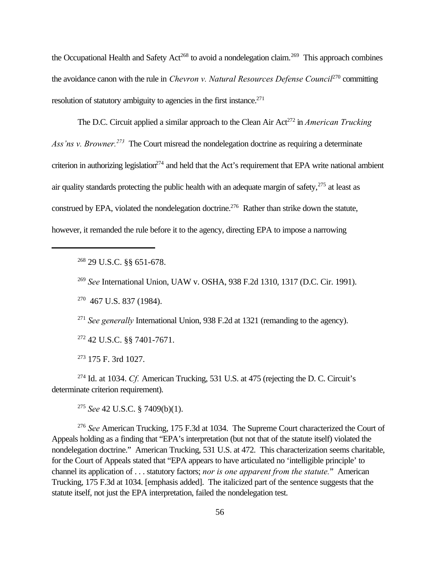the Occupational Health and Safety Act<sup>268</sup> to avoid a nondelegation claim.<sup>269</sup> This approach combines the avoidance canon with the rule in *Chevron v. Natural Resources Defense Council*<sup>270</sup> committing resolution of statutory ambiguity to agencies in the first instance.<sup>271</sup>

The D.C. Circuit applied a similar approach to the Clean Air Act<sup>272</sup> in *American Trucking Ass'ns v. Browner.<sup>273</sup>* The Court misread the nondelegation doctrine as requiring a determinate criterion in authorizing legislation<sup>274</sup> and held that the Act's requirement that EPA write national ambient air quality standards protecting the public health with an adequate margin of safety, $275$  at least as construed by EPA, violated the nondelegation doctrine.<sup>276</sup> Rather than strike down the statute, however, it remanded the rule before it to the agency, directing EPA to impose a narrowing

<sup>268</sup> 29 U.S.C. §§ 651-678.

<sup>269</sup> *See* International Union, UAW v. OSHA, 938 F.2d 1310, 1317 (D.C. Cir. 1991).

<sup>270</sup> 467 U.S. 837 (1984).

<sup>271</sup> *See generally* International Union, 938 F.2d at 1321 (remanding to the agency).

<sup>272</sup> 42 U.S.C. §§ 7401-7671.

<sup>273</sup> 175 F. 3rd 1027.

<sup>274</sup> Id. at 1034. *Cf.* American Trucking, 531 U.S. at 475 (rejecting the D. C. Circuit's determinate criterion requirement).

<sup>275</sup> *See* 42 U.S.C. § 7409(b)(1).

<sup>276</sup> *See* American Trucking, 175 F.3d at 1034. The Supreme Court characterized the Court of Appeals holding as a finding that "EPA's interpretation (but not that of the statute itself) violated the nondelegation doctrine." American Trucking, 531 U.S. at 472. This characterization seems charitable, for the Court of Appeals stated that "EPA appears to have articulated no 'intelligible principle' to channel its application of . . . statutory factors; *nor is one apparent from the statute.*" American Trucking, 175 F.3d at 1034. [emphasis added]. The italicized part of the sentence suggests that the statute itself, not just the EPA interpretation, failed the nondelegation test.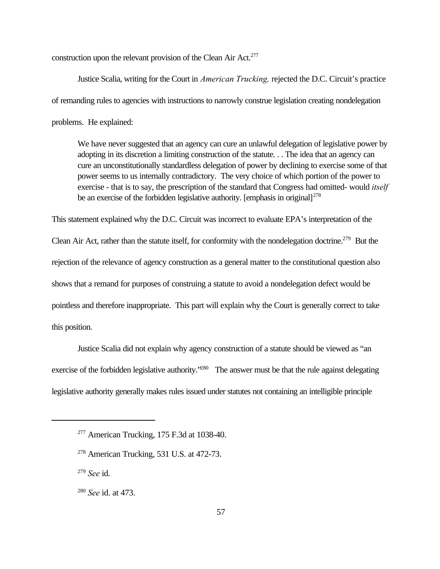construction upon the relevant provision of the Clean Air Act.<sup>277</sup>

Justice Scalia, writing for the Court in *American Trucking,* rejected the D.C. Circuit's practice of remanding rules to agencies with instructions to narrowly construe legislation creating nondelegation problems. He explained:

We have never suggested that an agency can cure an unlawful delegation of legislative power by adopting in its discretion a limiting construction of the statute. . . The idea that an agency can cure an unconstitutionally standardless delegation of power by declining to exercise some of that power seems to us internally contradictory. The very choice of which portion of the power to exercise - that is to say, the prescription of the standard that Congress had omitted- would *itself* be an exercise of the forbidden legislative authority. [emphasis in original] $^{278}$ 

This statement explained why the D.C. Circuit was incorrect to evaluate EPA's interpretation of the Clean Air Act, rather than the statute itself, for conformity with the nondelegation doctrine.<sup>279</sup> But the rejection of the relevance of agency construction as a general matter to the constitutional question also shows that a remand for purposes of construing a statute to avoid a nondelegation defect would be pointless and therefore inappropriate. This part will explain why the Court is generally correct to take this position.

Justice Scalia did not explain why agency construction of a statute should be viewed as "an exercise of the forbidden legislative authority."<sup>280</sup> The answer must be that the rule against delegating legislative authority generally makes rules issued under statutes not containing an intelligible principle

<sup>279</sup> *See* id.

 $277$  American Trucking, 175 F.3d at 1038-40.

 $278$  American Trucking, 531 U.S. at 472-73.

<sup>280</sup> *See* id. at 473.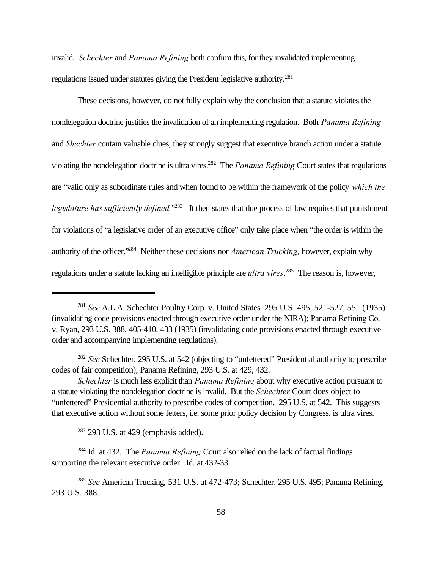invalid. *Schechter* and *Panama Refining* both confirm this, for they invalidated implementing regulations issued under statutes giving the President legislative authority.<sup>281</sup>

These decisions, however, do not fully explain why the conclusion that a statute violates the nondelegation doctrine justifies the invalidation of an implementing regulation. Both *Panama Refining* and *Shechter* contain valuable clues; they strongly suggest that executive branch action under a statute violating the nondelegation doctrine is ultra vires.<sup>282</sup> The *Panama Refining* Court states that regulations are "valid only as subordinate rules and when found to be within the framework of the policy *which the* legislature has sufficiently defined.<sup>"283</sup> It then states that due process of law requires that punishment for violations of "a legislative order of an executive office" only take place when "the order is within the authority of the officer."<sup>284</sup> Neither these decisions nor *American Trucking,* however, explain why regulations under a statute lacking an intelligible principle are *ultra vires*. 285 The reason is, however,

 $283$  293 U.S. at 429 (emphasis added).

<sup>284</sup> Id. at 432. The *Panama Refining* Court also relied on the lack of factual findings supporting the relevant executive order. Id. at 432-33.

<sup>281</sup> *See* A.L.A. Schechter Poultry Corp. v. United States*,* 295 U.S. 495, 521-527, 551 (1935) (invalidating code provisions enacted through executive order under the NIRA); Panama Refining Co. v. Ryan, 293 U.S. 388, 405-410, 433 (1935) (invalidating code provisions enacted through executive order and accompanying implementing regulations).

<sup>282</sup> *See* Schechter, 295 U.S. at 542 (objecting to "unfettered" Presidential authority to prescribe codes of fair competition); Panama Refining, 293 U.S. at 429, 432.

*Schechter* is much less explicit than *Panama Refining* about why executive action pursuant to a statute violating the nondelegation doctrine is invalid. But the *Schechter* Court does object to "unfettered" Presidential authority to prescribe codes of competition. 295 U.S. at 542. This suggests that executive action without some fetters, i.e. some prior policy decision by Congress, is ultra vires.

<sup>285</sup> *See* American Trucking*,* 531 U.S. at 472-473; Schechter, 295 U.S. 495; Panama Refining, 293 U.S. 388.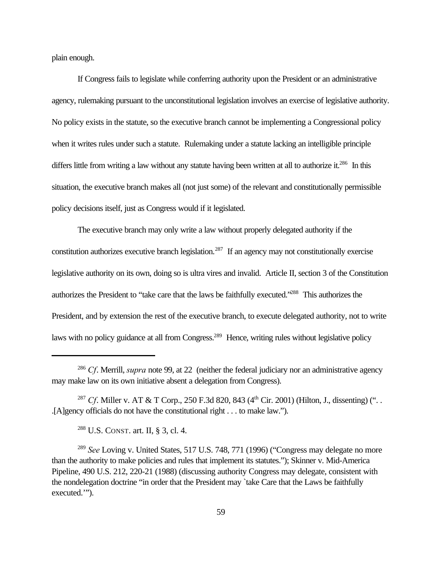plain enough.

If Congress fails to legislate while conferring authority upon the President or an administrative agency, rulemaking pursuant to the unconstitutional legislation involves an exercise of legislative authority. No policy exists in the statute, so the executive branch cannot be implementing a Congressional policy when it writes rules under such a statute. Rulemaking under a statute lacking an intelligible principle differs little from writing a law without any statute having been written at all to authorize it.<sup>286</sup> In this situation, the executive branch makes all (not just some) of the relevant and constitutionally permissible policy decisions itself, just as Congress would if it legislated.

The executive branch may only write a law without properly delegated authority if the constitution authorizes executive branch legislation.<sup>287</sup> If an agency may not constitutionally exercise legislative authority on its own, doing so is ultra vires and invalid. Article II, section 3 of the Constitution authorizes the President to "take care that the laws be faithfully executed."<sup>288</sup> This authorizes the President, and by extension the rest of the executive branch, to execute delegated authority, not to write laws with no policy guidance at all from Congress.<sup>289</sup> Hence, writing rules without legislative policy

<sup>286</sup> *Cf*. Merrill, *supra* note 99, at 22 (neither the federal judiciary nor an administrative agency may make law on its own initiative absent a delegation from Congress).

<sup>&</sup>lt;sup>287</sup> *Cf*. Miller v. AT & T Corp., 250 F.3d 820, 843 (4<sup>th</sup> Cir. 2001) (Hilton, J., dissenting) ("... .[A]gency officials do not have the constitutional right . . . to make law.").

<sup>288</sup> U.S. CONST. art. II, § 3, cl. 4.

<sup>289</sup> *See* Loving v. United States, 517 U.S. 748, 771 (1996) ("Congress may delegate no more than the authority to make policies and rules that implement its statutes."); Skinner v. Mid-America Pipeline, 490 U.S. 212, 220-21 (1988) (discussing authority Congress may delegate, consistent with the nondelegation doctrine "in order that the President may `take Care that the Laws be faithfully executed.'").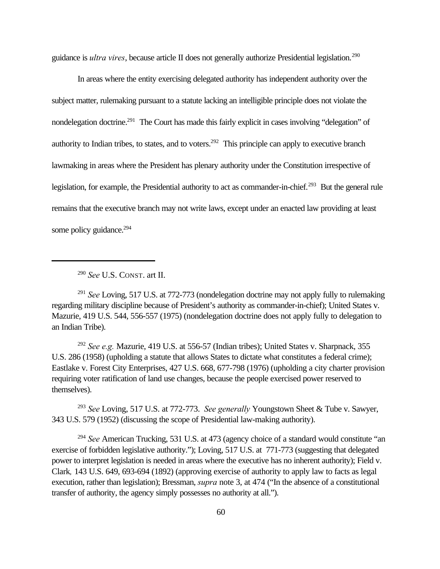guidance is *ultra vires*, because article II does not generally authorize Presidential legislation.<sup>290</sup>

In areas where the entity exercising delegated authority has independent authority over the subject matter, rulemaking pursuant to a statute lacking an intelligible principle does not violate the nondelegation doctrine.<sup>291</sup> The Court has made this fairly explicit in cases involving "delegation" of authority to Indian tribes, to states, and to voters.<sup>292</sup> This principle can apply to executive branch lawmaking in areas where the President has plenary authority under the Constitution irrespective of legislation, for example, the Presidential authority to act as commander-in-chief.<sup>293</sup> But the general rule remains that the executive branch may not write laws, except under an enacted law providing at least some policy guidance.<sup>294</sup>

<sup>290</sup> *See* U.S. CONST. art II.

<sup>291</sup> *See* Loving, 517 U.S. at 772-773 (nondelegation doctrine may not apply fully to rulemaking regarding military discipline because of President's authority as commander-in-chief); United States v. Mazurie, 419 U.S. 544, 556-557 (1975) (nondelegation doctrine does not apply fully to delegation to an Indian Tribe).

<sup>292</sup> *See e.g.* Mazurie, 419 U.S. at 556-57 (Indian tribes); United States v. Sharpnack, 355 U.S. 286 (1958) (upholding a statute that allows States to dictate what constitutes a federal crime); Eastlake v. Forest City Enterprises, 427 U.S. 668, 677-798 (1976) (upholding a city charter provision requiring voter ratification of land use changes, because the people exercised power reserved to themselves).

<sup>293</sup> *See* Loving, 517 U.S. at 772-773. *See generally* Youngstown Sheet & Tube v. Sawyer, 343 U.S. 579 (1952) (discussing the scope of Presidential law-making authority).

<sup>294</sup> *See* American Trucking, 531 U.S. at 473 (agency choice of a standard would constitute "an exercise of forbidden legislative authority."); Loving, 517 U.S. at 771-773 (suggesting that delegated power to interpret legislation is needed in areas where the executive has no inherent authority); Field v. Clark*,* 143 U.S. 649, 693-694 (1892) (approving exercise of authority to apply law to facts as legal execution, rather than legislation); Bressman, *supra* note 3, at 474 ("In the absence of a constitutional transfer of authority, the agency simply possesses no authority at all.").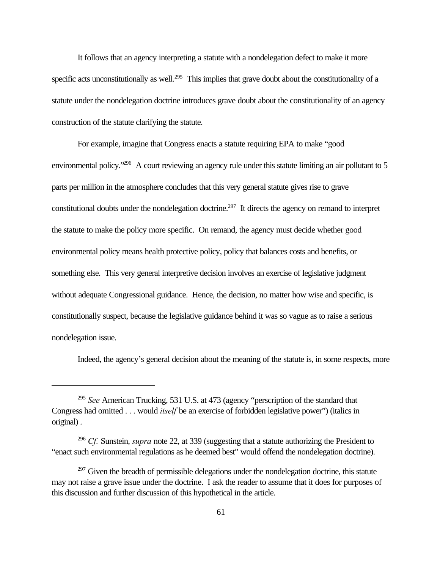It follows that an agency interpreting a statute with a nondelegation defect to make it more specific acts unconstitutionally as well.<sup>295</sup> This implies that grave doubt about the constitutionality of a statute under the nondelegation doctrine introduces grave doubt about the constitutionality of an agency construction of the statute clarifying the statute.

For example, imagine that Congress enacts a statute requiring EPA to make "good environmental policy.<sup>296</sup> A court reviewing an agency rule under this statute limiting an air pollutant to 5 parts per million in the atmosphere concludes that this very general statute gives rise to grave constitutional doubts under the nondelegation doctrine.<sup>297</sup> It directs the agency on remand to interpret the statute to make the policy more specific. On remand, the agency must decide whether good environmental policy means health protective policy, policy that balances costs and benefits, or something else. This very general interpretive decision involves an exercise of legislative judgment without adequate Congressional guidance. Hence, the decision, no matter how wise and specific, is constitutionally suspect, because the legislative guidance behind it was so vague as to raise a serious nondelegation issue.

Indeed, the agency's general decision about the meaning of the statute is, in some respects, more

<sup>295</sup> *See* American Trucking, 531 U.S. at 473 (agency "perscription of the standard that Congress had omitted . . . would *itself* be an exercise of forbidden legislative power") (italics in original) .

<sup>296</sup> *Cf.* Sunstein, *supra* note 22, at 339 (suggesting that a statute authorizing the President to "enact such environmental regulations as he deemed best" would offend the nondelegation doctrine).

 $297$  Given the breadth of permissible delegations under the nondelegation doctrine, this statute may not raise a grave issue under the doctrine. I ask the reader to assume that it does for purposes of this discussion and further discussion of this hypothetical in the article.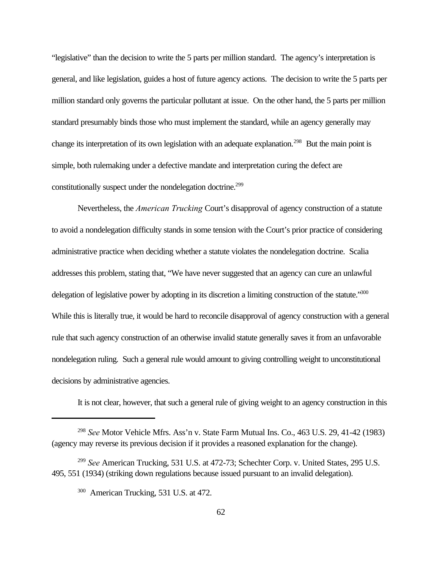"legislative" than the decision to write the 5 parts per million standard. The agency's interpretation is general, and like legislation, guides a host of future agency actions. The decision to write the 5 parts per million standard only governs the particular pollutant at issue. On the other hand, the 5 parts per million standard presumably binds those who must implement the standard, while an agency generally may change its interpretation of its own legislation with an adequate explanation.<sup>298</sup> But the main point is simple, both rulemaking under a defective mandate and interpretation curing the defect are constitutionally suspect under the nondelegation doctrine.<sup>299</sup>

Nevertheless, the *American Trucking* Court's disapproval of agency construction of a statute to avoid a nondelegation difficulty stands in some tension with the Court's prior practice of considering administrative practice when deciding whether a statute violates the nondelegation doctrine. Scalia addresses this problem, stating that, "We have never suggested that an agency can cure an unlawful delegation of legislative power by adopting in its discretion a limiting construction of the statute."300 While this is literally true, it would be hard to reconcile disapproval of agency construction with a general rule that such agency construction of an otherwise invalid statute generally saves it from an unfavorable nondelegation ruling. Such a general rule would amount to giving controlling weight to unconstitutional decisions by administrative agencies.

It is not clear, however, that such a general rule of giving weight to an agency construction in this

<sup>298</sup> *See* Motor Vehicle Mfrs. Ass'n v. State Farm Mutual Ins. Co., 463 U.S. 29, 41-42 (1983) (agency may reverse its previous decision if it provides a reasoned explanation for the change).

<sup>299</sup> *See* American Trucking, 531 U.S. at 472-73; Schechter Corp. v. United States, 295 U.S. 495, 551 (1934) (striking down regulations because issued pursuant to an invalid delegation).

<sup>300</sup> American Trucking, 531 U.S. at 472.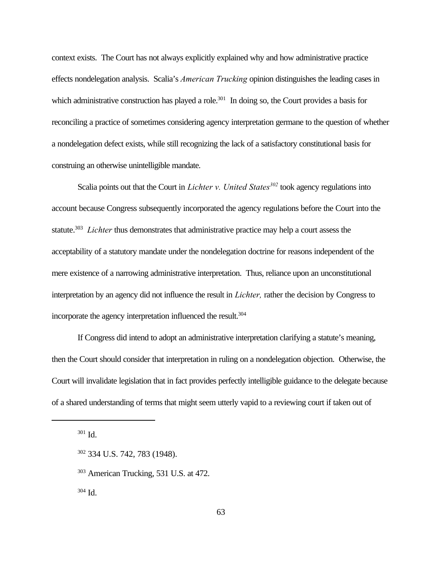context exists. The Court has not always explicitly explained why and how administrative practice effects nondelegation analysis. Scalia's *American Trucking* opinion distinguishes the leading cases in which administrative construction has played a role.<sup>301</sup> In doing so, the Court provides a basis for reconciling a practice of sometimes considering agency interpretation germane to the question of whether a nondelegation defect exists, while still recognizing the lack of a satisfactory constitutional basis for construing an otherwise unintelligible mandate.

Scalia points out that the Court in *Lichter v. United States<sup>302</sup>* took agency regulations into account because Congress subsequently incorporated the agency regulations before the Court into the statute.<sup>303</sup> Lichter thus demonstrates that administrative practice may help a court assess the acceptability of a statutory mandate under the nondelegation doctrine for reasons independent of the mere existence of a narrowing administrative interpretation. Thus, reliance upon an unconstitutional interpretation by an agency did not influence the result in *Lichter,* rather the decision by Congress to incorporate the agency interpretation influenced the result.<sup>304</sup>

If Congress did intend to adopt an administrative interpretation clarifying a statute's meaning, then the Court should consider that interpretation in ruling on a nondelegation objection. Otherwise, the Court will invalidate legislation that in fact provides perfectly intelligible guidance to the delegate because of a shared understanding of terms that might seem utterly vapid to a reviewing court if taken out of

 $301$  Id.

<sup>303</sup> American Trucking, 531 U.S. at 472.

 $304$  Id.

<sup>302</sup> 334 U.S. 742, 783 (1948).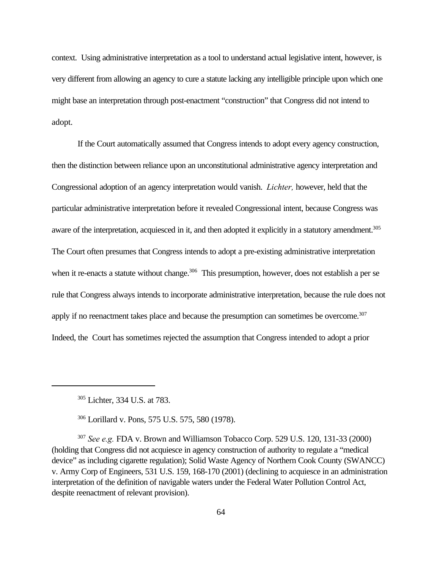context. Using administrative interpretation as a tool to understand actual legislative intent, however, is very different from allowing an agency to cure a statute lacking any intelligible principle upon which one might base an interpretation through post-enactment "construction" that Congress did not intend to adopt.

If the Court automatically assumed that Congress intends to adopt every agency construction, then the distinction between reliance upon an unconstitutional administrative agency interpretation and Congressional adoption of an agency interpretation would vanish. *Lichter,* however, held that the particular administrative interpretation before it revealed Congressional intent, because Congress was aware of the interpretation, acquiesced in it, and then adopted it explicitly in a statutory amendment.<sup>305</sup> The Court often presumes that Congress intends to adopt a pre-existing administrative interpretation when it re-enacts a statute without change.<sup>306</sup> This presumption, however, does not establish a per se rule that Congress always intends to incorporate administrative interpretation, because the rule does not apply if no reenactment takes place and because the presumption can sometimes be overcome.<sup>307</sup> Indeed, the Court has sometimes rejected the assumption that Congress intended to adopt a prior

<sup>305</sup> Lichter, 334 U.S. at 783.

<sup>306</sup> Lorillard v. Pons, 575 U.S. 575, 580 (1978).

<sup>307</sup> *See e.g.* FDA v. Brown and Williamson Tobacco Corp. 529 U.S. 120, 131-33 (2000) (holding that Congress did not acquiesce in agency construction of authority to regulate a "medical device" as including cigarette regulation); Solid Waste Agency of Northern Cook County (SWANCC) v. Army Corp of Engineers, 531 U.S. 159, 168-170 (2001) (declining to acquiesce in an administration interpretation of the definition of navigable waters under the Federal Water Pollution Control Act, despite reenactment of relevant provision).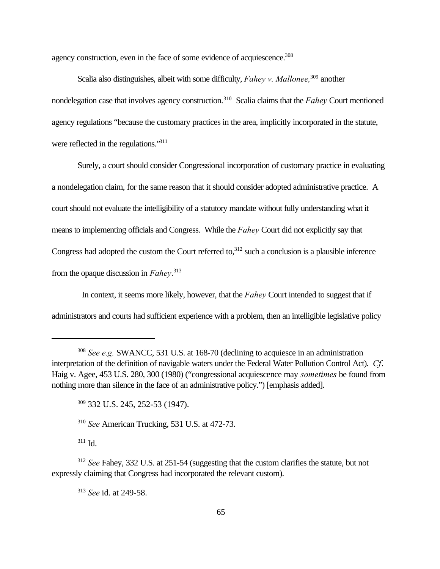agency construction, even in the face of some evidence of acquiescence.<sup>308</sup>

Scalia also distinguishes, albeit with some difficulty, *Fahey v. Mallonee*,<sup>309</sup> another nondelegation case that involves agency construction.<sup>310</sup> Scalia claims that the *Fahey* Court mentioned agency regulations "because the customary practices in the area, implicitly incorporated in the statute, were reflected in the regulations."<sup>311</sup>

Surely, a court should consider Congressional incorporation of customary practice in evaluating a nondelegation claim, for the same reason that it should consider adopted administrative practice. A court should not evaluate the intelligibility of a statutory mandate without fully understanding what it means to implementing officials and Congress. While the *Fahey* Court did not explicitly say that Congress had adopted the custom the Court referred to, $312$  such a conclusion is a plausible inference from the opaque discussion in *Fahey*. 313

 In context, it seems more likely, however, that the *Fahey* Court intended to suggest that if administrators and courts had sufficient experience with a problem, then an intelligible legislative policy

<sup>309</sup> 332 U.S. 245, 252-53 (1947).

<sup>310</sup> *See* American Trucking, 531 U.S. at 472-73.

<sup>311</sup> Id.

<sup>313</sup> *See* id. at 249-58.

<sup>308</sup> *See e.g.* SWANCC, 531 U.S. at 168-70 (declining to acquiesce in an administration interpretation of the definition of navigable waters under the Federal Water Pollution Control Act). *Cf*. Haig v. Agee, 453 U.S. 280, 300 (1980) ("congressional acquiescence may *sometimes* be found from nothing more than silence in the face of an administrative policy.") [emphasis added].

<sup>312</sup> *See* Fahey, 332 U.S. at 251-54 (suggesting that the custom clarifies the statute, but not expressly claiming that Congress had incorporated the relevant custom).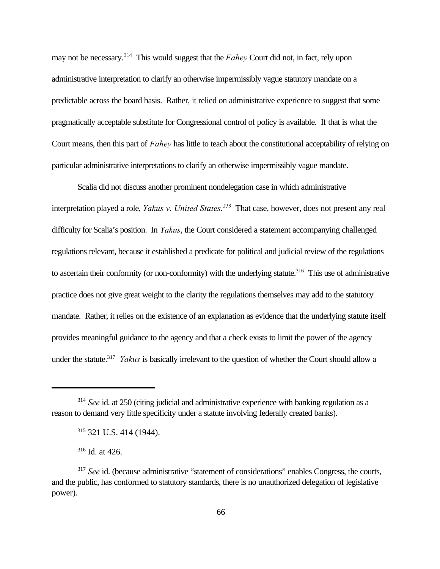may not be necessary.<sup>314</sup> This would suggest that the *Fahey* Court did not, in fact, rely upon administrative interpretation to clarify an otherwise impermissibly vague statutory mandate on a predictable across the board basis. Rather, it relied on administrative experience to suggest that some pragmatically acceptable substitute for Congressional control of policy is available. If that is what the Court means, then this part of *Fahey* has little to teach about the constitutional acceptability of relying on particular administrative interpretations to clarify an otherwise impermissibly vague mandate.

Scalia did not discuss another prominent nondelegation case in which administrative interpretation played a role, *Yakus v. United States.*<sup>315</sup> That case, however, does not present any real difficulty for Scalia's position. In *Yakus*, the Court considered a statement accompanying challenged regulations relevant, because it established a predicate for political and judicial review of the regulations to ascertain their conformity (or non-conformity) with the underlying statute.<sup>316</sup> This use of administrative practice does not give great weight to the clarity the regulations themselves may add to the statutory mandate. Rather, it relies on the existence of an explanation as evidence that the underlying statute itself provides meaningful guidance to the agency and that a check exists to limit the power of the agency under the statute.<sup>317</sup> *Yakus* is basically irrelevant to the question of whether the Court should allow a

<sup>314</sup> *See* id. at 250 (citing judicial and administrative experience with banking regulation as a reason to demand very little specificity under a statute involving federally created banks).

<sup>315</sup> 321 U.S. 414 (1944).

<sup>316</sup> Id. at 426.

<sup>&</sup>lt;sup>317</sup> *See* id. (because administrative "statement of considerations" enables Congress, the courts, and the public, has conformed to statutory standards, there is no unauthorized delegation of legislative power).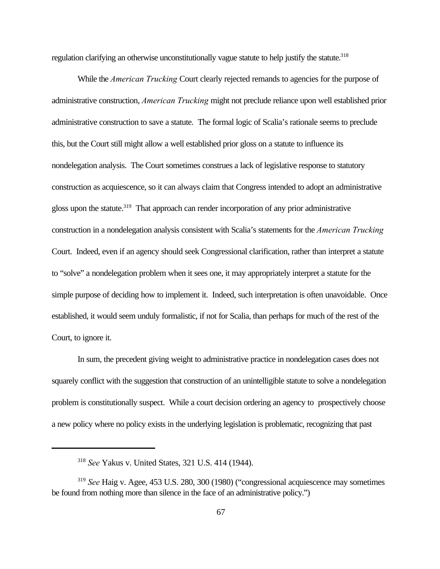regulation clarifying an otherwise unconstitutionally vague statute to help justify the statute.<sup>318</sup>

While the *American Trucking* Court clearly rejected remands to agencies for the purpose of administrative construction, *American Trucking* might not preclude reliance upon well established prior administrative construction to save a statute. The formal logic of Scalia's rationale seems to preclude this, but the Court still might allow a well established prior gloss on a statute to influence its nondelegation analysis. The Court sometimes construes a lack of legislative response to statutory construction as acquiescence, so it can always claim that Congress intended to adopt an administrative gloss upon the statute.<sup>319</sup> That approach can render incorporation of any prior administrative construction in a nondelegation analysis consistent with Scalia's statements for the *American Trucking* Court. Indeed, even if an agency should seek Congressional clarification, rather than interpret a statute to "solve" a nondelegation problem when it sees one, it may appropriately interpret a statute for the simple purpose of deciding how to implement it. Indeed, such interpretation is often unavoidable. Once established, it would seem unduly formalistic, if not for Scalia, than perhaps for much of the rest of the Court, to ignore it.

In sum, the precedent giving weight to administrative practice in nondelegation cases does not squarely conflict with the suggestion that construction of an unintelligible statute to solve a nondelegation problem is constitutionally suspect. While a court decision ordering an agency to prospectively choose a new policy where no policy exists in the underlying legislation is problematic, recognizing that past

<sup>318</sup> *See* Yakus v. United States, 321 U.S. 414 (1944).

<sup>319</sup> *See* Haig v. Agee, 453 U.S. 280, 300 (1980) ("congressional acquiescence may sometimes be found from nothing more than silence in the face of an administrative policy.")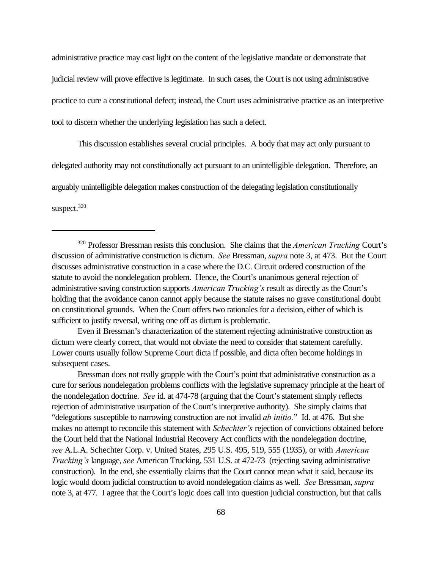administrative practice may cast light on the content of the legislative mandate or demonstrate that judicial review will prove effective is legitimate. In such cases, the Court is not using administrative practice to cure a constitutional defect; instead, the Court uses administrative practice as an interpretive tool to discern whether the underlying legislation has such a defect.

This discussion establishes several crucial principles. A body that may act only pursuant to delegated authority may not constitutionally act pursuant to an unintelligible delegation. Therefore, an arguably unintelligible delegation makes construction of the delegating legislation constitutionally suspect. $320$ 

Even if Bressman's characterization of the statement rejecting administrative construction as dictum were clearly correct, that would not obviate the need to consider that statement carefully. Lower courts usually follow Supreme Court dicta if possible, and dicta often become holdings in subsequent cases.

Bressman does not really grapple with the Court's point that administrative construction as a cure for serious nondelegation problems conflicts with the legislative supremacy principle at the heart of the nondelegation doctrine. *See* id. at 474-78 (arguing that the Court's statement simply reflects rejection of administrative usurpation of the Court's interpretive authority). She simply claims that "delegations susceptible to narrowing construction are not invalid *ab initio.*" Id. at 476. But she makes no attempt to reconcile this statement with *Schechter's* rejection of convictions obtained before the Court held that the National Industrial Recovery Act conflicts with the nondelegation doctrine, *see* A.L.A. Schechter Corp. v. United States, 295 U.S. 495, 519, 555 (1935), or with *American Trucking's* language, *see* American Trucking, 531 U.S. at 472-73 (rejecting saving administrative construction). In the end, she essentially claims that the Court cannot mean what it said, because its logic would doom judicial construction to avoid nondelegation claims as well. *See* Bressman, *supra* note 3, at 477. I agree that the Court's logic does call into question judicial construction, but that calls

<sup>320</sup> Professor Bressman resists this conclusion. She claims that the *American Trucking* Court's discussion of administrative construction is dictum. *See* Bressman, *supra* note 3, at 473. But the Court discusses administrative construction in a case where the D.C. Circuit ordered construction of the statute to avoid the nondelegation problem. Hence, the Court's unanimous general rejection of administrative saving construction supports *American Trucking's* result as directly as the Court's holding that the avoidance canon cannot apply because the statute raises no grave constitutional doubt on constitutional grounds. When the Court offers two rationales for a decision, either of which is sufficient to justify reversal, writing one off as dictum is problematic.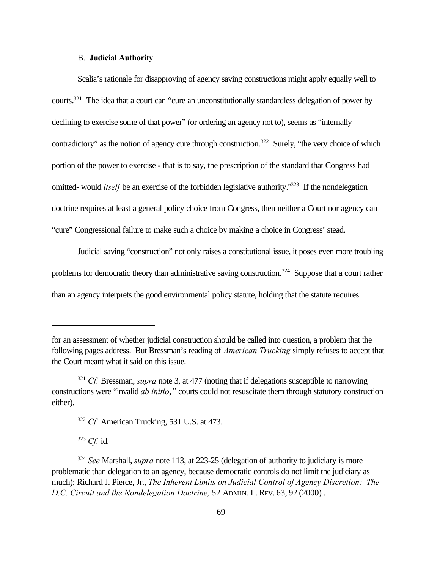## B. **Judicial Authority**

Scalia's rationale for disapproving of agency saving constructions might apply equally well to courts.<sup>321</sup> The idea that a court can "cure an unconstitutionally standardless delegation of power by declining to exercise some of that power" (or ordering an agency not to), seems as "internally contradictory" as the notion of agency cure through construction.<sup>322</sup> Surely, "the very choice of which portion of the power to exercise - that is to say, the prescription of the standard that Congress had omitted- would *itself* be an exercise of the forbidden legislative authority.<sup>323</sup> If the nondelegation doctrine requires at least a general policy choice from Congress, then neither a Court nor agency can "cure" Congressional failure to make such a choice by making a choice in Congress' stead.

Judicial saving "construction" not only raises a constitutional issue, it poses even more troubling problems for democratic theory than administrative saving construction.<sup>324</sup> Suppose that a court rather than an agency interprets the good environmental policy statute, holding that the statute requires

<sup>323</sup> *Cf.* id.

for an assessment of whether judicial construction should be called into question, a problem that the following pages address. But Bressman's reading of *American Trucking* simply refuses to accept that the Court meant what it said on this issue.

<sup>321</sup> *Cf.* Bressman, *supra* note 3, at 477 (noting that if delegations susceptible to narrowing constructions were "invalid *ab initio*,*"* courts could not resuscitate them through statutory construction either).

<sup>322</sup> *Cf.* American Trucking, 531 U.S. at 473.

<sup>324</sup> *See* Marshall, *supra* note 113, at 223-25 (delegation of authority to judiciary is more problematic than delegation to an agency, because democratic controls do not limit the judiciary as much); Richard J. Pierce, Jr., *The Inherent Limits on Judicial Control of Agency Discretion: The D.C. Circuit and the Nondelegation Doctrine,* 52 ADMIN. L. REV. 63, 92 (2000) .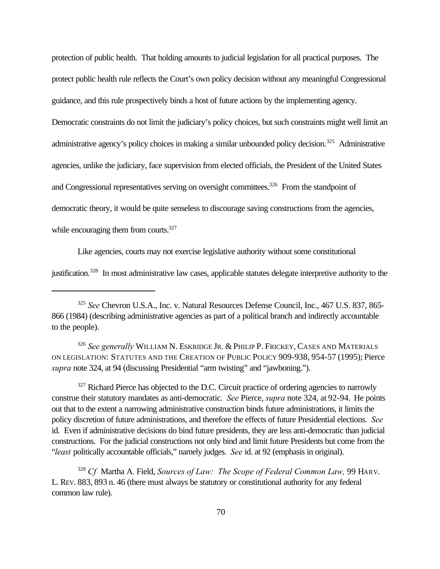protection of public health. That holding amounts to judicial legislation for all practical purposes. The protect public health rule reflects the Court's own policy decision without any meaningful Congressional guidance, and this rule prospectively binds a host of future actions by the implementing agency.

Democratic constraints do not limit the judiciary's policy choices, but such constraints might well limit an administrative agency's policy choices in making a similar unbounded policy decision.<sup>325</sup> Administrative agencies, unlike the judiciary, face supervision from elected officials, the President of the United States and Congressional representatives serving on oversight committees.<sup>326</sup> From the standpoint of democratic theory, it would be quite senseless to discourage saving constructions from the agencies, while encouraging them from courts.<sup>327</sup>

Like agencies, courts may not exercise legislative authority without some constitutional

justification.<sup>328</sup> In most administrative law cases, applicable statutes delegate interpretive authority to the

<sup>326</sup> *See generally* WILLIAM N. ESKRIDGE JR. & PHILIP P. FRICKEY, CASES AND MATERIALS ON LEGISLATION: STATUTES AND THE CREATION OF PUBLIC POLICY 909-938, 954-57 (1995); Pierce *supra* note 324, at 94 (discussing Presidential "arm twisting" and "jawboning.").

<sup>327</sup> Richard Pierce has objected to the D.C. Circuit practice of ordering agencies to narrowly construe their statutory mandates as anti-democratic. *See* Pierce, *supra* note 324, at 92-94. He points out that to the extent a narrowing administrative construction binds future administrations, it limits the policy discretion of future administrations, and therefore the effects of future Presidential elections. *See* id. Even if administrative decisions do bind future presidents, they are less anti-democratic than judicial constructions. For the judicial constructions not only bind and limit future Presidents but come from the "*least* politically accountable officials," namely judges. *See* id. at 92 (emphasis in original).

<sup>328</sup> *Cf* Martha A. Field, *Sources of Law: The Scope of Federal Common Law,* 99 HARV. L. REV. 883, 893 n. 46 (there must always be statutory or constitutional authority for any federal common law rule).

<sup>325</sup> *See* Chevron U.S.A., Inc. v. Natural Resources Defense Council, Inc., 467 U.S. 837, 865- 866 (1984) (describing administrative agencies as part of a political branch and indirectly accountable to the people).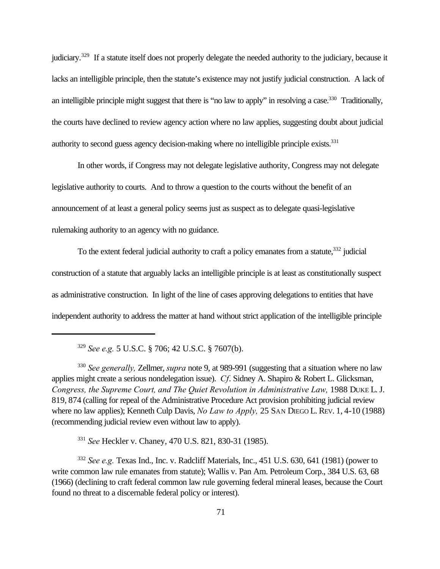judiciary.<sup>329</sup> If a statute itself does not properly delegate the needed authority to the judiciary, because it lacks an intelligible principle, then the statute's existence may not justify judicial construction. A lack of an intelligible principle might suggest that there is "no law to apply" in resolving a case.<sup>330</sup> Traditionally, the courts have declined to review agency action where no law applies, suggesting doubt about judicial authority to second guess agency decision-making where no intelligible principle exists.<sup>331</sup>

In other words, if Congress may not delegate legislative authority, Congress may not delegate legislative authority to courts. And to throw a question to the courts without the benefit of an announcement of at least a general policy seems just as suspect as to delegate quasi-legislative rulemaking authority to an agency with no guidance.

To the extent federal judicial authority to craft a policy emanates from a statute,<sup>332</sup> judicial construction of a statute that arguably lacks an intelligible principle is at least as constitutionally suspect as administrative construction. In light of the line of cases approving delegations to entities that have independent authority to address the matter at hand without strict application of the intelligible principle

<sup>329</sup> *See e.g.* 5 U.S.C. § 706; 42 U.S.C. § 7607(b).

<sup>330</sup> *See generally,* Zellmer, *supra* note 9, at 989-991 (suggesting that a situation where no law applies might create a serious nondelegation issue). *Cf*. Sidney A. Shapiro & Robert L. Glicksman, *Congress, the Supreme Court, and The Quiet Revolution in Administrative Law, 1988 DUKE L. J.* 819, 874 (calling for repeal of the Administrative Procedure Act provision prohibiting judicial review where no law applies); Kenneth Culp Davis, *No Law to Apply,* 25 SAN DIEGO L. REV. 1, 4-10 (1988) (recommending judicial review even without law to apply).

<sup>331</sup> *See* Heckler v. Chaney, 470 U.S. 821, 830-31 (1985).

<sup>332</sup> *See e.g.* Texas Ind., Inc. v. Radcliff Materials, Inc., 451 U.S. 630, 641 (1981) (power to write common law rule emanates from statute); Wallis v. Pan Am. Petroleum Corp., 384 U.S. 63, 68 (1966) (declining to craft federal common law rule governing federal mineral leases, because the Court found no threat to a discernable federal policy or interest).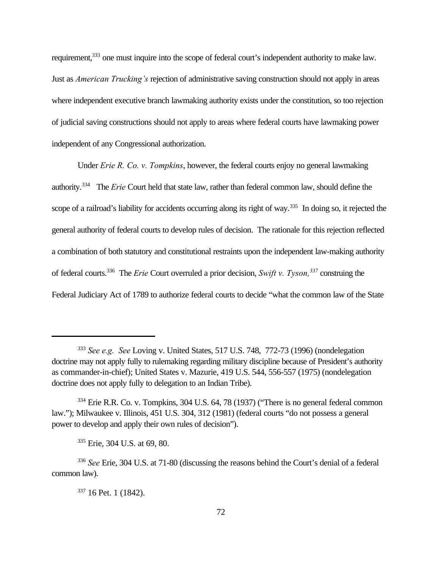requirement,<sup>333</sup> one must inquire into the scope of federal court's independent authority to make law. Just as *American Trucking's* rejection of administrative saving construction should not apply in areas where independent executive branch lawmaking authority exists under the constitution, so too rejection of judicial saving constructions should not apply to areas where federal courts have lawmaking power independent of any Congressional authorization.

Under *Erie R. Co. v. Tompkins*, however, the federal courts enjoy no general lawmaking authority.<sup>334</sup> The *Erie* Court held that state law, rather than federal common law, should define the scope of a railroad's liability for accidents occurring along its right of way.<sup>335</sup> In doing so, it rejected the general authority of federal courts to develop rules of decision. The rationale for this rejection reflected a combination of both statutory and constitutional restraints upon the independent law-making authority of federal courts.<sup>336</sup> The *Erie* Court overruled a prior decision, *Swift v. Tyson,<sup>337</sup>* construing the Federal Judiciary Act of 1789 to authorize federal courts to decide "what the common law of the State

<sup>333</sup> *See e.g. See* Loving v. United States, 517 U.S. 748, 772-73 (1996) (nondelegation doctrine may not apply fully to rulemaking regarding military discipline because of President's authority as commander-in-chief); United States v. Mazurie, 419 U.S. 544, 556-557 (1975) (nondelegation doctrine does not apply fully to delegation to an Indian Tribe).

<sup>&</sup>lt;sup>334</sup> Erie R.R. Co. v. Tompkins, 304 U.S. 64, 78 (1937) ("There is no general federal common law."); Milwaukee v. Illinois, 451 U.S. 304, 312 (1981) (federal courts "do not possess a general power to develop and apply their own rules of decision").

<sup>335</sup> Erie, 304 U.S. at 69, 80.

<sup>336</sup> *See* Erie, 304 U.S. at 71-80 (discussing the reasons behind the Court's denial of a federal common law).

<sup>337</sup> 16 Pet. 1 (1842).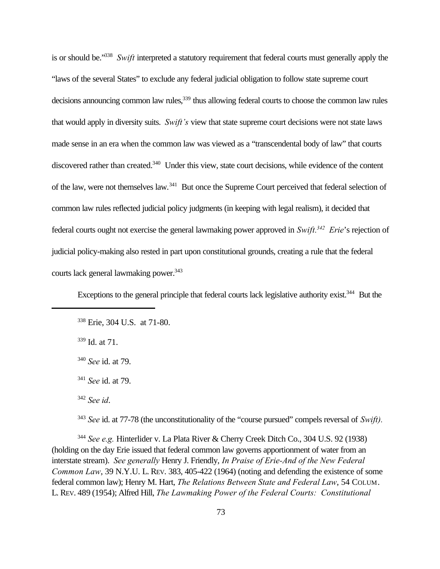is or should be."<sup>338</sup> *Swift* interpreted a statutory requirement that federal courts must generally apply the "laws of the several States" to exclude any federal judicial obligation to follow state supreme court decisions announcing common law rules,<sup>339</sup> thus allowing federal courts to choose the common law rules that would apply in diversity suits. *Swift's* view that state supreme court decisions were not state laws made sense in an era when the common law was viewed as a "transcendental body of law" that courts discovered rather than created.<sup>340</sup> Under this view, state court decisions, while evidence of the content of the law, were not themselves law.<sup>341</sup> But once the Supreme Court perceived that federal selection of common law rules reflected judicial policy judgments (in keeping with legal realism), it decided that federal courts ought not exercise the general lawmaking power approved in *Swift.<sup>342</sup> Erie*'s rejection of judicial policy-making also rested in part upon constitutional grounds, creating a rule that the federal courts lack general lawmaking power.<sup>343</sup>

Exceptions to the general principle that federal courts lack legislative authority exist.<sup>344</sup> But the

<sup>343</sup> *See* id. at 77-78 (the unconstitutionality of the "course pursued" compels reversal of *Swift).*

<sup>344</sup> *See e.g.* Hinterlider v. La Plata River & Cherry Creek Ditch Co., 304 U.S. 92 (1938) (holding on the day Erie issued that federal common law governs apportionment of water from an interstate stream). *See generally* Henry J. Friendly, *In Praise of Erie-And of the New Federal Common Law*, 39 N.Y.U. L. REV. 383, 405-422 (1964) (noting and defending the existence of some federal common law); Henry M. Hart, *The Relations Between State and Federal Law*, 54 COLUM. L. REV. 489 (1954); Alfred Hill, *The Lawmaking Power of the Federal Courts: Constitutional*

<sup>338</sup> Erie, 304 U.S. at 71-80.

<sup>339</sup> Id. at 71.

<sup>340</sup> *See* id. at 79.

<sup>341</sup> *See* id. at 79.

<sup>342</sup> *See id*.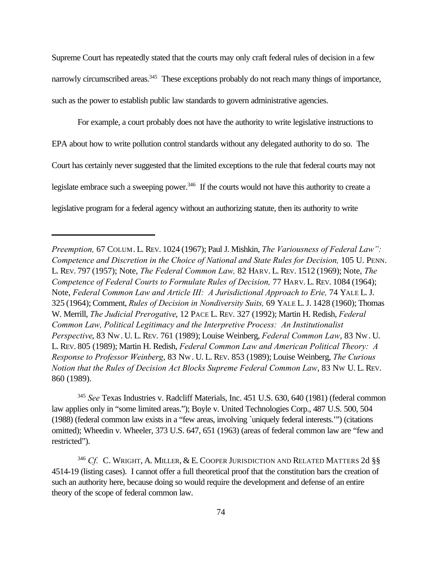Supreme Court has repeatedly stated that the courts may only craft federal rules of decision in a few narrowly circumscribed areas.<sup>345</sup> These exceptions probably do not reach many things of importance, such as the power to establish public law standards to govern administrative agencies.

For example, a court probably does not have the authority to write legislative instructions to EPA about how to write pollution control standards without any delegated authority to do so. The Court has certainly never suggested that the limited exceptions to the rule that federal courts may not legislate embrace such a sweeping power.<sup>346</sup> If the courts would not have this authority to create a legislative program for a federal agency without an authorizing statute, then its authority to write

<sup>345</sup> *See* Texas Industries v. Radcliff Materials, Inc. 451 U.S. 630, 640 (1981) (federal common law applies only in "some limited areas."); Boyle v. United Technologies Corp., 487 U.S. 500, 504 (1988) (federal common law exists in a "few areas, involving `uniquely federal interests.'") (citations omitted); Wheedin v. Wheeler, 373 U.S. 647, 651 (1963) (areas of federal common law are "few and restricted").

<sup>346</sup> Cf. C. Wright, A. Miller, & E. Cooper Jurisdiction and Related Matters 2d §§ 4514-19 (listing cases). I cannot offer a full theoretical proof that the constitution bars the creation of such an authority here, because doing so would require the development and defense of an entire theory of the scope of federal common law.

*Preemption,* 67 COLUM. L. REV. 1024 (1967); Paul J. Mishkin, *The Variousness of Federal Law": Competence and Discretion in the Choice of National and State Rules for Decision, 105 U. PENN.* L. REV. 797 (1957); Note, *The Federal Common Law,* 82 HARV. L. REV. 1512 (1969); Note, *The Competence of Federal Courts to Formulate Rules of Decision, 77 HARV. L. REV. 1084 (1964);* Note, *Federal Common Law and Article III: A Jurisdictional Approach to Erie*, 74 YALE L. J. 325 (1964); Comment, *Rules of Decision in Nondiversity Suits,* 69 YALE L.J. 1428 (1960); Thomas W. Merrill, *The Judicial Prerogative*, 12 PACE L. REV. 327 (1992); Martin H. Redish, *Federal Common Law, Political Legitimacy and the Interpretive Process: An Institutionalist Perspective*, 83 NW. U. L. REV. 761 (1989); Louise Weinberg, *Federal Common Law*, 83 NW. U. L. REV. 805 (1989); Martin H. Redish, *Federal Common Law and American Political Theory: A Response to Professor Weinberg*, 83 NW. U. L. REV. 853 (1989); Louise Weinberg, *The Curious Notion that the Rules of Decision Act Blocks Supreme Federal Common Law*, 83 NW U. L. REV. 860 (1989).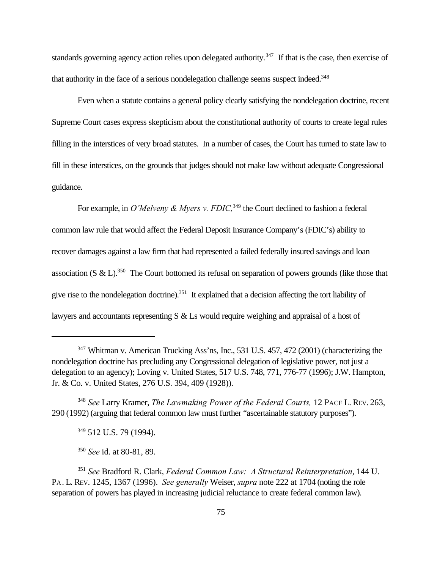standards governing agency action relies upon delegated authority.<sup>347</sup> If that is the case, then exercise of that authority in the face of a serious nondelegation challenge seems suspect indeed.<sup>348</sup>

Even when a statute contains a general policy clearly satisfying the nondelegation doctrine, recent Supreme Court cases express skepticism about the constitutional authority of courts to create legal rules filling in the interstices of very broad statutes. In a number of cases, the Court has turned to state law to fill in these interstices, on the grounds that judges should not make law without adequate Congressional guidance.

For example, in *O'Melveny & Myers v. FDIC*,<sup>349</sup> the Court declined to fashion a federal common law rule that would affect the Federal Deposit Insurance Company's (FDIC's) ability to recover damages against a law firm that had represented a failed federally insured savings and loan association (S & L).<sup>350</sup> The Court bottomed its refusal on separation of powers grounds (like those that give rise to the nondelegation doctrine).<sup>351</sup> It explained that a decision affecting the tort liability of lawyers and accountants representing S & Ls would require weighing and appraisal of a host of

<sup>348</sup> *See* Larry Kramer, *The Lawmaking Power of the Federal Courts,* 12 PACE L. REV. 263, 290 (1992) (arguing that federal common law must further "ascertainable statutory purposes").

<sup>349</sup> 512 U.S. 79 (1994).

<sup>350</sup> *See* id. at 80-81, 89.

<sup>347</sup> Whitman v. American Trucking Ass'ns, Inc., 531 U.S. 457, 472 (2001) (characterizing the nondelegation doctrine has precluding any Congressional delegation of legislative power, not just a delegation to an agency); Loving v. United States, 517 U.S. 748, 771, 776-77 (1996); J.W. Hampton, Jr. & Co. v. United States, 276 U.S. 394, 409 (1928)).

<sup>351</sup> *See* Bradford R. Clark, *Federal Common Law: A Structural Reinterpretation*, 144 U. PA. L. REV. 1245, 1367 (1996). *See generally* Weiser, *supra* note 222 at 1704 (noting the role separation of powers has played in increasing judicial reluctance to create federal common law).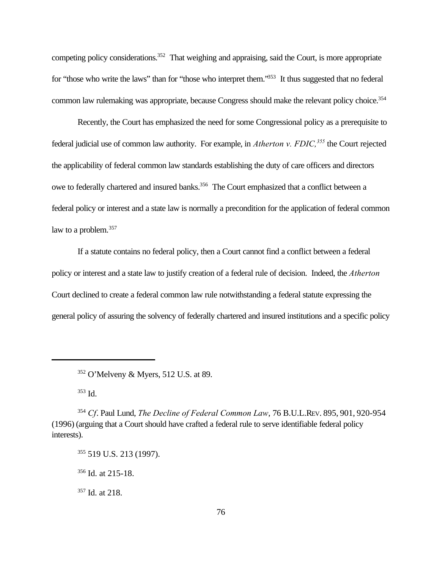competing policy considerations.<sup>352</sup> That weighing and appraising, said the Court, is more appropriate for "those who write the laws" than for "those who interpret them."<sup>353</sup> It thus suggested that no federal common law rulemaking was appropriate, because Congress should make the relevant policy choice.<sup>354</sup>

Recently, the Court has emphasized the need for some Congressional policy as a prerequisite to federal judicial use of common law authority. For example, in *Atherton v. FDIC,<sup>355</sup>* the Court rejected the applicability of federal common law standards establishing the duty of care officers and directors owe to federally chartered and insured banks.<sup>356</sup> The Court emphasized that a conflict between a federal policy or interest and a state law is normally a precondition for the application of federal common law to a problem.<sup>357</sup>

If a statute contains no federal policy, then a Court cannot find a conflict between a federal policy or interest and a state law to justify creation of a federal rule of decision. Indeed, the *Atherton* Court declined to create a federal common law rule notwithstanding a federal statute expressing the general policy of assuring the solvency of federally chartered and insured institutions and a specific policy

<sup>353</sup> Id.

<sup>352</sup> O'Melveny & Myers, 512 U.S. at 89.

<sup>354</sup> *Cf*. Paul Lund, *The Decline of Federal Common Law*, 76 B.U.L.REV. 895, 901, 920-954 (1996) (arguing that a Court should have crafted a federal rule to serve identifiable federal policy interests).

<sup>355</sup> 519 U.S. 213 (1997).

 $356$  Id. at 215-18.

<sup>357</sup> Id. at 218.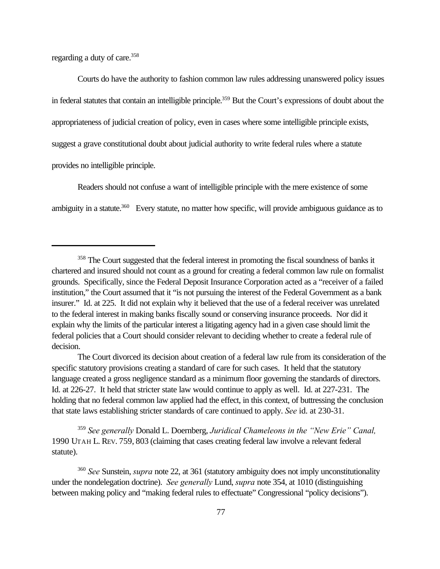regarding a duty of care.<sup>358</sup>

Courts do have the authority to fashion common law rules addressing unanswered policy issues in federal statutes that contain an intelligible principle.<sup>359</sup> But the Court's expressions of doubt about the appropriateness of judicial creation of policy, even in cases where some intelligible principle exists, suggest a grave constitutional doubt about judicial authority to write federal rules where a statute provides no intelligible principle.

Readers should not confuse a want of intelligible principle with the mere existence of some ambiguity in a statute.<sup>360</sup> Every statute, no matter how specific, will provide ambiguous guidance as to

<sup>359</sup> *See generally* Donald L. Doernberg, *Juridical Chameleons in the "New Erie" Canal,* 1990 UTAH L. REV. 759, 803 (claiming that cases creating federal law involve a relevant federal statute).

<sup>&</sup>lt;sup>358</sup> The Court suggested that the federal interest in promoting the fiscal soundness of banks it chartered and insured should not count as a ground for creating a federal common law rule on formalist grounds. Specifically, since the Federal Deposit Insurance Corporation acted as a "receiver of a failed institution," the Court assumed that it "is not pursuing the interest of the Federal Government as a bank insurer." Id. at 225. It did not explain why it believed that the use of a federal receiver was unrelated to the federal interest in making banks fiscally sound or conserving insurance proceeds. Nor did it explain why the limits of the particular interest a litigating agency had in a given case should limit the federal policies that a Court should consider relevant to deciding whether to create a federal rule of decision.

The Court divorced its decision about creation of a federal law rule from its consideration of the specific statutory provisions creating a standard of care for such cases. It held that the statutory language created a gross negligence standard as a minimum floor governing the standards of directors. Id. at 226-27. It held that stricter state law would continue to apply as well. Id. at 227-231. The holding that no federal common law applied had the effect, in this context, of buttressing the conclusion that state laws establishing stricter standards of care continued to apply. *See* id. at 230-31.

<sup>360</sup> *See* Sunstein, *supra* note 22, at 361 (statutory ambiguity does not imply unconstitutionality under the nondelegation doctrine). *See generally* Lund, *supra* note 354, at 1010 (distinguishing between making policy and "making federal rules to effectuate" Congressional "policy decisions").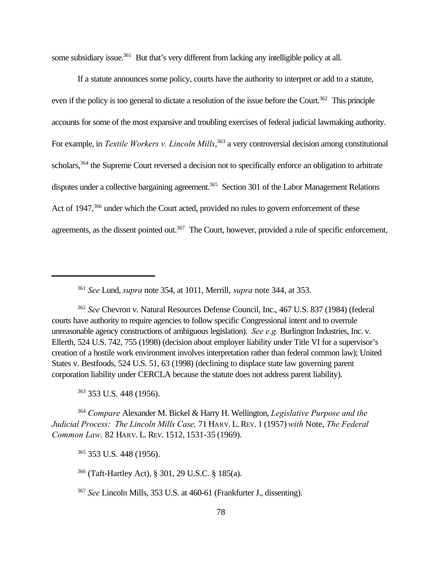some subsidiary issue.<sup>361</sup> But that's very different from lacking any intelligible policy at all.

If a statute announces some policy, courts have the authority to interpret or add to a statute, even if the policy is too general to dictate a resolution of the issue before the Court.<sup>362</sup> This principle accounts for some of the most expansive and troubling exercises of federal judicial lawmaking authority. For example, in *Textile Workers v. Lincoln Mills*, <sup>363</sup> a very controversial decision among constitutional scholars,<sup>364</sup> the Supreme Court reversed a decision not to specifically enforce an obligation to arbitrate disputes under a collective bargaining agreement.<sup>365</sup> Section 301 of the Labor Management Relations Act of 1947,<sup>366</sup> under which the Court acted, provided no rules to govern enforcement of these agreements, as the dissent pointed out.<sup>367</sup> The Court, however, provided a rule of specific enforcement,

<sup>361</sup> *See* Lund, *supra* note 354, at 1011, Merrill, *supra* note 344, at 353.

<sup>362</sup> *See* Chevron v. Natural Resources Defense Council, Inc., 467 U.S. 837 (1984) (federal courts have authority to require agencies to follow specific Congressional intent and to overrule unreasonable agency constructions of ambiguous legislation). *See e.g.* Burlington Industries, Inc. v. Ellerth, 524 U.S. 742, 755 (1998) (decision about employer liability under Title VI for a supervisor's creation of a hostile work environment involves interpretation rather than federal common law); United States v. Bestfoods, 524 U.S. 51, 63 (1998) (declining to displace state law governing parent corporation liability under CERCLA because the statute does not address parent liability).

<sup>363</sup> 353 U.S. 448 (1956).

<sup>364</sup> *Compare* Alexander M. Bickel & Harry H. Wellington, *Legislative Purpose and the Judicial Process: The Lincoln Mills Case,* 71 HARV. L. REV. 1 (1957) *with* Note, *The Federal Common Law,* 82 HARV. L. REV. 1512, 1531-35 (1969).

<sup>365</sup> 353 U.S. 448 (1956).

<sup>366</sup> (Taft-Hartley Act), § 301, 29 U.S.C. § 185(a).

<sup>367</sup> *See* Lincoln Mills, 353 U.S. at 460-61 (Frankfurter J., dissenting).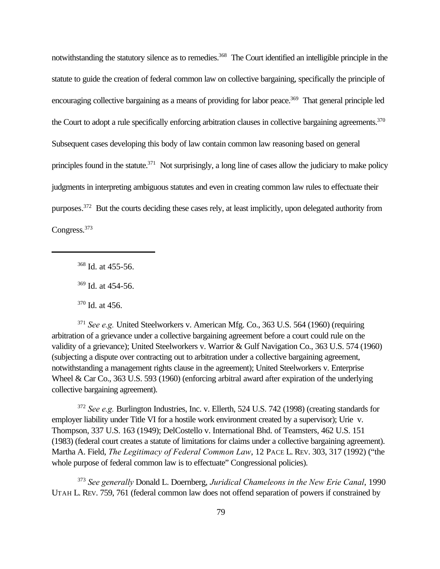notwithstanding the statutory silence as to remedies.<sup>368</sup> The Court identified an intelligible principle in the statute to guide the creation of federal common law on collective bargaining, specifically the principle of encouraging collective bargaining as a means of providing for labor peace.<sup>369</sup> That general principle led the Court to adopt a rule specifically enforcing arbitration clauses in collective bargaining agreements.<sup>370</sup> Subsequent cases developing this body of law contain common law reasoning based on general principles found in the statute.<sup>371</sup> Not surprisingly, a long line of cases allow the judiciary to make policy judgments in interpreting ambiguous statutes and even in creating common law rules to effectuate their purposes.<sup>372</sup> But the courts deciding these cases rely, at least implicitly, upon delegated authority from Congress.<sup>373</sup>

<sup>368</sup> Id. at 455-56.

<sup>369</sup> Id. at 454-56.

<sup>370</sup> Id. at 456.

<sup>371</sup> *See e.g.* United Steelworkers v. American Mfg. Co., 363 U.S. 564 (1960) (requiring arbitration of a grievance under a collective bargaining agreement before a court could rule on the validity of a grievance); United Steelworkers v. Warrior & Gulf Navigation Co., 363 U.S. 574 (1960) (subjecting a dispute over contracting out to arbitration under a collective bargaining agreement, notwithstanding a management rights clause in the agreement); United Steelworkers v. Enterprise Wheel & Car Co., 363 U.S. 593 (1960) (enforcing arbitral award after expiration of the underlying collective bargaining agreement).

<sup>372</sup> *See e.g.* Burlington Industries, Inc. v. Ellerth, 524 U.S. 742 (1998) (creating standards for employer liability under Title VI for a hostile work environment created by a supervisor); Urie v. Thompson, 337 U.S. 163 (1949); DelCostello v. International Bhd. of Teamsters, 462 U.S. 151 (1983) (federal court creates a statute of limitations for claims under a collective bargaining agreement). Martha A. Field, *The Legitimacy of Federal Common Law*, 12 PACE L. REV. 303, 317 (1992) ("the whole purpose of federal common law is to effectuate" Congressional policies).

<sup>373</sup> *See generally* Donald L. Doernberg, *Juridical Chameleons in the New Erie Canal*, 1990 UTAH L. REV. 759, 761 (federal common law does not offend separation of powers if constrained by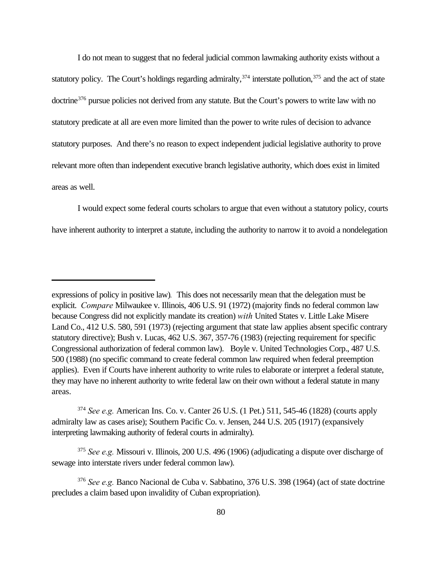I do not mean to suggest that no federal judicial common lawmaking authority exists without a statutory policy. The Court's holdings regarding admiralty,  $374$  interstate pollution,  $375$  and the act of state doctrine<sup>376</sup> pursue policies not derived from any statute. But the Court's powers to write law with no statutory predicate at all are even more limited than the power to write rules of decision to advance statutory purposes. And there's no reason to expect independent judicial legislative authority to prove relevant more often than independent executive branch legislative authority, which does exist in limited areas as well.

I would expect some federal courts scholars to argue that even without a statutory policy, courts have inherent authority to interpret a statute, including the authority to narrow it to avoid a nondelegation

<sup>375</sup> *See e.g.* Missouri v. Illinois, 200 U.S. 496 (1906) (adjudicating a dispute over discharge of sewage into interstate rivers under federal common law).

expressions of policy in positive law)*.* This does not necessarily mean that the delegation must be explicit. *Compare* Milwaukee v. Illinois, 406 U.S. 91 (1972) (majority finds no federal common law because Congress did not explicitly mandate its creation) *with* United States v. Little Lake Misere Land Co., 412 U.S. 580, 591 (1973) (rejecting argument that state law applies absent specific contrary statutory directive); Bush v. Lucas, 462 U.S. 367, 357-76 (1983) (rejecting requirement for specific Congressional authorization of federal common law). Boyle v. United Technologies Corp., 487 U.S. 500 (1988) (no specific command to create federal common law required when federal preemption applies). Even if Courts have inherent authority to write rules to elaborate or interpret a federal statute, they may have no inherent authority to write federal law on their own without a federal statute in many areas.

<sup>374</sup> *See e.g.* American Ins. Co. v. Canter 26 U.S. (1 Pet.) 511, 545-46 (1828) (courts apply admiralty law as cases arise); Southern Pacific Co. v. Jensen, 244 U.S. 205 (1917) (expansively interpreting lawmaking authority of federal courts in admiralty).

<sup>376</sup> *See e.g.* Banco Nacional de Cuba v. Sabbatino, 376 U.S. 398 (1964) (act of state doctrine precludes a claim based upon invalidity of Cuban expropriation).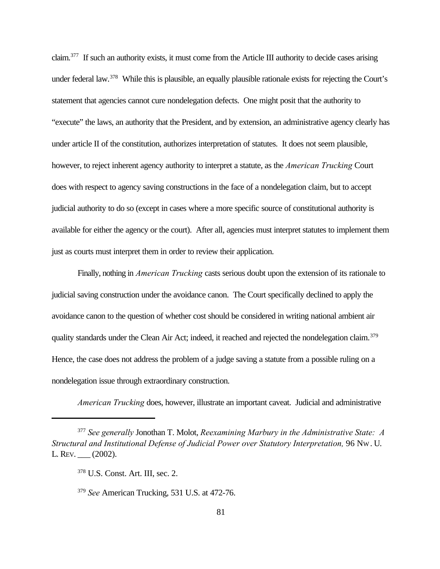claim.<sup>377</sup> If such an authority exists, it must come from the Article III authority to decide cases arising under federal law.<sup>378</sup> While this is plausible, an equally plausible rationale exists for rejecting the Court's statement that agencies cannot cure nondelegation defects. One might posit that the authority to "execute" the laws, an authority that the President, and by extension, an administrative agency clearly has under article II of the constitution, authorizes interpretation of statutes. It does not seem plausible, however, to reject inherent agency authority to interpret a statute, as the *American Trucking* Court does with respect to agency saving constructions in the face of a nondelegation claim, but to accept judicial authority to do so (except in cases where a more specific source of constitutional authority is available for either the agency or the court). After all, agencies must interpret statutes to implement them just as courts must interpret them in order to review their application.

Finally, nothing in *American Trucking* casts serious doubt upon the extension of its rationale to judicial saving construction under the avoidance canon. The Court specifically declined to apply the avoidance canon to the question of whether cost should be considered in writing national ambient air quality standards under the Clean Air Act; indeed, it reached and rejected the nondelegation claim.<sup>379</sup> Hence, the case does not address the problem of a judge saving a statute from a possible ruling on a nondelegation issue through extraordinary construction.

*American Trucking* does, however, illustrate an important caveat. Judicial and administrative

<sup>377</sup> *See generally* Jonothan T. Molot, *Reexamining Marbury in the Administrative State: A Structural and Institutional Defense of Judicial Power over Statutory Interpretation,* 96 NW. U. L. REV. \_\_\_ (2002).

<sup>378</sup> U.S. Const. Art. III, sec. 2.

<sup>379</sup> *See* American Trucking, 531 U.S. at 472-76.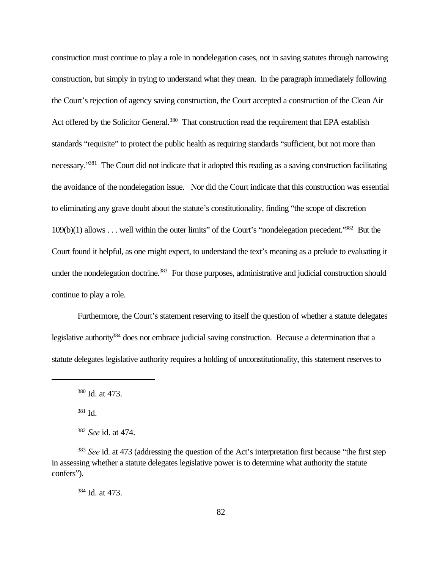construction must continue to play a role in nondelegation cases, not in saving statutes through narrowing construction, but simply in trying to understand what they mean. In the paragraph immediately following the Court's rejection of agency saving construction, the Court accepted a construction of the Clean Air Act offered by the Solicitor General.<sup>380</sup> That construction read the requirement that EPA establish standards "requisite" to protect the public health as requiring standards "sufficient, but not more than necessary."<sup>381</sup> The Court did not indicate that it adopted this reading as a saving construction facilitating the avoidance of the nondelegation issue. Nor did the Court indicate that this construction was essential to eliminating any grave doubt about the statute's constitutionality, finding "the scope of discretion 109(b)(1) allows . . . well within the outer limits" of the Court's "nondelegation precedent."<sup>382</sup> But the Court found it helpful, as one might expect, to understand the text's meaning as a prelude to evaluating it under the nondelegation doctrine.<sup>383</sup> For those purposes, administrative and judicial construction should continue to play a role.

Furthermore, the Court's statement reserving to itself the question of whether a statute delegates legislative authority<sup>384</sup> does not embrace judicial saving construction. Because a determination that a statute delegates legislative authority requires a holding of unconstitutionality, this statement reserves to

<sup>381</sup> Id.

<sup>384</sup> Id. at 473.

<sup>380</sup> Id. at 473.

<sup>382</sup> *See* id. at 474.

<sup>383</sup> *See* id. at 473 (addressing the question of the Act's interpretation first because "the first step in assessing whether a statute delegates legislative power is to determine what authority the statute confers").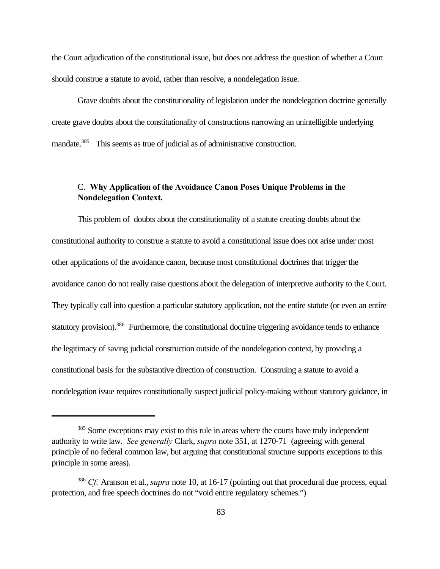the Court adjudication of the constitutional issue, but does not address the question of whether a Court should construe a statute to avoid, rather than resolve, a nondelegation issue.

Grave doubts about the constitutionality of legislation under the nondelegation doctrine generally create grave doubts about the constitutionality of constructions narrowing an unintelligible underlying mandate.<sup>385</sup> This seems as true of judicial as of administrative construction.

# C. **Why Application of the Avoidance Canon Poses Unique Problems in the Nondelegation Context.**

This problem of doubts about the constitutionality of a statute creating doubts about the constitutional authority to construe a statute to avoid a constitutional issue does not arise under most other applications of the avoidance canon, because most constitutional doctrines that trigger the avoidance canon do not really raise questions about the delegation of interpretive authority to the Court. They typically call into question a particular statutory application, not the entire statute (or even an entire statutory provision).<sup>386</sup> Furthermore, the constitutional doctrine triggering avoidance tends to enhance the legitimacy of saving judicial construction outside of the nondelegation context, by providing a constitutional basis for the substantive direction of construction. Construing a statute to avoid a nondelegation issue requires constitutionally suspect judicial policy-making without statutory guidance, in

<sup>&</sup>lt;sup>385</sup> Some exceptions may exist to this rule in areas where the courts have truly independent authority to write law. *See generally* Clark, *supra* note 351, at 1270-71 (agreeing with general principle of no federal common law, but arguing that constitutional structure supports exceptions to this principle in some areas).

<sup>386</sup> *Cf.* Aranson et al., *supra* note 10, at 16-17 (pointing out that procedural due process, equal protection, and free speech doctrines do not "void entire regulatory schemes.")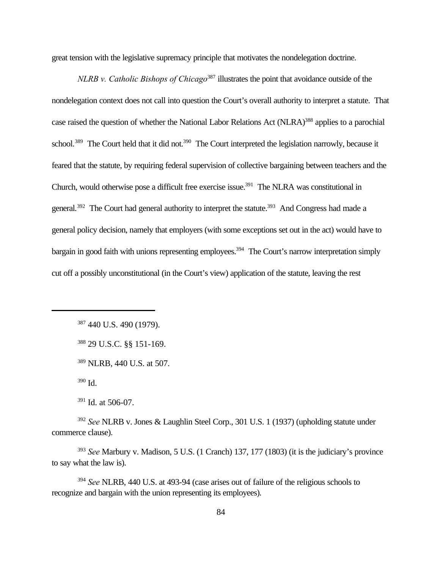great tension with the legislative supremacy principle that motivates the nondelegation doctrine.

*NLRB v. Catholic Bishops of Chicago*<sup>387</sup> illustrates the point that avoidance outside of the nondelegation context does not call into question the Court's overall authority to interpret a statute. That case raised the question of whether the National Labor Relations Act (NLRA)<sup>388</sup> applies to a parochial school.<sup>389</sup> The Court held that it did not.<sup>390</sup> The Court interpreted the legislation narrowly, because it feared that the statute, by requiring federal supervision of collective bargaining between teachers and the Church, would otherwise pose a difficult free exercise issue.<sup>391</sup> The NLRA was constitutional in general.<sup>392</sup> The Court had general authority to interpret the statute.<sup>393</sup> And Congress had made a general policy decision, namely that employers (with some exceptions set out in the act) would have to bargain in good faith with unions representing employees.<sup>394</sup> The Court's narrow interpretation simply cut off a possibly unconstitutional (in the Court's view) application of the statute, leaving the rest

<sup>390</sup> Id.

<sup>391</sup> Id. at 506-07.

<sup>392</sup> *See* NLRB v. Jones & Laughlin Steel Corp., 301 U.S. 1 (1937) (upholding statute under commerce clause).

<sup>393</sup> *See* Marbury v. Madison, 5 U.S. (1 Cranch) 137, 177 (1803) (it is the judiciary's province to say what the law is).

<sup>394</sup> *See* NLRB, 440 U.S. at 493-94 (case arises out of failure of the religious schools to recognize and bargain with the union representing its employees).

<sup>387</sup> 440 U.S. 490 (1979).

<sup>388</sup> 29 U.S.C. §§ 151-169.

<sup>389</sup> NLRB, 440 U.S. at 507.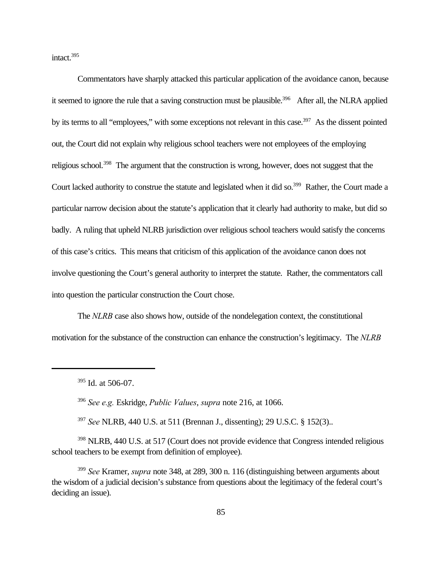intact.<sup>395</sup>

Commentators have sharply attacked this particular application of the avoidance canon, because it seemed to ignore the rule that a saving construction must be plausible.<sup>396</sup> After all, the NLRA applied by its terms to all "employees," with some exceptions not relevant in this case.<sup>397</sup> As the dissent pointed out, the Court did not explain why religious school teachers were not employees of the employing religious school.<sup>398</sup> The argument that the construction is wrong, however, does not suggest that the Court lacked authority to construe the statute and legislated when it did so.<sup>399</sup> Rather, the Court made a particular narrow decision about the statute's application that it clearly had authority to make, but did so badly. A ruling that upheld NLRB jurisdiction over religious school teachers would satisfy the concerns of this case's critics. This means that criticism of this application of the avoidance canon does not involve questioning the Court's general authority to interpret the statute. Rather, the commentators call into question the particular construction the Court chose.

The *NLRB* case also shows how, outside of the nondelegation context, the constitutional motivation for the substance of the construction can enhance the construction's legitimacy. The *NLRB*

<sup>396</sup> *See e.g.* Eskridge, *Public Values*, *supra* note 216, at 1066.

<sup>397</sup> *See* NLRB, 440 U.S. at 511 (Brennan J., dissenting); 29 U.S.C. § 152(3)..

<sup>398</sup> NLRB, 440 U.S. at 517 (Court does not provide evidence that Congress intended religious school teachers to be exempt from definition of employee).

<sup>399</sup> *See* Kramer, *supra* note 348, at 289, 300 n. 116 (distinguishing between arguments about the wisdom of a judicial decision's substance from questions about the legitimacy of the federal court's deciding an issue).

<sup>395</sup> Id. at 506-07.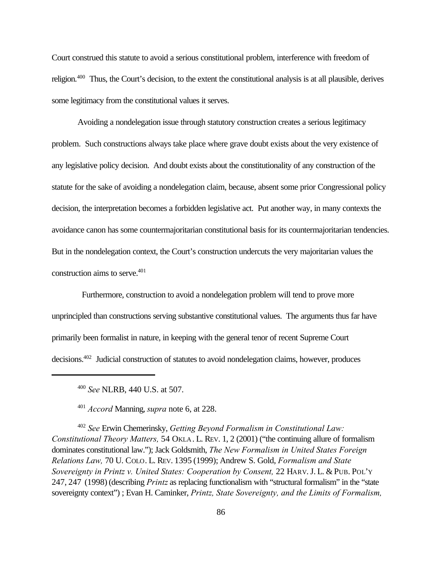Court construed this statute to avoid a serious constitutional problem, interference with freedom of religion.<sup>400</sup> Thus, the Court's decision, to the extent the constitutional analysis is at all plausible, derives some legitimacy from the constitutional values it serves.

Avoiding a nondelegation issue through statutory construction creates a serious legitimacy problem. Such constructions always take place where grave doubt exists about the very existence of any legislative policy decision. And doubt exists about the constitutionality of any construction of the statute for the sake of avoiding a nondelegation claim, because, absent some prior Congressional policy decision, the interpretation becomes a forbidden legislative act. Put another way, in many contexts the avoidance canon has some countermajoritarian constitutional basis for its countermajoritarian tendencies. But in the nondelegation context, the Court's construction undercuts the very majoritarian values the construction aims to serve.<sup>401</sup>

 Furthermore, construction to avoid a nondelegation problem will tend to prove more unprincipled than constructions serving substantive constitutional values. The arguments thus far have primarily been formalist in nature, in keeping with the general tenor of recent Supreme Court decisions.402 Judicial construction of statutes to avoid nondelegation claims, however, produces

<sup>401</sup> *Accord* Manning, *supra* note 6, at 228.

<sup>402</sup> *See* Erwin Chemerinsky, *Getting Beyond Formalism in Constitutional Law: Constitutional Theory Matters,* 54 OKLA . L. REV. 1, 2 (2001) ("the continuing allure of formalism dominates constitutional law."); Jack Goldsmith, *The New Formalism in United States Foreign Relations Law,* 70 U. COLO. L. REV. 1395 (1999); Andrew S. Gold, *Formalism and State Sovereignty in Printz v. United States: Cooperation by Consent,* 22 HARV.J. L. & PUB. POL'Y 247, 247 (1998) (describing *Printz* as replacing functionalism with "structural formalism" in the "state sovereignty context") ; Evan H. Caminker, *Printz, State Sovereignty, and the Limits of Formalism,*

<sup>400</sup> *See* NLRB, 440 U.S. at 507.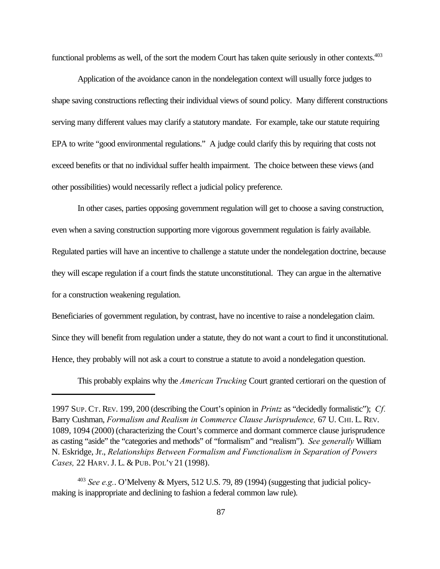functional problems as well, of the sort the modern Court has taken quite seriously in other contexts.<sup>403</sup>

Application of the avoidance canon in the nondelegation context will usually force judges to shape saving constructions reflecting their individual views of sound policy. Many different constructions serving many different values may clarify a statutory mandate. For example, take our statute requiring EPA to write "good environmental regulations." A judge could clarify this by requiring that costs not exceed benefits or that no individual suffer health impairment. The choice between these views (and other possibilities) would necessarily reflect a judicial policy preference.

In other cases, parties opposing government regulation will get to choose a saving construction, even when a saving construction supporting more vigorous government regulation is fairly available. Regulated parties will have an incentive to challenge a statute under the nondelegation doctrine, because they will escape regulation if a court finds the statute unconstitutional. They can argue in the alternative for a construction weakening regulation.

Beneficiaries of government regulation, by contrast, have no incentive to raise a nondelegation claim.

Since they will benefit from regulation under a statute, they do not want a court to find it unconstitutional.

Hence, they probably will not ask a court to construe a statute to avoid a nondelegation question.

This probably explains why the *American Trucking* Court granted certiorari on the question of

<sup>1997</sup> SUP. CT. REV. 199, 200 (describing the Court's opinion in *Printz* as "decidedly formalistic"); *Cf.* Barry Cushman, *Formalism and Realism in Commerce Clause Jurisprudence*, 67 U. CHI. L. REV. 1089, 1094 (2000) (characterizing the Court's commerce and dormant commerce clause jurisprudence as casting "aside" the "categories and methods" of "formalism" and "realism"). *See generally* William N. Eskridge, Jr., *Relationships Between Formalism and Functionalism in Separation of Powers Cases,* 22 HARV.J. L. & PUB. POL'Y 21 (1998).

<sup>403</sup> *See e.g.*. O'Melveny & Myers, 512 U.S. 79, 89 (1994) (suggesting that judicial policymaking is inappropriate and declining to fashion a federal common law rule).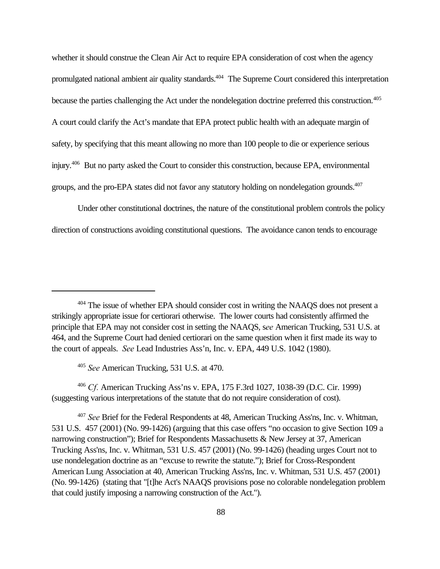whether it should construe the Clean Air Act to require EPA consideration of cost when the agency promulgated national ambient air quality standards.<sup>404</sup> The Supreme Court considered this interpretation because the parties challenging the Act under the nondelegation doctrine preferred this construction.<sup>405</sup> A court could clarify the Act's mandate that EPA protect public health with an adequate margin of safety, by specifying that this meant allowing no more than 100 people to die or experience serious injury.<sup>406</sup> But no party asked the Court to consider this construction, because EPA, environmental groups, and the pro-EPA states did not favor any statutory holding on nondelegation grounds.<sup>407</sup>

Under other constitutional doctrines, the nature of the constitutional problem controls the policy direction of constructions avoiding constitutional questions. The avoidance canon tends to encourage

<sup>405</sup> *See* American Trucking, 531 U.S. at 470.

<sup>406</sup> *Cf.* American Trucking Ass'ns v. EPA, 175 F.3rd 1027, 1038-39 (D.C. Cir. 1999) (suggesting various interpretations of the statute that do not require consideration of cost).

<sup>&</sup>lt;sup>404</sup> The issue of whether EPA should consider cost in writing the NAAQS does not present a strikingly appropriate issue for certiorari otherwise. The lower courts had consistently affirmed the principle that EPA may not consider cost in setting the NAAQS, s*ee* American Trucking, 531 U.S. at 464, and the Supreme Court had denied certiorari on the same question when it first made its way to the court of appeals. *See* Lead Industries Ass'n, Inc. v. EPA, 449 U.S. 1042 (1980).

<sup>407</sup> *See* Brief for the Federal Respondents at 48, American Trucking Ass'ns, Inc. v. Whitman, 531 U.S. 457 (2001) (No. 99-1426) (arguing that this case offers "no occasion to give Section 109 a narrowing construction"); Brief for Respondents Massachusetts & New Jersey at 37, American Trucking Ass'ns, Inc. v. Whitman, 531 U.S. 457 (2001) (No. 99-1426) (heading urges Court not to use nondelegation doctrine as an "excuse to rewrite the statute."); Brief for Cross-Respondent American Lung Association at 40, American Trucking Ass'ns, Inc. v. Whitman, 531 U.S. 457 (2001) (No. 99-1426) (stating that "[t]he Act's NAAQS provisions pose no colorable nondelegation problem that could justify imposing a narrowing construction of the Act.").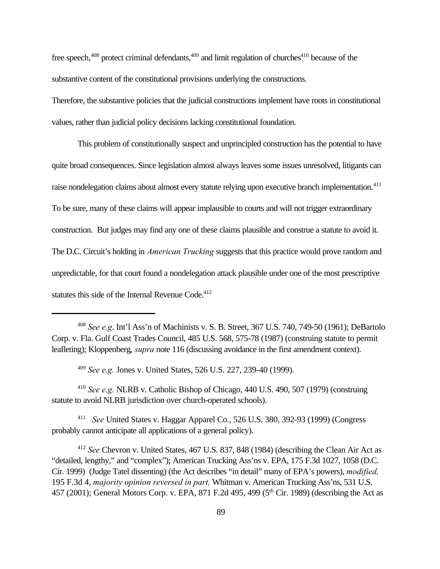free speech,<sup>408</sup> protect criminal defendants,<sup>409</sup> and limit regulation of churches<sup>410</sup> because of the substantive content of the constitutional provisions underlying the constructions.

Therefore, the substantive policies that the judicial constructions implement have roots in constitutional values, rather than judicial policy decisions lacking constitutional foundation.

This problem of constitutionally suspect and unprincipled construction has the potential to have quite broad consequences. Since legislation almost always leaves some issues unresolved, litigants can raise nondelegation claims about almost every statute relying upon executive branch implementation.<sup>411</sup> To be sure, many of these claims will appear implausible to courts and will not trigger extraordinary construction. But judges may find any one of these claims plausible and construe a statute to avoid it. The D.C. Circuit's holding in *American Trucking* suggests that this practice would prove random and unpredictable, for that court found a nondelegation attack plausible under one of the most prescriptive statutes this side of the Internal Revenue Code.<sup>412</sup>

<sup>409</sup> *See e.g.* Jones v. United States, 526 U.S. 227, 239-40 (1999).

<sup>410</sup> *See e.g.* NLRB v. Catholic Bishop of Chicago, 440 U.S. 490, 507 (1979) (construing statute to avoid NLRB jurisdiction over church-operated schools).

411 *See* United States v. Haggar Apparel Co., 526 U.S. 380, 392-93 (1999) (Congress probably cannot anticipate all applications of a general policy).

<sup>412</sup> *See* Chevron v. United States, 467 U.S. 837, 848 (1984) (describing the Clean Air Act as "detailed, lengthy," and "complex"); American Trucking Ass'ns v. EPA, 175 F.3d 1027, 1058 (D.C. Cir. 1999) (Judge Tatel dissenting) (the Act describes "in detail" many of EPA's powers), *modified,* 195 F.3d 4, *majority opinion reversed in part,* Whitman v. American Trucking Ass'ns, 531 U.S. 457 (2001); General Motors Corp. v. EPA, 871 F.2d 495, 499 (5<sup>th</sup> Cir. 1989) (describing the Act as

<sup>408</sup> *See e.g*. Int'l Ass'n of Machinists v. S. B. Street, 367 U.S. 740, 749-50 (1961); DeBartolo Corp. v. Fla. Gulf Coast Trades Council, 485 U.S. 568, 575-78 (1987) (construing statute to permit leafleting); Kloppenberg, *supra* note 116 (discussing avoidance in the first amendment context).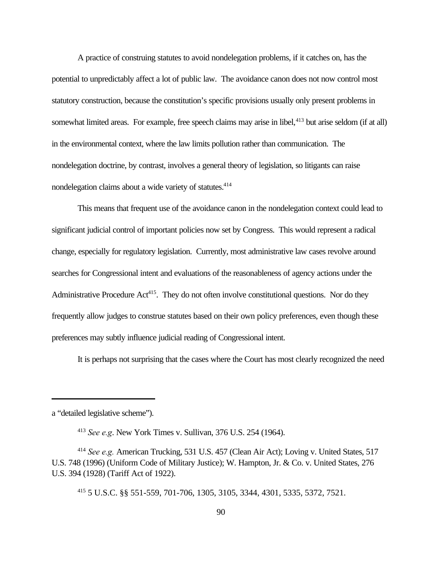A practice of construing statutes to avoid nondelegation problems, if it catches on, has the potential to unpredictably affect a lot of public law. The avoidance canon does not now control most statutory construction, because the constitution's specific provisions usually only present problems in somewhat limited areas. For example, free speech claims may arise in libel,<sup>413</sup> but arise seldom (if at all) in the environmental context, where the law limits pollution rather than communication. The nondelegation doctrine, by contrast, involves a general theory of legislation, so litigants can raise nondelegation claims about a wide variety of statutes.<sup>414</sup>

This means that frequent use of the avoidance canon in the nondelegation context could lead to significant judicial control of important policies now set by Congress. This would represent a radical change, especially for regulatory legislation. Currently, most administrative law cases revolve around searches for Congressional intent and evaluations of the reasonableness of agency actions under the Administrative Procedure Act<sup>415</sup>. They do not often involve constitutional questions. Nor do they frequently allow judges to construe statutes based on their own policy preferences, even though these preferences may subtly influence judicial reading of Congressional intent.

It is perhaps not surprising that the cases where the Court has most clearly recognized the need

a "detailed legislative scheme").

<sup>413</sup> *See e.g*. New York Times v. Sullivan, 376 U.S. 254 (1964).

<sup>414</sup> *See e.g.* American Trucking, 531 U.S. 457 (Clean Air Act); Loving v. United States, 517 U.S. 748 (1996) (Uniform Code of Military Justice); W. Hampton, Jr. & Co. v. United States, 276 U.S. 394 (1928) (Tariff Act of 1922).

<sup>415</sup> 5 U.S.C. §§ 551-559, 701-706, 1305, 3105, 3344, 4301, 5335, 5372, 7521.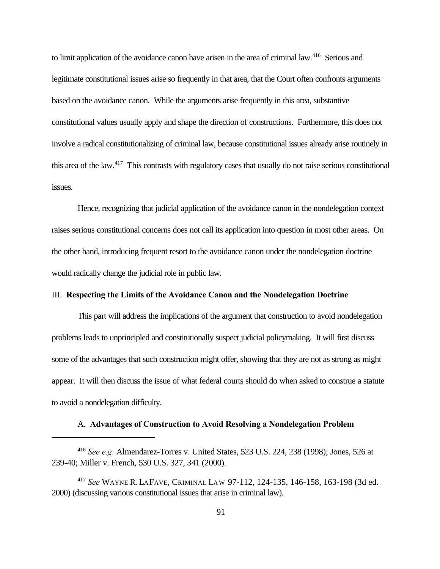to limit application of the avoidance canon have arisen in the area of criminal law.<sup>416</sup> Serious and legitimate constitutional issues arise so frequently in that area, that the Court often confronts arguments based on the avoidance canon. While the arguments arise frequently in this area, substantive constitutional values usually apply and shape the direction of constructions. Furthermore, this does not involve a radical constitutionalizing of criminal law, because constitutional issues already arise routinely in this area of the law.<sup>417</sup> This contrasts with regulatory cases that usually do not raise serious constitutional issues.

Hence, recognizing that judicial application of the avoidance canon in the nondelegation context raises serious constitutional concerns does not call its application into question in most other areas. On the other hand, introducing frequent resort to the avoidance canon under the nondelegation doctrine would radically change the judicial role in public law.

#### III. **Respecting the Limits of the Avoidance Canon and the Nondelegation Doctrine**

This part will address the implications of the argument that construction to avoid nondelegation problems leads to unprincipled and constitutionally suspect judicial policymaking. It will first discuss some of the advantages that such construction might offer, showing that they are not as strong as might appear. It will then discuss the issue of what federal courts should do when asked to construe a statute to avoid a nondelegation difficulty.

#### A. **Advantages of Construction to Avoid Resolving a Nondelegation Problem**

<sup>416</sup> *See e.g.* Almendarez-Torres v. United States, 523 U.S. 224, 238 (1998); Jones, 526 at 239-40; Miller v. French, 530 U.S. 327, 341 (2000).

<sup>417</sup> *See* WAYNE R. LAFAVE, CRIMINAL LA W 97-112, 124-135, 146-158, 163-198 (3d ed. 2000) (discussing various constitutional issues that arise in criminal law).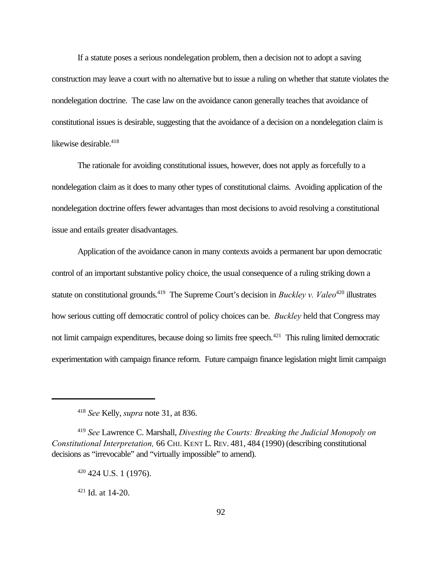If a statute poses a serious nondelegation problem, then a decision not to adopt a saving construction may leave a court with no alternative but to issue a ruling on whether that statute violates the nondelegation doctrine. The case law on the avoidance canon generally teaches that avoidance of constitutional issues is desirable, suggesting that the avoidance of a decision on a nondelegation claim is likewise desirable.<sup>418</sup>

The rationale for avoiding constitutional issues, however, does not apply as forcefully to a nondelegation claim as it does to many other types of constitutional claims. Avoiding application of the nondelegation doctrine offers fewer advantages than most decisions to avoid resolving a constitutional issue and entails greater disadvantages.

Application of the avoidance canon in many contexts avoids a permanent bar upon democratic control of an important substantive policy choice, the usual consequence of a ruling striking down a statute on constitutional grounds.<sup>419</sup> The Supreme Court's decision in *Buckley v. Valeo*<sup>420</sup> illustrates how serious cutting off democratic control of policy choices can be. *Buckley* held that Congress may not limit campaign expenditures, because doing so limits free speech.<sup>421</sup> This ruling limited democratic experimentation with campaign finance reform. Future campaign finance legislation might limit campaign

<sup>418</sup> *See* Kelly, *supra* note 31, at 836.

<sup>419</sup> *See* Lawrence C. Marshall, *Divesting the Courts: Breaking the Judicial Monopoly on Constitutional Interpretation,* 66 CHI. KENT L. REV. 481, 484 (1990) (describing constitutional decisions as "irrevocable" and "virtually impossible" to amend).

 $420$  424 U.S. 1 (1976).

 $421$  Id. at 14-20.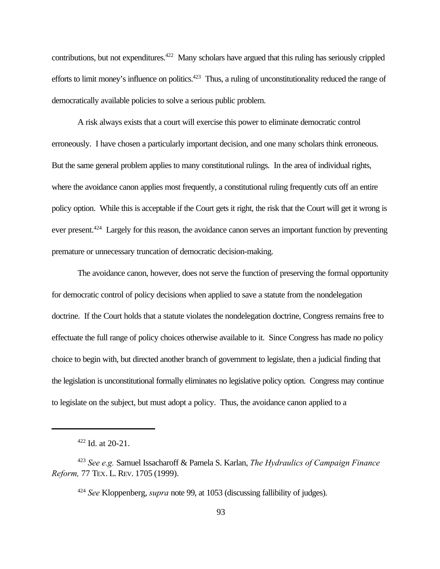contributions, but not expenditures.<sup>422</sup> Many scholars have argued that this ruling has seriously crippled efforts to limit money's influence on politics.<sup>423</sup> Thus, a ruling of unconstitutionality reduced the range of democratically available policies to solve a serious public problem.

A risk always exists that a court will exercise this power to eliminate democratic control erroneously. I have chosen a particularly important decision, and one many scholars think erroneous. But the same general problem applies to many constitutional rulings. In the area of individual rights, where the avoidance canon applies most frequently, a constitutional ruling frequently cuts off an entire policy option. While this is acceptable if the Court gets it right, the risk that the Court will get it wrong is ever present.<sup>424</sup> Largely for this reason, the avoidance canon serves an important function by preventing premature or unnecessary truncation of democratic decision-making.

The avoidance canon, however, does not serve the function of preserving the formal opportunity for democratic control of policy decisions when applied to save a statute from the nondelegation doctrine. If the Court holds that a statute violates the nondelegation doctrine, Congress remains free to effectuate the full range of policy choices otherwise available to it. Since Congress has made no policy choice to begin with, but directed another branch of government to legislate, then a judicial finding that the legislation is unconstitutional formally eliminates no legislative policy option. Congress may continue to legislate on the subject, but must adopt a policy. Thus, the avoidance canon applied to a

<sup>422</sup> Id. at 20-21.

<sup>423</sup> *See e.g.* Samuel Issacharoff & Pamela S. Karlan, *The Hydraulics of Campaign Finance Reform,* 77 TEX. L. REV. 1705 (1999).

<sup>424</sup> *See* Kloppenberg, *supra* note 99, at 1053 (discussing fallibility of judges).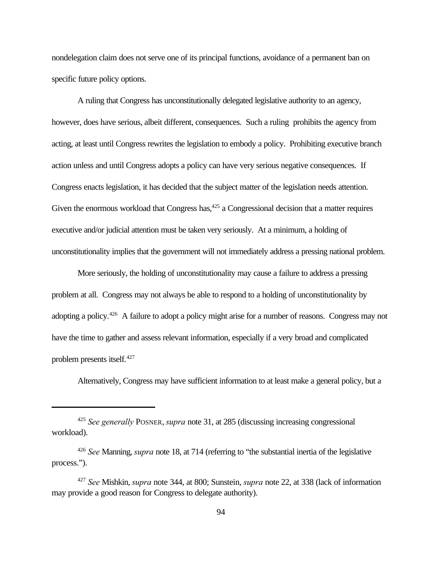nondelegation claim does not serve one of its principal functions, avoidance of a permanent ban on specific future policy options.

A ruling that Congress has unconstitutionally delegated legislative authority to an agency, however, does have serious, albeit different, consequences. Such a ruling prohibits the agency from acting, at least until Congress rewrites the legislation to embody a policy. Prohibiting executive branch action unless and until Congress adopts a policy can have very serious negative consequences. If Congress enacts legislation, it has decided that the subject matter of the legislation needs attention. Given the enormous workload that Congress has,  $425$  a Congressional decision that a matter requires executive and/or judicial attention must be taken very seriously. At a minimum, a holding of unconstitutionality implies that the government will not immediately address a pressing national problem.

More seriously, the holding of unconstitutionality may cause a failure to address a pressing problem at all. Congress may not always be able to respond to a holding of unconstitutionality by adopting a policy.<sup>426</sup> A failure to adopt a policy might arise for a number of reasons. Congress may not have the time to gather and assess relevant information, especially if a very broad and complicated problem presents itself.<sup>427</sup>

Alternatively, Congress may have sufficient information to at least make a general policy, but a

<sup>425</sup> *See generally* POSNER,*supra* note 31, at 285 (discussing increasing congressional workload).

<sup>426</sup> *See* Manning, *supra* note 18, at 714 (referring to "the substantial inertia of the legislative process.").

<sup>427</sup> *See* Mishkin, *supra* note 344, at 800; Sunstein, *supra* note 22, at 338 (lack of information may provide a good reason for Congress to delegate authority).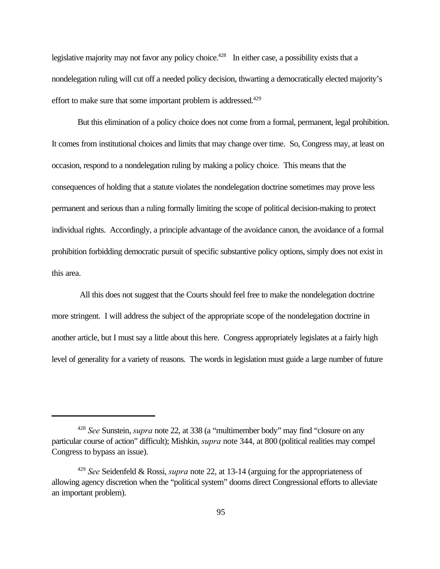legislative majority may not favor any policy choice.<sup>428</sup> In either case, a possibility exists that a nondelegation ruling will cut off a needed policy decision, thwarting a democratically elected majority's effort to make sure that some important problem is addressed.<sup>429</sup>

But this elimination of a policy choice does not come from a formal, permanent, legal prohibition. It comes from institutional choices and limits that may change over time. So, Congress may, at least on occasion, respond to a nondelegation ruling by making a policy choice. This means that the consequences of holding that a statute violates the nondelegation doctrine sometimes may prove less permanent and serious than a ruling formally limiting the scope of political decision-making to protect individual rights. Accordingly, a principle advantage of the avoidance canon, the avoidance of a formal prohibition forbidding democratic pursuit of specific substantive policy options, simply does not exist in this area.

 All this does not suggest that the Courts should feel free to make the nondelegation doctrine more stringent. I will address the subject of the appropriate scope of the nondelegation doctrine in another article, but I must say a little about this here. Congress appropriately legislates at a fairly high level of generality for a variety of reasons. The words in legislation must guide a large number of future

<sup>428</sup> *See* Sunstein, *supra* note 22, at 338 (a "multimember body" may find "closure on any particular course of action" difficult); Mishkin, *supra* note 344, at 800 (political realities may compel Congress to bypass an issue).

<sup>429</sup> *See* Seidenfeld & Rossi, *supra* note 22, at 13-14 (arguing for the appropriateness of allowing agency discretion when the "political system" dooms direct Congressional efforts to alleviate an important problem).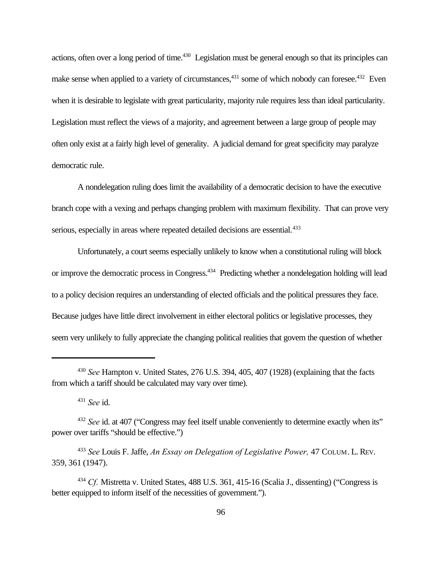actions, often over a long period of time.<sup>430</sup> Legislation must be general enough so that its principles can make sense when applied to a variety of circumstances,<sup>431</sup> some of which nobody can foresee.<sup>432</sup> Even when it is desirable to legislate with great particularity, majority rule requires less than ideal particularity. Legislation must reflect the views of a majority, and agreement between a large group of people may often only exist at a fairly high level of generality. A judicial demand for great specificity may paralyze democratic rule.

A nondelegation ruling does limit the availability of a democratic decision to have the executive branch cope with a vexing and perhaps changing problem with maximum flexibility. That can prove very serious, especially in areas where repeated detailed decisions are essential.<sup>433</sup>

Unfortunately, a court seems especially unlikely to know when a constitutional ruling will block or improve the democratic process in Congress.<sup>434</sup> Predicting whether a nondelegation holding will lead to a policy decision requires an understanding of elected officials and the political pressures they face. Because judges have little direct involvement in either electoral politics or legislative processes, they seem very unlikely to fully appreciate the changing political realities that govern the question of whether

<sup>431</sup> *See* id.

<sup>430</sup> *See* Hampton v. United States, 276 U.S. 394, 405, 407 (1928) (explaining that the facts from which a tariff should be calculated may vary over time).

<sup>432</sup> *See* id. at 407 ("Congress may feel itself unable conveniently to determine exactly when its" power over tariffs "should be effective.")

<sup>433</sup> *See* Louis F. Jaffe, *An Essay on Delegation of Legislative Power,* 47 COLUM. L. REV. 359, 361 (1947).

<sup>434</sup> *Cf.* Mistretta v. United States, 488 U.S. 361, 415-16 (Scalia J., dissenting) ("Congress is better equipped to inform itself of the necessities of government.").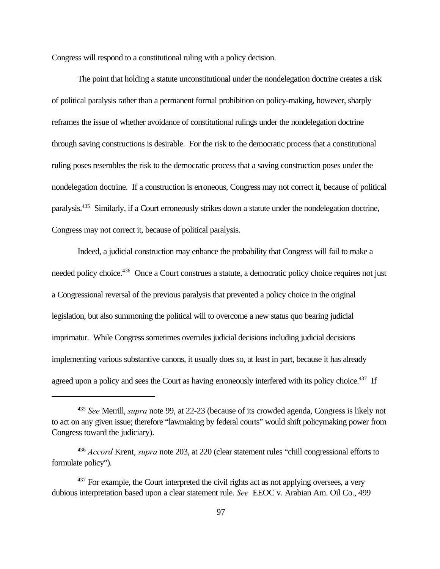Congress will respond to a constitutional ruling with a policy decision.

The point that holding a statute unconstitutional under the nondelegation doctrine creates a risk of political paralysis rather than a permanent formal prohibition on policy-making, however, sharply reframes the issue of whether avoidance of constitutional rulings under the nondelegation doctrine through saving constructions is desirable. For the risk to the democratic process that a constitutional ruling poses resembles the risk to the democratic process that a saving construction poses under the nondelegation doctrine. If a construction is erroneous, Congress may not correct it, because of political paralysis.<sup>435</sup> Similarly, if a Court erroneously strikes down a statute under the nondelegation doctrine, Congress may not correct it, because of political paralysis.

Indeed, a judicial construction may enhance the probability that Congress will fail to make a needed policy choice.<sup>436</sup> Once a Court construes a statute, a democratic policy choice requires not just a Congressional reversal of the previous paralysis that prevented a policy choice in the original legislation, but also summoning the political will to overcome a new status quo bearing judicial imprimatur. While Congress sometimes overrules judicial decisions including judicial decisions implementing various substantive canons, it usually does so, at least in part, because it has already agreed upon a policy and sees the Court as having erroneously interfered with its policy choice.<sup>437</sup> If

<sup>435</sup> *See* Merrill, *supra* note 99, at 22-23 (because of its crowded agenda, Congress is likely not to act on any given issue; therefore "lawmaking by federal courts" would shift policymaking power from Congress toward the judiciary).

<sup>436</sup> *Accord* Krent, *supra* note 203, at 220 (clear statement rules "chill congressional efforts to formulate policy").

<sup>&</sup>lt;sup>437</sup> For example, the Court interpreted the civil rights act as not applying oversees, a very dubious interpretation based upon a clear statement rule. *See* EEOC v. Arabian Am. Oil Co., 499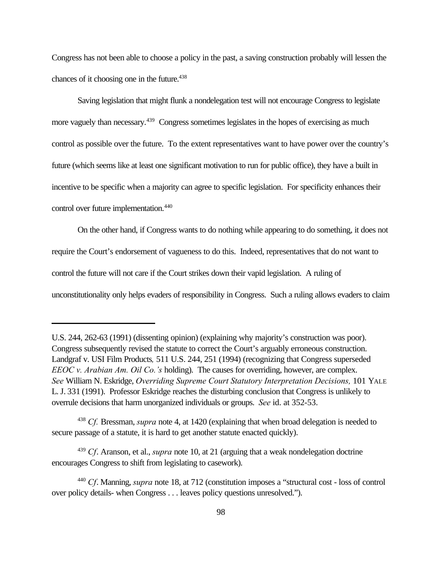Congress has not been able to choose a policy in the past, a saving construction probably will lessen the chances of it choosing one in the future.<sup>438</sup>

Saving legislation that might flunk a nondelegation test will not encourage Congress to legislate more vaguely than necessary.<sup>439</sup> Congress sometimes legislates in the hopes of exercising as much control as possible over the future. To the extent representatives want to have power over the country's future (which seems like at least one significant motivation to run for public office), they have a built in incentive to be specific when a majority can agree to specific legislation. For specificity enhances their control over future implementation.<sup>440</sup>

On the other hand, if Congress wants to do nothing while appearing to do something, it does not require the Court's endorsement of vagueness to do this. Indeed, representatives that do not want to control the future will not care if the Court strikes down their vapid legislation. A ruling of unconstitutionality only helps evaders of responsibility in Congress. Such a ruling allows evaders to claim

U.S. 244, 262-63 (1991) (dissenting opinion) (explaining why majority's construction was poor). Congress subsequently revised the statute to correct the Court's arguably erroneous construction. Landgraf v. USI Film Products*,* 511 U.S. 244, 251 (1994) (recognizing that Congress superseded *EEOC v. Arabian Am. Oil Co.'s* holding). The causes for overriding, however, are complex. *See* William N. Eskridge, *Overriding Supreme Court Statutory Interpretation Decisions,* 101 YALE L.J. 331 (1991). Professor Eskridge reaches the disturbing conclusion that Congress is unlikely to overrule decisions that harm unorganized individuals or groups. *See* id. at 352-53.

<sup>438</sup> *Cf.* Bressman, *supra* note 4, at 1420 (explaining that when broad delegation is needed to secure passage of a statute, it is hard to get another statute enacted quickly).

<sup>439</sup> *Cf*. Aranson, et al., *supra* note 10, at 21 (arguing that a weak nondelegation doctrine encourages Congress to shift from legislating to casework).

<sup>440</sup> *Cf*. Manning, *supra* note 18, at 712 (constitution imposes a "structural cost - loss of control over policy details- when Congress . . . leaves policy questions unresolved.").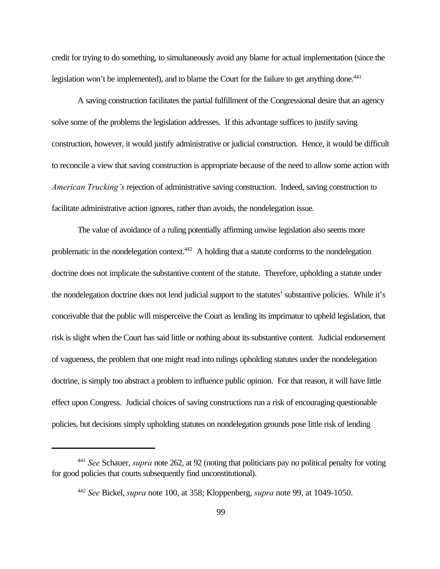credit for trying to do something, to simultaneously avoid any blame for actual implementation (since the legislation won't be implemented), and to blame the Court for the failure to get anything done.<sup>441</sup>

A saving construction facilitates the partial fulfillment of the Congressional desire that an agency solve some of the problems the legislation addresses. If this advantage suffices to justify saving construction, however, it would justify administrative or judicial construction. Hence, it would be difficult to reconcile a view that saving construction is appropriate because of the need to allow some action with *American Trucking's* rejection of administrative saving construction. Indeed, saving construction to facilitate administrative action ignores, rather than avoids, the nondelegation issue.

The value of avoidance of a ruling potentially affirming unwise legislation also seems more problematic in the nondelegation context.<sup>442</sup> A holding that a statute conforms to the nondelegation doctrine does not implicate the substantive content of the statute. Therefore, upholding a statute under the nondelegation doctrine does not lend judicial support to the statutes' substantive policies. While it's conceivable that the public will misperceive the Court as lending its imprimatur to upheld legislation, that risk is slight when the Court has said little or nothing about its substantive content. Judicial endorsement of vagueness, the problem that one might read into rulings upholding statutes under the nondelegation doctrine, is simply too abstract a problem to influence public opinion. For that reason, it will have little effect upon Congress. Judicial choices of saving constructions run a risk of encouraging questionable policies, but decisions simply upholding statutes on nondelegation grounds pose little risk of lending

<sup>441</sup> *See* Schauer, *supra* note 262, at 92 (noting that politicians pay no political penalty for voting for good policies that courts subsequently find unconstitutional).

<sup>442</sup> *See* Bickel, *supra* note 100, at 358; Kloppenberg, *supra* note 99, at 1049-1050.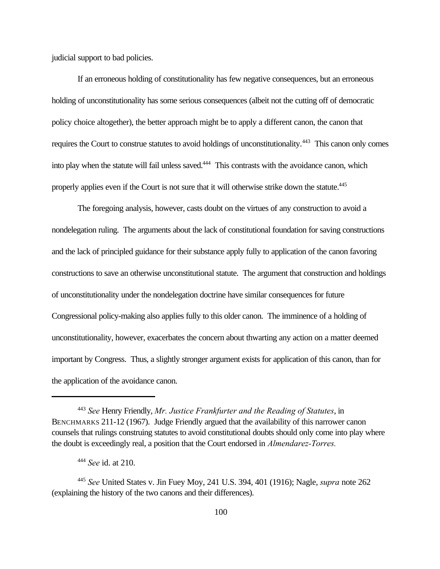judicial support to bad policies.

If an erroneous holding of constitutionality has few negative consequences, but an erroneous holding of unconstitutionality has some serious consequences (albeit not the cutting off of democratic policy choice altogether), the better approach might be to apply a different canon, the canon that requires the Court to construe statutes to avoid holdings of unconstitutionality.<sup>443</sup> This canon only comes into play when the statute will fail unless saved.<sup>444</sup> This contrasts with the avoidance canon, which properly applies even if the Court is not sure that it will otherwise strike down the statute.<sup>445</sup>

The foregoing analysis, however, casts doubt on the virtues of any construction to avoid a nondelegation ruling. The arguments about the lack of constitutional foundation for saving constructions and the lack of principled guidance for their substance apply fully to application of the canon favoring constructions to save an otherwise unconstitutional statute. The argument that construction and holdings of unconstitutionality under the nondelegation doctrine have similar consequences for future Congressional policy-making also applies fully to this older canon. The imminence of a holding of unconstitutionality, however, exacerbates the concern about thwarting any action on a matter deemed important by Congress. Thus, a slightly stronger argument exists for application of this canon, than for the application of the avoidance canon.

<sup>443</sup> *See* Henry Friendly, *Mr. Justice Frankfurter and the Reading of Statutes*, in BENCHMARKS 211-12 (1967). Judge Friendly argued that the availability of this narrower canon counsels that rulings construing statutes to avoid constitutional doubts should only come into play where the doubt is exceedingly real, a position that the Court endorsed in *Almendarez-Torres.*

<sup>444</sup> *See* id. at 210.

<sup>445</sup> *See* United States v. Jin Fuey Moy, 241 U.S. 394, 401 (1916); Nagle, *supra* note 262 (explaining the history of the two canons and their differences).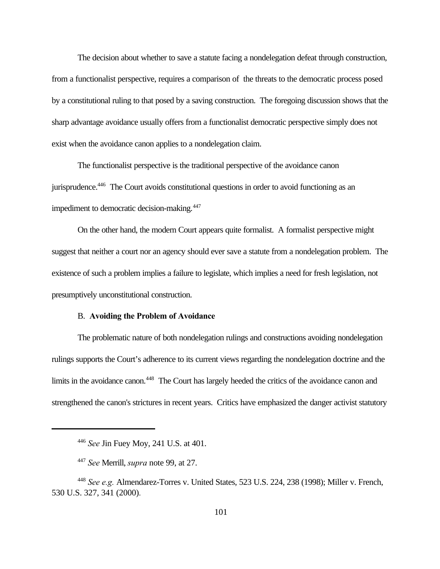The decision about whether to save a statute facing a nondelegation defeat through construction, from a functionalist perspective, requires a comparison of the threats to the democratic process posed by a constitutional ruling to that posed by a saving construction. The foregoing discussion shows that the sharp advantage avoidance usually offers from a functionalist democratic perspective simply does not exist when the avoidance canon applies to a nondelegation claim.

The functionalist perspective is the traditional perspective of the avoidance canon jurisprudence.<sup>446</sup> The Court avoids constitutional questions in order to avoid functioning as an impediment to democratic decision-making.<sup>447</sup>

On the other hand, the modern Court appears quite formalist. A formalist perspective might suggest that neither a court nor an agency should ever save a statute from a nondelegation problem. The existence of such a problem implies a failure to legislate, which implies a need for fresh legislation, not presumptively unconstitutional construction.

## B. **Avoiding the Problem of Avoidance**

The problematic nature of both nondelegation rulings and constructions avoiding nondelegation rulings supports the Court's adherence to its current views regarding the nondelegation doctrine and the limits in the avoidance canon.<sup>448</sup> The Court has largely heeded the critics of the avoidance canon and strengthened the canon's strictures in recent years. Critics have emphasized the danger activist statutory

<sup>446</sup> *See* Jin Fuey Moy, 241 U.S. at 401.

<sup>447</sup> *See* Merrill, *supra* note 99, at 27.

<sup>448</sup> *See e.g.* Almendarez-Torres v. United States, 523 U.S. 224, 238 (1998); Miller v. French, 530 U.S. 327, 341 (2000).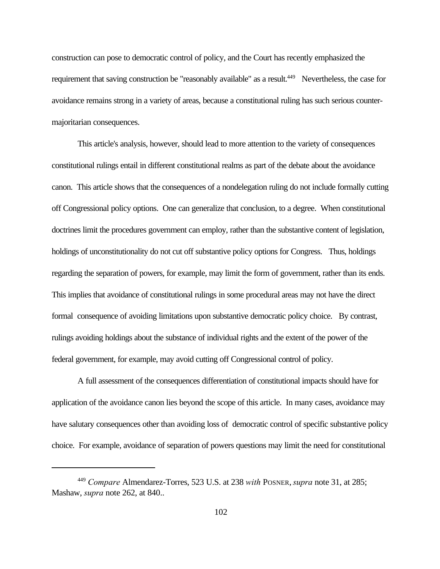construction can pose to democratic control of policy, and the Court has recently emphasized the requirement that saving construction be "reasonably available" as a result.<sup>449</sup> Nevertheless, the case for avoidance remains strong in a variety of areas, because a constitutional ruling has such serious countermajoritarian consequences.

This article's analysis, however, should lead to more attention to the variety of consequences constitutional rulings entail in different constitutional realms as part of the debate about the avoidance canon. This article shows that the consequences of a nondelegation ruling do not include formally cutting off Congressional policy options. One can generalize that conclusion, to a degree. When constitutional doctrines limit the procedures government can employ, rather than the substantive content of legislation, holdings of unconstitutionality do not cut off substantive policy options for Congress. Thus, holdings regarding the separation of powers, for example, may limit the form of government, rather than its ends. This implies that avoidance of constitutional rulings in some procedural areas may not have the direct formal consequence of avoiding limitations upon substantive democratic policy choice. By contrast, rulings avoiding holdings about the substance of individual rights and the extent of the power of the federal government, for example, may avoid cutting off Congressional control of policy.

A full assessment of the consequences differentiation of constitutional impacts should have for application of the avoidance canon lies beyond the scope of this article. In many cases, avoidance may have salutary consequences other than avoiding loss of democratic control of specific substantive policy choice. For example, avoidance of separation of powers questions may limit the need for constitutional

<sup>449</sup> *Compare* Almendarez-Torres, 523 U.S. at 238 *with* POSNER,*supra* note 31, at 285; Mashaw, *supra* note 262, at 840..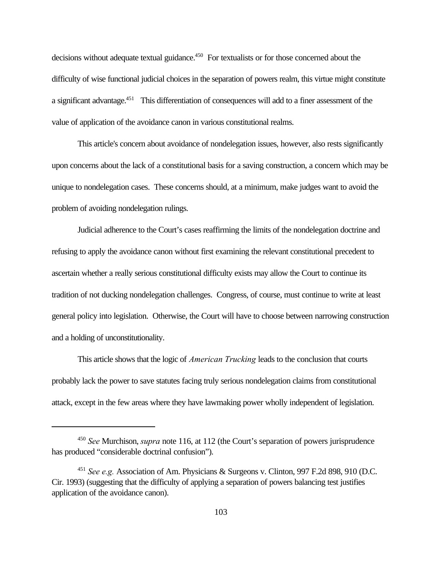decisions without adequate textual guidance.<sup>450</sup> For textualists or for those concerned about the difficulty of wise functional judicial choices in the separation of powers realm, this virtue might constitute a significant advantage.<sup>451</sup> This differentiation of consequences will add to a finer assessment of the value of application of the avoidance canon in various constitutional realms.

This article's concern about avoidance of nondelegation issues, however, also rests significantly upon concerns about the lack of a constitutional basis for a saving construction, a concern which may be unique to nondelegation cases. These concerns should, at a minimum, make judges want to avoid the problem of avoiding nondelegation rulings.

Judicial adherence to the Court's cases reaffirming the limits of the nondelegation doctrine and refusing to apply the avoidance canon without first examining the relevant constitutional precedent to ascertain whether a really serious constitutional difficulty exists may allow the Court to continue its tradition of not ducking nondelegation challenges. Congress, of course, must continue to write at least general policy into legislation. Otherwise, the Court will have to choose between narrowing construction and a holding of unconstitutionality.

This article shows that the logic of *American Trucking* leads to the conclusion that courts probably lack the power to save statutes facing truly serious nondelegation claims from constitutional attack, except in the few areas where they have lawmaking power wholly independent of legislation.

<sup>450</sup> *See* Murchison, *supra* note 116, at 112 (the Court's separation of powers jurisprudence has produced "considerable doctrinal confusion").

<sup>451</sup> *See e.g.* Association of Am. Physicians & Surgeons v. Clinton, 997 F.2d 898, 910 (D.C. Cir. 1993) (suggesting that the difficulty of applying a separation of powers balancing test justifies application of the avoidance canon).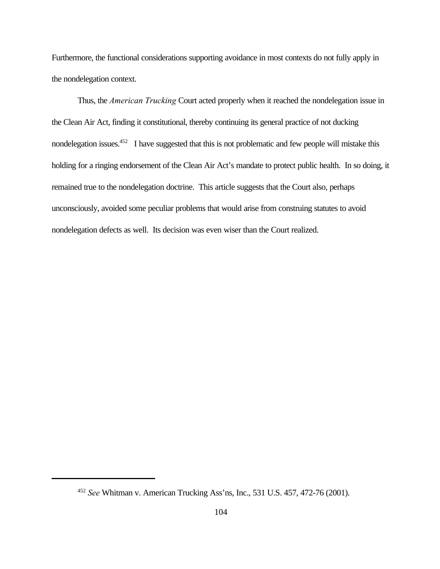Furthermore, the functional considerations supporting avoidance in most contexts do not fully apply in the nondelegation context.

Thus, the *American Trucking* Court acted properly when it reached the nondelegation issue in the Clean Air Act, finding it constitutional, thereby continuing its general practice of not ducking nondelegation issues.<sup>452</sup> I have suggested that this is not problematic and few people will mistake this holding for a ringing endorsement of the Clean Air Act's mandate to protect public health. In so doing, it remained true to the nondelegation doctrine. This article suggests that the Court also, perhaps unconsciously, avoided some peculiar problems that would arise from construing statutes to avoid nondelegation defects as well. Its decision was even wiser than the Court realized.

<sup>452</sup> *See* Whitman v. American Trucking Ass'ns, Inc., 531 U.S. 457, 472-76 (2001).